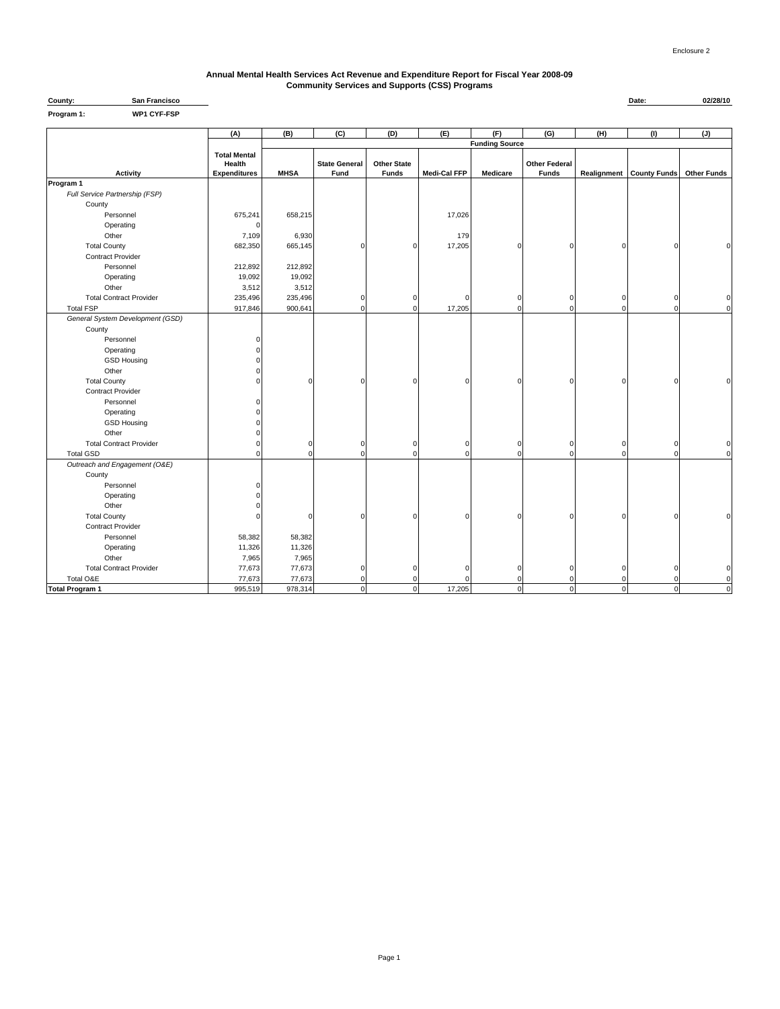| Date: |
|-------|
|       |

|                                  | (A)                 | (B)         | (C)                  | (D)                | (E)                 | (F)                   | (G)                  | (H)         | (1)                      | (J)                |
|----------------------------------|---------------------|-------------|----------------------|--------------------|---------------------|-----------------------|----------------------|-------------|--------------------------|--------------------|
|                                  | <b>Total Mental</b> |             |                      |                    |                     | <b>Funding Source</b> |                      |             |                          |                    |
|                                  | Health              |             | <b>State General</b> | <b>Other State</b> |                     |                       | <b>Other Federal</b> |             |                          |                    |
| <b>Activity</b>                  | <b>Expenditures</b> | <b>MHSA</b> | Fund                 | <b>Funds</b>       | <b>Medi-Cal FFP</b> | Medicare              | <b>Funds</b>         |             | Realignment County Funds | <b>Other Funds</b> |
| Program 1                        |                     |             |                      |                    |                     |                       |                      |             |                          |                    |
| Full Service Partnership (FSP)   |                     |             |                      |                    |                     |                       |                      |             |                          |                    |
| County                           |                     |             |                      |                    |                     |                       |                      |             |                          |                    |
| Personnel                        | 675,241             | 658,215     |                      |                    | 17,026              |                       |                      |             |                          |                    |
| Operating                        | $\Omega$            |             |                      |                    |                     |                       |                      |             |                          |                    |
| Other                            | 7,109               | 6,930       |                      |                    | 179                 |                       |                      |             |                          |                    |
| <b>Total County</b>              | 682,350             | 665,145     | 0                    | $\Omega$           | 17,205              | $\mathbf 0$           | $\Omega$             | $\Omega$    | $\Omega$                 | C                  |
| <b>Contract Provider</b>         |                     |             |                      |                    |                     |                       |                      |             |                          |                    |
| Personnel                        | 212,892             | 212,892     |                      |                    |                     |                       |                      |             |                          |                    |
| Operating                        | 19,092              | 19,092      |                      |                    |                     |                       |                      |             |                          |                    |
| Other                            | 3,512               | 3,512       |                      |                    |                     |                       |                      |             |                          |                    |
| <b>Total Contract Provider</b>   | 235,496             | 235,496     | 0                    | $\mathbf 0$        | $\Omega$            | 0                     | $\Omega$             | $\mathbf 0$ | 0                        | $\Omega$           |
| <b>Total FSP</b>                 | 917,846             | 900,641     | $\pmb{0}$            | $\mathbf 0$        | 17,205              | $\mathbf 0$           | $\Omega$             | $\mathbf 0$ | $\mathbf 0$              | $\circ$            |
| General System Development (GSD) |                     |             |                      |                    |                     |                       |                      |             |                          |                    |
| County                           |                     |             |                      |                    |                     |                       |                      |             |                          |                    |
| Personnel                        | $\Omega$            |             |                      |                    |                     |                       |                      |             |                          |                    |
| Operating                        | r                   |             |                      |                    |                     |                       |                      |             |                          |                    |
| <b>GSD Housing</b>               | C                   |             |                      |                    |                     |                       |                      |             |                          |                    |
| Other                            | r                   |             |                      |                    |                     |                       |                      |             |                          |                    |
| <b>Total County</b>              | r                   | $\Omega$    | 0                    | $\Omega$           | $\Omega$            | 0                     | C                    | $\Omega$    | $\Omega$                 | C                  |
| <b>Contract Provider</b>         |                     |             |                      |                    |                     |                       |                      |             |                          |                    |
| Personnel                        | $\Omega$            |             |                      |                    |                     |                       |                      |             |                          |                    |
| Operating                        | C                   |             |                      |                    |                     |                       |                      |             |                          |                    |
| <b>GSD Housing</b>               |                     |             |                      |                    |                     |                       |                      |             |                          |                    |
| Other                            | r                   |             |                      |                    |                     |                       |                      |             |                          |                    |
| <b>Total Contract Provider</b>   | $\Omega$            | $\Omega$    | $\mathsf 0$          | $\pmb{0}$          | $\mathbf 0$         | 0                     | 0                    | $\mathbf 0$ | 0                        | $\mathbf 0$        |
| <b>Total GSD</b>                 | $\Omega$            | $\Omega$    | $\Omega$             | $\Omega$           | $\Omega$            | $\Omega$              | $\Omega$             | $\Omega$    | $\Omega$                 | $\Omega$           |
| Outreach and Engagement (O&E)    |                     |             |                      |                    |                     |                       |                      |             |                          |                    |
| County                           |                     |             |                      |                    |                     |                       |                      |             |                          |                    |
| Personnel                        | $\Omega$            |             |                      |                    |                     |                       |                      |             |                          |                    |
| Operating                        | C                   |             |                      |                    |                     |                       |                      |             |                          |                    |
| Other                            | $\Omega$            |             |                      |                    |                     |                       |                      |             |                          |                    |
| <b>Total County</b>              | $\Omega$            | $\Omega$    | 0                    | $\Omega$           | $\mathbf 0$         | $\mathbf 0$           | $\mathsf{C}$         | $\Omega$    | $\Omega$                 | C                  |
| <b>Contract Provider</b>         |                     |             |                      |                    |                     |                       |                      |             |                          |                    |
| Personnel                        | 58,382              | 58,382      |                      |                    |                     |                       |                      |             |                          |                    |
| Operating                        | 11,326              | 11,326      |                      |                    |                     |                       |                      |             |                          |                    |
| Other                            | 7,965               | 7,965       |                      |                    |                     |                       |                      |             |                          |                    |
| <b>Total Contract Provider</b>   | 77,673              | 77,673      | $\mathsf 0$          | $\Omega$           | $\mathbf 0$         | $\Omega$              | $\Omega$             | $\Omega$    | $\Omega$                 | $\mathbf 0$        |
| Total O&E                        | 77,673              | 77,673      | $\mathbf 0$          | $\Omega$           | n                   | $\Omega$              | $\Omega$             | n           | $\Omega$                 | $\mathbf 0$        |
| <b>Total Program 1</b>           | 995,519             | 978,314     | $\mathbf 0$          | $\mathbf 0$        | 17,205              | $\mathbf 0$           | $\Omega$             | $\Omega$    | $\mathbf 0$              | $\mathbf 0$        |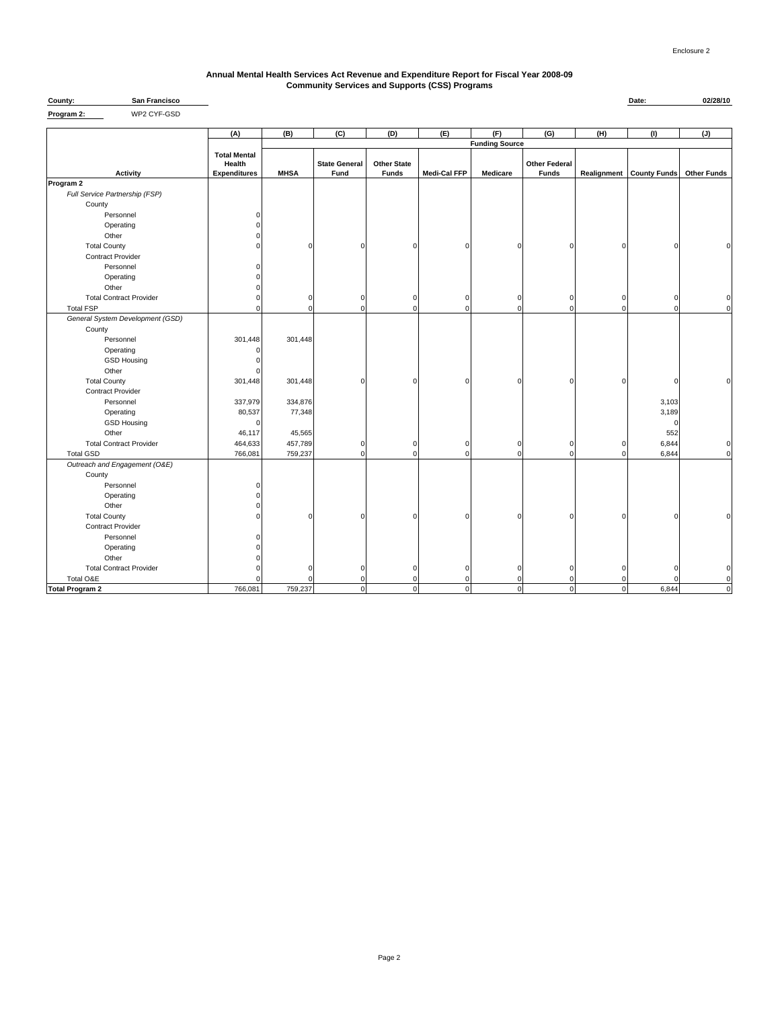| County:                | San Francisco                    |                                                      |             |                              |                                    |                     |                       |                                      |             | Date:                    | 02/28/10           |
|------------------------|----------------------------------|------------------------------------------------------|-------------|------------------------------|------------------------------------|---------------------|-----------------------|--------------------------------------|-------------|--------------------------|--------------------|
| Program 2:             | WP2 CYF-GSD                      |                                                      |             |                              |                                    |                     |                       |                                      |             |                          |                    |
|                        |                                  | (A)                                                  | (B)         | (C)                          | (D)                                | (E)                 | (F)                   | (G)                                  | (H)         | (1)                      | (J)                |
|                        |                                  |                                                      |             |                              |                                    |                     | <b>Funding Source</b> |                                      |             |                          |                    |
|                        | <b>Activity</b>                  | <b>Total Mental</b><br>Health<br><b>Expenditures</b> | <b>MHSA</b> | <b>State General</b><br>Fund | <b>Other State</b><br><b>Funds</b> | <b>Medi-Cal FFP</b> | Medicare              | <b>Other Federal</b><br><b>Funds</b> |             | Realignment County Funds | <b>Other Funds</b> |
| Program 2              |                                  |                                                      |             |                              |                                    |                     |                       |                                      |             |                          |                    |
|                        | Full Service Partnership (FSP)   |                                                      |             |                              |                                    |                     |                       |                                      |             |                          |                    |
|                        | County                           |                                                      |             |                              |                                    |                     |                       |                                      |             |                          |                    |
|                        | Personnel                        | O                                                    |             |                              |                                    |                     |                       |                                      |             |                          |                    |
|                        | Operating                        |                                                      |             |                              |                                    |                     |                       |                                      |             |                          |                    |
|                        | Other                            |                                                      |             |                              |                                    |                     |                       |                                      |             |                          |                    |
|                        | <b>Total County</b>              |                                                      |             | $\mathbf 0$                  |                                    | $\mathbf 0$         | $\Omega$              | $\Omega$                             | $\Omega$    | $\Omega$                 |                    |
|                        | <b>Contract Provider</b>         |                                                      |             |                              |                                    |                     |                       |                                      |             |                          |                    |
|                        | Personnel                        |                                                      |             |                              |                                    |                     |                       |                                      |             |                          |                    |
|                        | Operating                        |                                                      |             |                              |                                    |                     |                       |                                      |             |                          |                    |
|                        | Other                            |                                                      |             |                              |                                    |                     |                       |                                      |             |                          |                    |
|                        | <b>Total Contract Provider</b>   | O                                                    | 0           | $\mathbf 0$                  | n                                  | $\mathbf 0$         | $\mathbf 0$           | O                                    | 0           | C                        | 0                  |
| <b>Total FSP</b>       |                                  | $\Omega$                                             | n           | $\mathbf 0$                  | $\Omega$                           | $\mathbf 0$         | $\Omega$              | n                                    | $\Omega$    | C                        | $\mathbf 0$        |
|                        | General System Development (GSD) |                                                      |             |                              |                                    |                     |                       |                                      |             |                          |                    |
|                        | County                           |                                                      |             |                              |                                    |                     |                       |                                      |             |                          |                    |
|                        | Personnel                        | 301,448                                              | 301,448     |                              |                                    |                     |                       |                                      |             |                          |                    |
|                        | Operating                        | n                                                    |             |                              |                                    |                     |                       |                                      |             |                          |                    |
|                        | <b>GSD Housing</b>               | O                                                    |             |                              |                                    |                     |                       |                                      |             |                          |                    |
|                        | Other                            | 0                                                    |             |                              |                                    |                     |                       |                                      |             |                          |                    |
|                        | <b>Total County</b>              | 301,448                                              | 301,448     | $\mathbf 0$                  |                                    | $\mathbf 0$         | $\Omega$              | $\Omega$                             | $\Omega$    | $\Omega$                 |                    |
|                        | <b>Contract Provider</b>         |                                                      |             |                              |                                    |                     |                       |                                      |             |                          |                    |
|                        | Personnel                        | 337,979                                              | 334,876     |                              |                                    |                     |                       |                                      |             | 3,103                    |                    |
|                        | Operating                        | 80,537                                               | 77,348      |                              |                                    |                     |                       |                                      |             | 3,189                    |                    |
|                        | <b>GSD Housing</b>               | $\mathbf 0$                                          |             |                              |                                    |                     |                       |                                      |             | $\epsilon$               |                    |
|                        | Other                            | 46,117                                               | 45,565      |                              |                                    |                     |                       |                                      |             | 552                      |                    |
|                        | <b>Total Contract Provider</b>   | 464,633                                              | 457,789     | $\mathsf 0$                  | $\Omega$                           | $\mathsf{O}\xspace$ | 0                     | $\Omega$                             | $\Omega$    | 6,844                    | 0                  |
| <b>Total GSD</b>       |                                  | 766,081                                              | 759,237     | $\mathbf 0$                  | n                                  | $\mathbf 0$         | $\Omega$              | n                                    | $\Omega$    | 6,844                    | 0                  |
|                        | Outreach and Engagement (O&E)    |                                                      |             |                              |                                    |                     |                       |                                      |             |                          |                    |
|                        | County                           |                                                      |             |                              |                                    |                     |                       |                                      |             |                          |                    |
|                        | Personnel                        | n                                                    |             |                              |                                    |                     |                       |                                      |             |                          |                    |
|                        | Operating                        |                                                      |             |                              |                                    |                     |                       |                                      |             |                          |                    |
|                        | Other                            |                                                      |             |                              |                                    |                     |                       |                                      |             |                          |                    |
|                        | <b>Total County</b>              |                                                      |             | $\mathbf 0$                  |                                    | $\mathbf 0$         | $\Omega$              | ŋ                                    | $\Omega$    | $\Omega$                 | 0                  |
|                        | <b>Contract Provider</b>         |                                                      |             |                              |                                    |                     |                       |                                      |             |                          |                    |
|                        | Personnel                        | n                                                    |             |                              |                                    |                     |                       |                                      |             |                          |                    |
|                        | Operating                        |                                                      |             |                              |                                    |                     |                       |                                      |             |                          |                    |
|                        | Other                            |                                                      |             |                              |                                    |                     |                       |                                      |             |                          |                    |
|                        | <b>Total Contract Provider</b>   |                                                      |             | $\mathsf 0$                  | n                                  | $\mathbf 0$         | $\Omega$              | ŋ                                    | $\Omega$    | C                        | 0                  |
| Total O&E              |                                  | $\Omega$                                             |             | $\mathbf 0$                  | $\Omega$                           | $\mathsf{O}\xspace$ | $\Omega$              | n                                    | $\Omega$    |                          | $\mathbf 0$        |
| <b>Total Program 2</b> |                                  | 766,081                                              | 759,237     | $\mathbf 0$                  | $\mathbf 0$                        | $\mathbf 0$         | $\mathbf 0$           | $\Omega$                             | $\mathbf 0$ | 6,844                    | $\mathbf 0$        |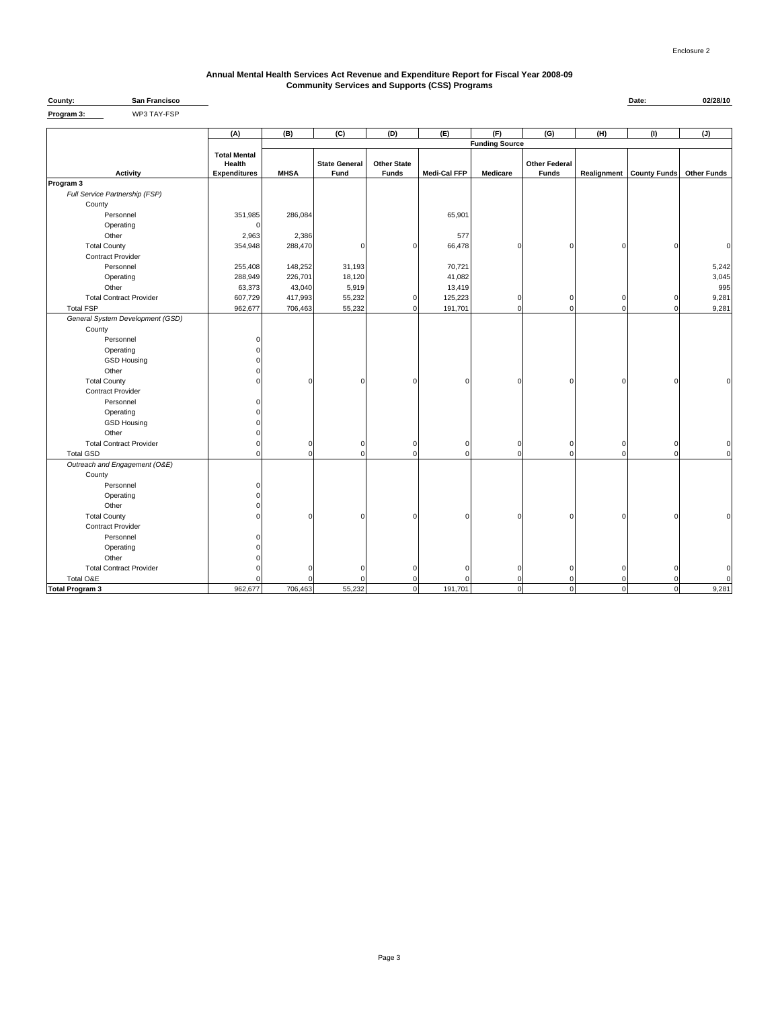|                                  | (A)                           | (B)         | (C)                  | (D)                | (E)                 | (F)                   | (G)                  | (H)         | (1)                      | (J)                |
|----------------------------------|-------------------------------|-------------|----------------------|--------------------|---------------------|-----------------------|----------------------|-------------|--------------------------|--------------------|
|                                  |                               |             |                      |                    |                     | <b>Funding Source</b> |                      |             |                          |                    |
|                                  | <b>Total Mental</b><br>Health |             | <b>State General</b> | <b>Other State</b> |                     |                       | <b>Other Federal</b> |             |                          |                    |
| <b>Activity</b>                  | <b>Expenditures</b>           | <b>MHSA</b> | Fund                 | <b>Funds</b>       | <b>Medi-Cal FFP</b> | Medicare              | <b>Funds</b>         |             | Realignment County Funds | <b>Other Funds</b> |
| Program 3                        |                               |             |                      |                    |                     |                       |                      |             |                          |                    |
| Full Service Partnership (FSP)   |                               |             |                      |                    |                     |                       |                      |             |                          |                    |
| County                           |                               |             |                      |                    |                     |                       |                      |             |                          |                    |
| Personnel                        | 351,985                       | 286,084     |                      |                    | 65,901              |                       |                      |             |                          |                    |
| Operating                        | $\Omega$                      |             |                      |                    |                     |                       |                      |             |                          |                    |
| Other                            | 2,963                         | 2,386       |                      |                    | 577                 |                       |                      |             |                          |                    |
| <b>Total County</b>              | 354,948                       | 288,470     | $\mathbf 0$          | $\Omega$           | 66,478              | $\mathbf 0$           | r                    | $\Omega$    | 0                        | $\Omega$           |
| <b>Contract Provider</b>         |                               |             |                      |                    |                     |                       |                      |             |                          |                    |
| Personnel                        | 255,408                       | 148,252     | 31,193               |                    | 70,721              |                       |                      |             |                          | 5,242              |
| Operating                        | 288,949                       | 226,701     | 18,120               |                    | 41,082              |                       |                      |             |                          | 3,045              |
| Other                            | 63,373                        | 43,040      | 5,919                |                    | 13,419              |                       |                      |             |                          | 995                |
| <b>Total Contract Provider</b>   | 607,729                       | 417,993     | 55,232               | $\mathbf 0$        | 125,223             | 0                     | $\sqrt{ }$           | $\mathbf 0$ | $\Omega$                 | 9,281              |
| <b>Total FSP</b>                 | 962,677                       | 706,463     | 55,232               | $\mathbf 0$        | 191,701             | $\pmb{0}$             | $\Omega$             | $\Omega$    | $\Omega$                 | 9,281              |
| General System Development (GSD) |                               |             |                      |                    |                     |                       |                      |             |                          |                    |
| County                           |                               |             |                      |                    |                     |                       |                      |             |                          |                    |
| Personnel                        | n                             |             |                      |                    |                     |                       |                      |             |                          |                    |
| Operating                        | $\Omega$                      |             |                      |                    |                     |                       |                      |             |                          |                    |
| <b>GSD Housing</b>               |                               |             |                      |                    |                     |                       |                      |             |                          |                    |
| Other                            |                               |             |                      |                    |                     |                       |                      |             |                          |                    |
| <b>Total County</b>              |                               |             | $\mathbf 0$          | $\Omega$           | $\Omega$            | $\mathbf 0$           | C                    | $\Omega$    | $\Omega$                 | n                  |
| <b>Contract Provider</b>         |                               |             |                      |                    |                     |                       |                      |             |                          |                    |
| Personnel                        | $\Omega$                      |             |                      |                    |                     |                       |                      |             |                          |                    |
| Operating                        |                               |             |                      |                    |                     |                       |                      |             |                          |                    |
| <b>GSD Housing</b>               |                               |             |                      |                    |                     |                       |                      |             |                          |                    |
| Other                            |                               |             |                      |                    |                     |                       |                      |             |                          |                    |
| <b>Total Contract Provider</b>   | $\Omega$                      | $\Omega$    | $\mathsf{O}\xspace$  | $\mathbf 0$        | $\mathbf 0$         | $\pmb{0}$             | $\Omega$             | $\mathbf 0$ | 0                        | 0                  |
| <b>Total GSD</b>                 | $\Omega$                      | n           | $\mathbf 0$          | $\mathbf 0$        | $\Omega$            | $\Omega$              | $\Omega$             | $\Omega$    | $\Omega$                 | $\circ$            |
| Outreach and Engagement (O&E)    |                               |             |                      |                    |                     |                       |                      |             |                          |                    |
| County                           |                               |             |                      |                    |                     |                       |                      |             |                          |                    |
| Personnel                        | $\Omega$                      |             |                      |                    |                     |                       |                      |             |                          |                    |
| Operating                        | $\Omega$                      |             |                      |                    |                     |                       |                      |             |                          |                    |
| Other                            | n                             |             |                      |                    |                     |                       |                      |             |                          |                    |
| <b>Total County</b>              |                               |             | $\mathbf 0$          | $\Omega$           | $\Omega$            | $\mathbf 0$           |                      | $\mathbf 0$ | $\Omega$                 | $\Omega$           |
| <b>Contract Provider</b>         |                               |             |                      |                    |                     |                       |                      |             |                          |                    |
| Personnel                        |                               |             |                      |                    |                     |                       |                      |             |                          |                    |
| Operating                        |                               |             |                      |                    |                     |                       |                      |             |                          |                    |
| Other                            |                               |             |                      |                    |                     |                       |                      |             |                          |                    |
| <b>Total Contract Provider</b>   | n                             |             | $\mathbf 0$          | $\Omega$           | $\Omega$            | $\pmb{0}$             | C                    | $\Omega$    | $\mathbf 0$              | $\Omega$           |
| Total O&E                        | $\Omega$                      |             | $\mathbf 0$          | $\pmb{0}$          | $\Omega$            | $\Omega$              | $\Omega$             | $\Omega$    | $\Omega$                 | $\mathbf 0$        |
| <b>Total Program 3</b>           | 962,677                       | 706,463     | 55,232               | $\mathbf 0$        | 191,701             | $\mathbf 0$           | $\Omega$             | $\Omega$    | $\mathbf 0$              | 9,281              |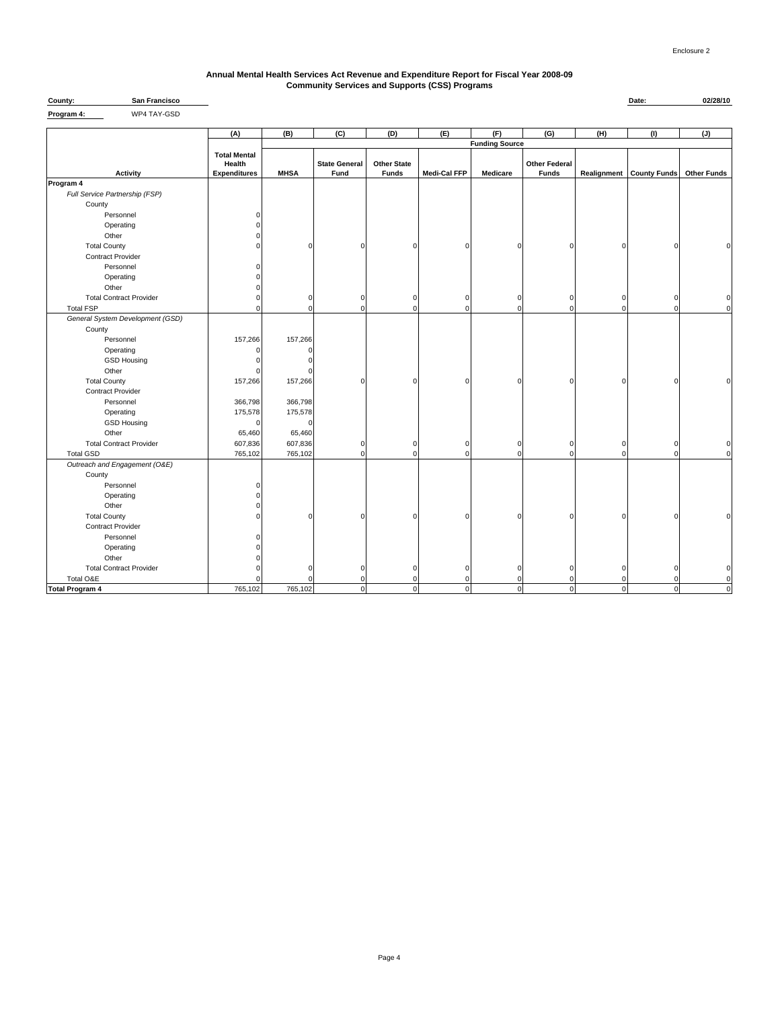| County:                | San Francisco                    |                                                      |             |                              |                                    |                     |                       |                                      |             | Date:                    | 02/28/10           |
|------------------------|----------------------------------|------------------------------------------------------|-------------|------------------------------|------------------------------------|---------------------|-----------------------|--------------------------------------|-------------|--------------------------|--------------------|
| Program 4:             | WP4 TAY-GSD                      |                                                      |             |                              |                                    |                     |                       |                                      |             |                          |                    |
|                        |                                  | (A)                                                  | (B)         | (C)                          | (D)                                | (E)                 | (F)                   | (G)                                  | (H)         | (1)                      | (J)                |
|                        |                                  |                                                      |             |                              |                                    |                     | <b>Funding Source</b> |                                      |             |                          |                    |
|                        | <b>Activity</b>                  | <b>Total Mental</b><br>Health<br><b>Expenditures</b> | <b>MHSA</b> | <b>State General</b><br>Fund | <b>Other State</b><br><b>Funds</b> | <b>Medi-Cal FFP</b> | Medicare              | <b>Other Federal</b><br><b>Funds</b> |             | Realignment County Funds | <b>Other Funds</b> |
| Program 4              |                                  |                                                      |             |                              |                                    |                     |                       |                                      |             |                          |                    |
|                        | Full Service Partnership (FSP)   |                                                      |             |                              |                                    |                     |                       |                                      |             |                          |                    |
|                        | County                           |                                                      |             |                              |                                    |                     |                       |                                      |             |                          |                    |
|                        | Personnel                        | O                                                    |             |                              |                                    |                     |                       |                                      |             |                          |                    |
|                        | Operating                        |                                                      |             |                              |                                    |                     |                       |                                      |             |                          |                    |
|                        | Other                            |                                                      |             |                              |                                    |                     |                       |                                      |             |                          |                    |
|                        | <b>Total County</b>              |                                                      |             | $\mathbf 0$                  |                                    | $\mathbf 0$         | $\Omega$              | $\Omega$                             | $\Omega$    | $\Omega$                 |                    |
|                        | <b>Contract Provider</b>         |                                                      |             |                              |                                    |                     |                       |                                      |             |                          |                    |
|                        | Personnel                        |                                                      |             |                              |                                    |                     |                       |                                      |             |                          |                    |
|                        | Operating                        |                                                      |             |                              |                                    |                     |                       |                                      |             |                          |                    |
|                        | Other                            |                                                      |             |                              |                                    |                     |                       |                                      |             |                          |                    |
|                        | <b>Total Contract Provider</b>   |                                                      | 0           | $\mathbf 0$                  |                                    | $\mathbf 0$         | $\mathbf 0$           | O                                    | 0           | C                        | 0                  |
| <b>Total FSP</b>       |                                  | $\Omega$                                             | n           | $\mathbf 0$                  | $\Omega$                           | $\mathbf 0$         | $\Omega$              | n                                    | $\Omega$    | C                        | $\mathbf 0$        |
|                        | General System Development (GSD) |                                                      |             |                              |                                    |                     |                       |                                      |             |                          |                    |
|                        | County                           |                                                      |             |                              |                                    |                     |                       |                                      |             |                          |                    |
|                        | Personnel                        | 157,266                                              | 157,266     |                              |                                    |                     |                       |                                      |             |                          |                    |
|                        | Operating                        | $\Omega$                                             |             |                              |                                    |                     |                       |                                      |             |                          |                    |
|                        | <b>GSD Housing</b>               | $\Omega$                                             |             |                              |                                    |                     |                       |                                      |             |                          |                    |
|                        | Other                            | 0                                                    |             |                              |                                    |                     |                       |                                      |             |                          |                    |
|                        | <b>Total County</b>              | 157,266                                              | 157,266     | $\mathbf 0$                  |                                    | $\mathbf 0$         | $\Omega$              | $\Omega$                             | $\Omega$    | $\Omega$                 |                    |
|                        | <b>Contract Provider</b>         |                                                      |             |                              |                                    |                     |                       |                                      |             |                          |                    |
|                        | Personnel                        | 366,798                                              | 366,798     |                              |                                    |                     |                       |                                      |             |                          |                    |
|                        | Operating                        | 175,578                                              | 175,578     |                              |                                    |                     |                       |                                      |             |                          |                    |
|                        | <b>GSD Housing</b>               | $\mathbf 0$                                          |             |                              |                                    |                     |                       |                                      |             |                          |                    |
|                        | Other                            | 65,460                                               | 65,460      |                              |                                    |                     |                       |                                      |             |                          |                    |
|                        | <b>Total Contract Provider</b>   | 607,836                                              | 607,836     | $\mathsf 0$                  | $\Omega$                           | $\mathsf{O}\xspace$ | 0                     | $\Omega$                             | 0           | $\Omega$                 | 0                  |
| <b>Total GSD</b>       |                                  | 765,102                                              | 765,102     | $\mathbf 0$                  | n                                  | $\mathbf 0$         | $\Omega$              | n                                    | $\Omega$    | C                        | 0                  |
|                        | Outreach and Engagement (O&E)    |                                                      |             |                              |                                    |                     |                       |                                      |             |                          |                    |
|                        | County                           |                                                      |             |                              |                                    |                     |                       |                                      |             |                          |                    |
|                        | Personnel                        | n                                                    |             |                              |                                    |                     |                       |                                      |             |                          |                    |
|                        | Operating                        |                                                      |             |                              |                                    |                     |                       |                                      |             |                          |                    |
|                        | Other                            |                                                      |             |                              |                                    |                     |                       |                                      |             |                          |                    |
|                        | <b>Total County</b>              |                                                      |             | $\mathbf 0$                  |                                    | $\mathbf 0$         | $\Omega$              |                                      | $\Omega$    | $\Omega$                 | n                  |
|                        | <b>Contract Provider</b>         |                                                      |             |                              |                                    |                     |                       |                                      |             |                          |                    |
|                        | Personnel                        | n                                                    |             |                              |                                    |                     |                       |                                      |             |                          |                    |
|                        | Operating                        |                                                      |             |                              |                                    |                     |                       |                                      |             |                          |                    |
|                        | Other                            |                                                      |             |                              |                                    |                     |                       |                                      |             |                          |                    |
|                        | <b>Total Contract Provider</b>   |                                                      |             | $\mathsf 0$                  | n                                  | $\mathbf 0$         | $\Omega$              | ŋ                                    | 0           | $\Omega$                 | 0                  |
| Total O&E              |                                  | O                                                    |             | $\mathbf 0$                  | n                                  | $\mathbf 0$         | $\Omega$              | n                                    | $\Omega$    |                          | $\mathbf 0$        |
| <b>Total Program 4</b> |                                  | 765,102                                              | 765,102     | $\mathbf 0$                  | $\mathbf 0$                        | $\mathbf 0$         | $\mathbf 0$           | $\Omega$                             | $\mathbf 0$ | $\Omega$                 | $\mathbf 0$        |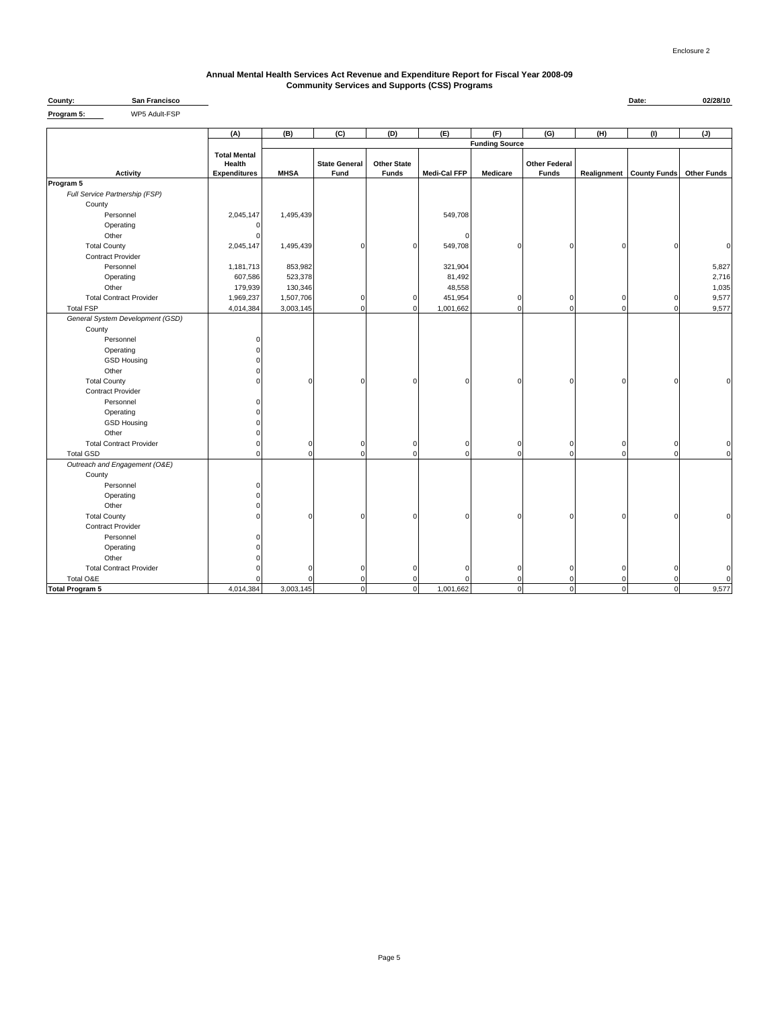| Date: |
|-------|
|       |
|       |
|       |

|                                  | (A)                           | (B)         | (C)                          | (D)                                | (E)                 | (F)                   | (G)                                  | (H)      | (1)                      | (J)                |
|----------------------------------|-------------------------------|-------------|------------------------------|------------------------------------|---------------------|-----------------------|--------------------------------------|----------|--------------------------|--------------------|
|                                  |                               |             |                              |                                    |                     | <b>Funding Source</b> |                                      |          |                          |                    |
|                                  | <b>Total Mental</b>           |             |                              |                                    |                     |                       |                                      |          |                          |                    |
| <b>Activity</b>                  | Health<br><b>Expenditures</b> | <b>MHSA</b> | <b>State General</b><br>Fund | <b>Other State</b><br><b>Funds</b> | <b>Medi-Cal FFP</b> | Medicare              | <b>Other Federal</b><br><b>Funds</b> |          | Realignment County Funds | <b>Other Funds</b> |
| Program 5                        |                               |             |                              |                                    |                     |                       |                                      |          |                          |                    |
| Full Service Partnership (FSP)   |                               |             |                              |                                    |                     |                       |                                      |          |                          |                    |
| County                           |                               |             |                              |                                    |                     |                       |                                      |          |                          |                    |
| Personnel                        | 2,045,147                     | 1,495,439   |                              |                                    | 549,708             |                       |                                      |          |                          |                    |
| Operating                        | $\Omega$                      |             |                              |                                    |                     |                       |                                      |          |                          |                    |
| Other                            | $\Omega$                      |             |                              |                                    |                     |                       |                                      |          |                          |                    |
| <b>Total County</b>              | 2,045,147                     | 1,495,439   | $\mathbf 0$                  | $\Omega$                           | 549,708             | 0                     | $\Omega$                             | $\Omega$ | $\Omega$                 | $\mathbf 0$        |
| <b>Contract Provider</b>         |                               |             |                              |                                    |                     |                       |                                      |          |                          |                    |
| Personnel                        | 1,181,713                     | 853,982     |                              |                                    | 321,904             |                       |                                      |          |                          | 5,827              |
| Operating                        | 607,586                       | 523,378     |                              |                                    | 81,492              |                       |                                      |          |                          | 2,716              |
| Other                            | 179,939                       | 130,346     |                              |                                    | 48,558              |                       |                                      |          |                          | 1,035              |
| <b>Total Contract Provider</b>   | 1,969,237                     | 1,507,706   | $\mathsf{O}\xspace$          | 0                                  | 451,954             | 0                     | 0                                    | $\Omega$ | U                        | 9,577              |
| <b>Total FSP</b>                 | 4,014,384                     | 3,003,145   | $\mathbf 0$                  | $\mathbf 0$                        | 1,001,662           | $\mathbf 0$           | $\Omega$                             | $\Omega$ | $\Omega$                 | 9,577              |
| General System Development (GSD) |                               |             |                              |                                    |                     |                       |                                      |          |                          |                    |
| County                           |                               |             |                              |                                    |                     |                       |                                      |          |                          |                    |
| Personnel                        | C                             |             |                              |                                    |                     |                       |                                      |          |                          |                    |
| Operating                        |                               |             |                              |                                    |                     |                       |                                      |          |                          |                    |
| <b>GSD Housing</b>               | C                             |             |                              |                                    |                     |                       |                                      |          |                          |                    |
| Other                            |                               |             |                              |                                    |                     |                       |                                      |          |                          |                    |
| <b>Total County</b>              |                               | $\Omega$    | $\mathbf 0$                  | $\Omega$                           | $\Omega$            | $\Omega$              | $\Omega$                             | $\Omega$ | $\mathbf 0$              | $\Omega$           |
| <b>Contract Provider</b>         |                               |             |                              |                                    |                     |                       |                                      |          |                          |                    |
| Personnel                        | C                             |             |                              |                                    |                     |                       |                                      |          |                          |                    |
| Operating                        |                               |             |                              |                                    |                     |                       |                                      |          |                          |                    |
| <b>GSD Housing</b>               |                               |             |                              |                                    |                     |                       |                                      |          |                          |                    |
| Other                            |                               |             |                              |                                    |                     |                       |                                      |          |                          |                    |
| <b>Total Contract Provider</b>   | $\Omega$                      | $\Omega$    | $\mathbf 0$                  | $\mathbf 0$                        | $\Omega$            | $\mathbf 0$           | $\Omega$                             | $\Omega$ | $\Omega$                 | $\overline{0}$     |
| <b>Total GSD</b>                 | $\Omega$                      | $\Omega$    | $\mathbf 0$                  | $\Omega$                           | $\Omega$            | $\Omega$              | $\Omega$                             | $\Omega$ | O                        | $\mathbf 0$        |
| Outreach and Engagement (O&E)    |                               |             |                              |                                    |                     |                       |                                      |          |                          |                    |
| County                           |                               |             |                              |                                    |                     |                       |                                      |          |                          |                    |
| Personnel                        | $\Omega$                      |             |                              |                                    |                     |                       |                                      |          |                          |                    |
| Operating                        | C                             |             |                              |                                    |                     |                       |                                      |          |                          |                    |
| Other                            |                               |             |                              |                                    |                     |                       |                                      |          |                          |                    |
| <b>Total County</b>              |                               | $\Omega$    | $\mathbf 0$                  | $\Omega$                           | n                   | $\Omega$              | $\Omega$                             | $\Omega$ | $\Omega$                 | $\mathbf 0$        |
| <b>Contract Provider</b>         |                               |             |                              |                                    |                     |                       |                                      |          |                          |                    |
| Personnel                        |                               |             |                              |                                    |                     |                       |                                      |          |                          |                    |
| Operating                        |                               |             |                              |                                    |                     |                       |                                      |          |                          |                    |
| Other                            | r                             |             |                              |                                    |                     |                       |                                      |          |                          |                    |
| <b>Total Contract Provider</b>   | $\Omega$                      |             | $\mathbf 0$                  | $\Omega$                           |                     | $\Omega$              | $\Omega$                             | $\Omega$ | $\Omega$                 | $\mathbf 0$        |
| Total O&E                        | $\Omega$                      |             | $\mathbf 0$                  | $\mathbf 0$                        |                     | $\Omega$              | $\Omega$                             |          |                          | $\mathbf 0$        |
| <b>Total Program 5</b>           | 4,014,384                     | 3,003,145   | $\mathsf{O}\xspace$          | $\mathbf 0$                        | 1,001,662           | $\mathbf 0$           | $\sqrt{ }$                           |          | $\Omega$                 | 9,577              |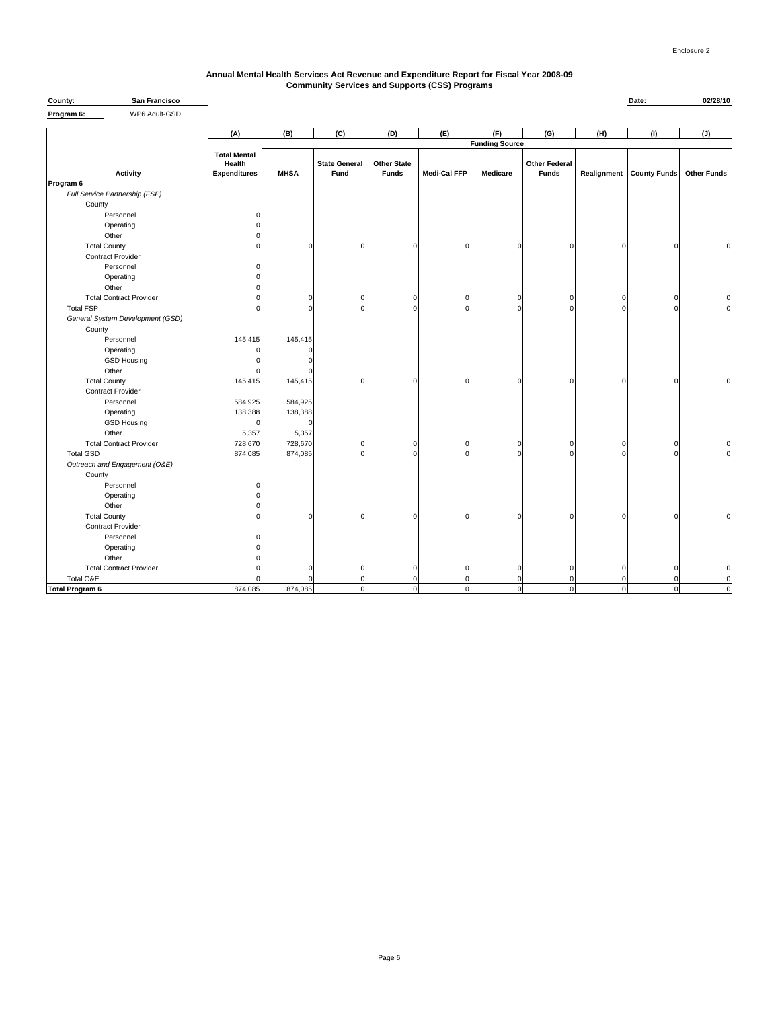| County:                | San Francisco                    |                                                      |             |                              |                                    |                     |                       |                                      |             | Date:                    | 02/28/10           |
|------------------------|----------------------------------|------------------------------------------------------|-------------|------------------------------|------------------------------------|---------------------|-----------------------|--------------------------------------|-------------|--------------------------|--------------------|
| Program 6:             | WP6 Adult-GSD                    |                                                      |             |                              |                                    |                     |                       |                                      |             |                          |                    |
|                        |                                  | (A)                                                  | (B)         | (C)                          | (D)                                | (E)                 | (F)                   | (G)                                  | (H)         | (1)                      | (J)                |
|                        |                                  |                                                      |             |                              |                                    |                     | <b>Funding Source</b> |                                      |             |                          |                    |
|                        | <b>Activity</b>                  | <b>Total Mental</b><br>Health<br><b>Expenditures</b> | <b>MHSA</b> | <b>State General</b><br>Fund | <b>Other State</b><br><b>Funds</b> | <b>Medi-Cal FFP</b> | Medicare              | <b>Other Federal</b><br><b>Funds</b> |             | Realignment County Funds | <b>Other Funds</b> |
| Program 6              |                                  |                                                      |             |                              |                                    |                     |                       |                                      |             |                          |                    |
|                        | Full Service Partnership (FSP)   |                                                      |             |                              |                                    |                     |                       |                                      |             |                          |                    |
|                        | County                           |                                                      |             |                              |                                    |                     |                       |                                      |             |                          |                    |
|                        | Personnel                        | O                                                    |             |                              |                                    |                     |                       |                                      |             |                          |                    |
|                        | Operating                        |                                                      |             |                              |                                    |                     |                       |                                      |             |                          |                    |
|                        | Other                            |                                                      |             |                              |                                    |                     |                       |                                      |             |                          |                    |
|                        | <b>Total County</b>              |                                                      |             | $\mathbf 0$                  |                                    | $\mathbf 0$         | $\Omega$              | $\Omega$                             | $\Omega$    | $\Omega$                 |                    |
|                        | <b>Contract Provider</b>         |                                                      |             |                              |                                    |                     |                       |                                      |             |                          |                    |
|                        | Personnel                        |                                                      |             |                              |                                    |                     |                       |                                      |             |                          |                    |
|                        | Operating                        |                                                      |             |                              |                                    |                     |                       |                                      |             |                          |                    |
|                        | Other                            |                                                      |             |                              |                                    |                     |                       |                                      |             |                          |                    |
|                        | <b>Total Contract Provider</b>   |                                                      | 0           | $\mathbf 0$                  |                                    | $\mathbf 0$         | $\mathbf 0$           | O                                    | 0           | C                        | 0                  |
| <b>Total FSP</b>       |                                  | $\Omega$                                             | n           | $\mathbf 0$                  | $\Omega$                           | $\mathbf 0$         | $\Omega$              | n                                    | $\Omega$    | C                        | $\mathbf 0$        |
|                        | General System Development (GSD) |                                                      |             |                              |                                    |                     |                       |                                      |             |                          |                    |
|                        | County                           |                                                      |             |                              |                                    |                     |                       |                                      |             |                          |                    |
|                        | Personnel                        | 145,415                                              | 145,415     |                              |                                    |                     |                       |                                      |             |                          |                    |
|                        | Operating                        | O                                                    |             |                              |                                    |                     |                       |                                      |             |                          |                    |
|                        | <b>GSD Housing</b>               | O                                                    |             |                              |                                    |                     |                       |                                      |             |                          |                    |
|                        | Other                            | 0                                                    |             |                              |                                    |                     |                       |                                      |             |                          |                    |
|                        | <b>Total County</b>              | 145,415                                              | 145,415     | $\mathbf 0$                  |                                    | $\mathbf 0$         | $\Omega$              | $\Omega$                             | $\Omega$    | $\Omega$                 |                    |
|                        | <b>Contract Provider</b>         |                                                      |             |                              |                                    |                     |                       |                                      |             |                          |                    |
|                        | Personnel                        | 584,925                                              | 584,925     |                              |                                    |                     |                       |                                      |             |                          |                    |
|                        | Operating                        | 138,388                                              | 138,388     |                              |                                    |                     |                       |                                      |             |                          |                    |
|                        | <b>GSD Housing</b>               | $\mathbf 0$                                          |             |                              |                                    |                     |                       |                                      |             |                          |                    |
|                        | Other                            | 5,357                                                | 5,357       |                              |                                    |                     |                       |                                      |             |                          |                    |
|                        | <b>Total Contract Provider</b>   | 728,670                                              | 728,670     | $\mathsf 0$                  | $\Omega$                           | $\mathsf{O}\xspace$ | 0                     | $\Omega$                             | 0           | $\Omega$                 | 0                  |
| <b>Total GSD</b>       |                                  | 874,085                                              | 874,085     | $\mathbf 0$                  | n                                  | $\mathbf 0$         | $\Omega$              | n                                    | $\Omega$    | C                        | 0                  |
|                        | Outreach and Engagement (O&E)    |                                                      |             |                              |                                    |                     |                       |                                      |             |                          |                    |
|                        | County                           |                                                      |             |                              |                                    |                     |                       |                                      |             |                          |                    |
|                        | Personnel                        | n                                                    |             |                              |                                    |                     |                       |                                      |             |                          |                    |
|                        | Operating                        |                                                      |             |                              |                                    |                     |                       |                                      |             |                          |                    |
|                        | Other                            |                                                      |             |                              |                                    |                     |                       |                                      |             |                          |                    |
|                        | <b>Total County</b>              |                                                      |             | $\mathbf 0$                  |                                    | $\mathbf 0$         | $\Omega$              |                                      | $\Omega$    | $\Omega$                 | n                  |
|                        | <b>Contract Provider</b>         |                                                      |             |                              |                                    |                     |                       |                                      |             |                          |                    |
|                        | Personnel                        | ŋ                                                    |             |                              |                                    |                     |                       |                                      |             |                          |                    |
|                        | Operating                        |                                                      |             |                              |                                    |                     |                       |                                      |             |                          |                    |
|                        | Other                            |                                                      |             |                              |                                    |                     |                       |                                      |             |                          |                    |
|                        | <b>Total Contract Provider</b>   |                                                      |             | $\mathsf 0$                  | $\Omega$                           | $\mathbf 0$         | $\Omega$              | ŋ                                    | 0           | O                        | 0                  |
| Total O&E              |                                  | O                                                    |             | $\mathbf 0$                  | n                                  | $\mathbf 0$         | $\Omega$              | n                                    | $\Omega$    |                          | $\mathbf 0$        |
| <b>Total Program 6</b> |                                  | 874,085                                              | 874,085     | $\mathbf 0$                  | $\mathbf 0$                        | $\mathbf 0$         | $\mathbf 0$           | $\Omega$                             | $\mathbf 0$ | $\Omega$                 | $\mathbf 0$        |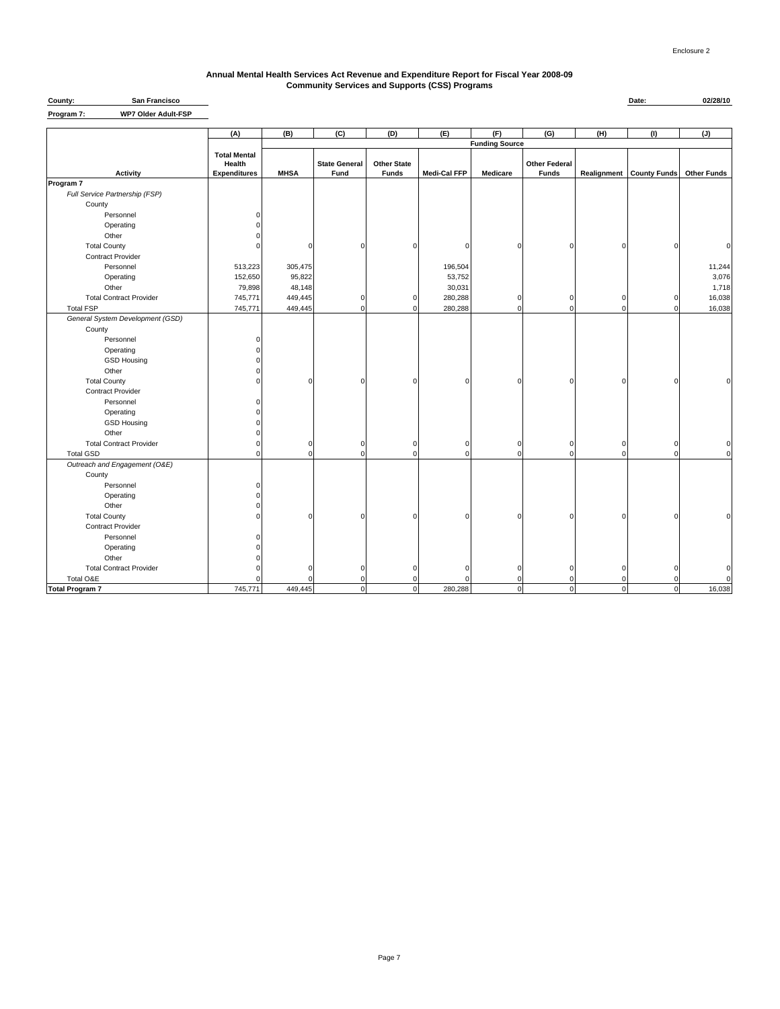| County:                | San Francisco                    |                                                      |             |                              |                                    |                     |                       |                                      |             | Date:                    | 02/28/10           |
|------------------------|----------------------------------|------------------------------------------------------|-------------|------------------------------|------------------------------------|---------------------|-----------------------|--------------------------------------|-------------|--------------------------|--------------------|
| Program 7:             | WP7 Older Adult-FSP              |                                                      |             |                              |                                    |                     |                       |                                      |             |                          |                    |
|                        |                                  | (A)                                                  | (B)         | (C)                          | (D)                                | (E)                 | (F)                   | (G)                                  | (H)         | (1)                      | (J)                |
|                        |                                  |                                                      |             |                              |                                    |                     | <b>Funding Source</b> |                                      |             |                          |                    |
|                        | <b>Activity</b>                  | <b>Total Mental</b><br>Health<br><b>Expenditures</b> | <b>MHSA</b> | <b>State General</b><br>Fund | <b>Other State</b><br><b>Funds</b> | <b>Medi-Cal FFP</b> | Medicare              | <b>Other Federal</b><br><b>Funds</b> |             | Realignment County Funds | <b>Other Funds</b> |
| Program 7              |                                  |                                                      |             |                              |                                    |                     |                       |                                      |             |                          |                    |
|                        | Full Service Partnership (FSP)   |                                                      |             |                              |                                    |                     |                       |                                      |             |                          |                    |
|                        | County                           |                                                      |             |                              |                                    |                     |                       |                                      |             |                          |                    |
|                        | Personnel                        | O                                                    |             |                              |                                    |                     |                       |                                      |             |                          |                    |
|                        | Operating                        |                                                      |             |                              |                                    |                     |                       |                                      |             |                          |                    |
|                        | Other                            |                                                      |             |                              |                                    |                     |                       |                                      |             |                          |                    |
|                        | <b>Total County</b>              |                                                      |             | $\mathbf 0$                  |                                    | $\mathbf 0$         | $\Omega$              | $\Omega$                             | $\Omega$    | $\Omega$                 | $\Omega$           |
|                        | <b>Contract Provider</b>         |                                                      |             |                              |                                    |                     |                       |                                      |             |                          |                    |
|                        | Personnel                        | 513,223                                              | 305,475     |                              |                                    | 196,504             |                       |                                      |             |                          | 11,244             |
|                        | Operating                        | 152,650                                              | 95,822      |                              |                                    | 53,752              |                       |                                      |             |                          | 3,076              |
|                        | Other                            | 79,898                                               | 48,148      |                              |                                    | 30,031              |                       |                                      |             |                          | 1,718              |
|                        | <b>Total Contract Provider</b>   | 745,771                                              | 449,445     | $\mathbf 0$                  |                                    | 280,288             | $\Omega$              | O                                    | 0           | ſ                        | 16,038             |
| <b>Total FSP</b>       |                                  | 745,771                                              | 449,445     | $\mathbf 0$                  | $\Omega$                           | 280,288             | $\Omega$              | n                                    | $\mathbf 0$ | $\epsilon$               | 16,038             |
|                        | General System Development (GSD) |                                                      |             |                              |                                    |                     |                       |                                      |             |                          |                    |
|                        | County                           |                                                      |             |                              |                                    |                     |                       |                                      |             |                          |                    |
|                        | Personnel                        | O                                                    |             |                              |                                    |                     |                       |                                      |             |                          |                    |
|                        | Operating                        |                                                      |             |                              |                                    |                     |                       |                                      |             |                          |                    |
|                        | <b>GSD Housing</b>               |                                                      |             |                              |                                    |                     |                       |                                      |             |                          |                    |
|                        | Other                            |                                                      |             |                              |                                    |                     |                       |                                      |             |                          |                    |
|                        | <b>Total County</b>              | O                                                    |             | $\mathbf 0$                  |                                    | $\mathbf 0$         | $\Omega$              | $\Omega$                             | $\Omega$    | $\Omega$                 |                    |
|                        | <b>Contract Provider</b>         |                                                      |             |                              |                                    |                     |                       |                                      |             |                          |                    |
|                        | Personnel                        | ŋ                                                    |             |                              |                                    |                     |                       |                                      |             |                          |                    |
|                        | Operating                        |                                                      |             |                              |                                    |                     |                       |                                      |             |                          |                    |
|                        | <b>GSD Housing</b>               |                                                      |             |                              |                                    |                     |                       |                                      |             |                          |                    |
|                        | Other                            |                                                      |             |                              |                                    |                     |                       |                                      |             |                          |                    |
|                        | <b>Total Contract Provider</b>   | U                                                    | 0           | $\mathbf 0$                  | $\Omega$                           | $\mathsf{O}\xspace$ | 0                     | $\Omega$                             | 0           | $\Omega$                 | 0                  |
| <b>Total GSD</b>       |                                  | $\mathbf 0$                                          | U           | $\mathbf 0$                  | n                                  | $\mathbf 0$         | $\Omega$              | n                                    | $\Omega$    | $\Omega$                 | 0                  |
|                        | Outreach and Engagement (O&E)    |                                                      |             |                              |                                    |                     |                       |                                      |             |                          |                    |
|                        | County                           |                                                      |             |                              |                                    |                     |                       |                                      |             |                          |                    |
|                        | Personnel                        | ŋ                                                    |             |                              |                                    |                     |                       |                                      |             |                          |                    |
|                        | Operating                        |                                                      |             |                              |                                    |                     |                       |                                      |             |                          |                    |
|                        | Other                            |                                                      |             |                              |                                    |                     |                       |                                      |             |                          |                    |
|                        | <b>Total County</b>              |                                                      |             | $\mathbf 0$                  |                                    | $\mathbf 0$         | $\Omega$              |                                      | $\Omega$    | $\Omega$                 | 0                  |
|                        | <b>Contract Provider</b>         |                                                      |             |                              |                                    |                     |                       |                                      |             |                          |                    |
|                        | Personnel                        | ŋ                                                    |             |                              |                                    |                     |                       |                                      |             |                          |                    |
|                        | Operating                        |                                                      |             |                              |                                    |                     |                       |                                      |             |                          |                    |
|                        | Other                            |                                                      |             |                              |                                    |                     |                       |                                      |             |                          |                    |
|                        | <b>Total Contract Provider</b>   |                                                      |             | $\mathsf 0$                  |                                    | $\mathbf 0$         | $\Omega$              | ŋ                                    | $\Omega$    | C                        | n                  |
| Total O&E              |                                  | O                                                    |             | $\mathbf 0$                  | $\Omega$                           | $\mathbf 0$         | $\Omega$              | n                                    | $\Omega$    |                          | $\mathbf 0$        |
| <b>Total Program 7</b> |                                  | 745,771                                              | 449,445     | $\mathbf 0$                  | $\mathbf 0$                        | 280,288             | $\mathbf 0$           | $\Omega$                             | $\mathbf 0$ | $\mathbf 0$              | 16,038             |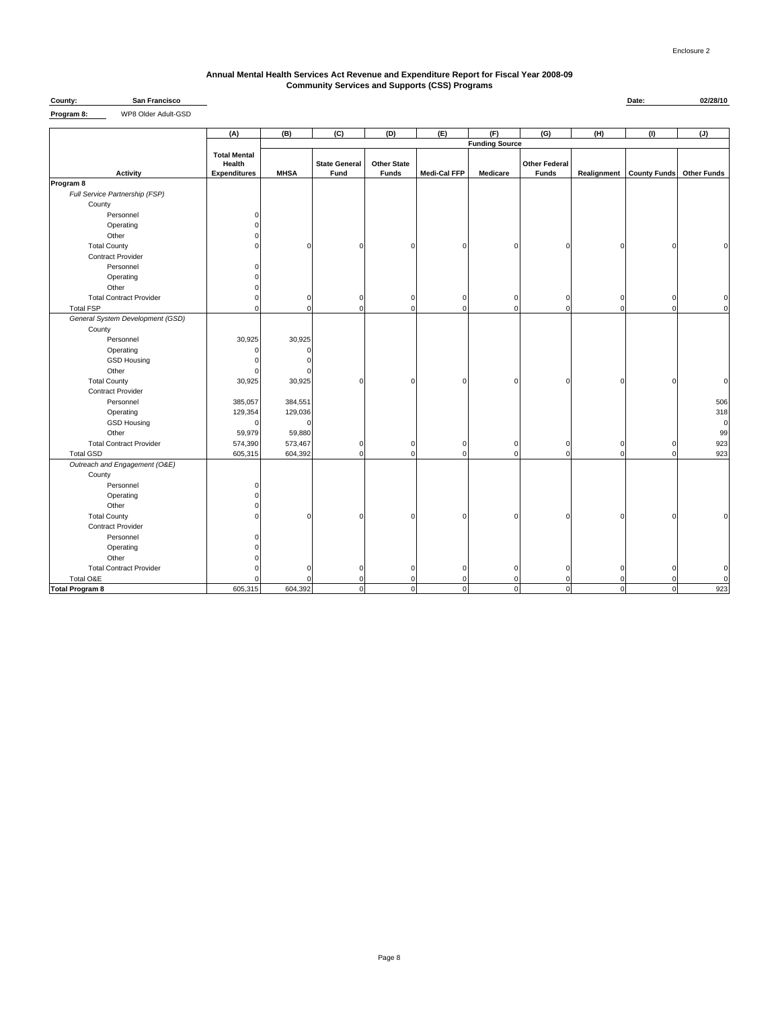**San Francisco**

| Program 8:<br>WP8 Older Adult-GSD |                                                      |             |                              |                                    |                     |                       |                                      |             |                     |                    |
|-----------------------------------|------------------------------------------------------|-------------|------------------------------|------------------------------------|---------------------|-----------------------|--------------------------------------|-------------|---------------------|--------------------|
|                                   | (A)                                                  | (B)         | (C)                          | (D)                                | (E)                 | (F)                   | (G)                                  | (H)         | (1)                 | (J)                |
|                                   |                                                      |             |                              |                                    |                     | <b>Funding Source</b> |                                      |             |                     |                    |
| Activity                          | <b>Total Mental</b><br>Health<br><b>Expenditures</b> | <b>MHSA</b> | <b>State General</b><br>Fund | <b>Other State</b><br><b>Funds</b> | <b>Medi-Cal FFP</b> | Medicare              | <b>Other Federal</b><br><b>Funds</b> | Realignment | <b>County Funds</b> | <b>Other Funds</b> |
| Program 8                         |                                                      |             |                              |                                    |                     |                       |                                      |             |                     |                    |
| Full Service Partnership (FSP)    |                                                      |             |                              |                                    |                     |                       |                                      |             |                     |                    |
| County                            |                                                      |             |                              |                                    |                     |                       |                                      |             |                     |                    |
| Personnel                         |                                                      |             |                              |                                    |                     |                       |                                      |             |                     |                    |
| Operating                         |                                                      |             |                              |                                    |                     |                       |                                      |             |                     |                    |
| Other                             |                                                      |             |                              |                                    |                     |                       |                                      |             |                     |                    |
| <b>Total County</b>               |                                                      | $\Omega$    | O                            | $\Omega$                           | $\Omega$            | $\Omega$              | $\Omega$                             | $\Omega$    | $\Omega$            |                    |
| <b>Contract Provider</b>          |                                                      |             |                              |                                    |                     |                       |                                      |             |                     |                    |
| Personnel                         |                                                      |             |                              |                                    |                     |                       |                                      |             |                     |                    |
| Operating                         |                                                      |             |                              |                                    |                     |                       |                                      |             |                     |                    |
| Other                             |                                                      |             |                              |                                    |                     |                       |                                      |             |                     |                    |
| <b>Total Contract Provider</b>    |                                                      | 0           | 0                            | 0                                  | $\Omega$            | O                     | $\Omega$                             | $\Omega$    | $\Omega$            | C                  |
| <b>Total FSP</b>                  |                                                      | $\mathbf 0$ | $\mathbf 0$                  | $\mathbf 0$                        | $\Omega$            | O                     | $\Omega$                             | $\mathbf 0$ | $\Omega$            | $\mathbf{0}$       |
| General System Development (GSD)  |                                                      |             |                              |                                    |                     |                       |                                      |             |                     |                    |
| County                            |                                                      |             |                              |                                    |                     |                       |                                      |             |                     |                    |
| Personnel                         | 30,925                                               | 30,925      |                              |                                    |                     |                       |                                      |             |                     |                    |
| Operating                         |                                                      | $\Omega$    |                              |                                    |                     |                       |                                      |             |                     |                    |
| <b>GSD Housing</b>                |                                                      | $\Omega$    |                              |                                    |                     |                       |                                      |             |                     |                    |
| Other                             |                                                      |             |                              |                                    |                     |                       |                                      |             |                     |                    |
| <b>Total County</b>               | 30,925                                               | 30,925      | U                            | 0                                  | $\mathbf 0$         | $\Omega$              | $\Omega$                             | $\Omega$    | O                   |                    |
| <b>Contract Provider</b>          |                                                      |             |                              |                                    |                     |                       |                                      |             |                     |                    |
| Personnel                         | 385,057                                              | 384,551     |                              |                                    |                     |                       |                                      |             |                     | 506                |
| Operating                         | 129,354                                              | 129,036     |                              |                                    |                     |                       |                                      |             |                     | 318                |
| <b>GSD Housing</b>                |                                                      | $\Omega$    |                              |                                    |                     |                       |                                      |             |                     | C                  |
| Other                             | 59,979                                               | 59,880      |                              |                                    |                     |                       |                                      |             |                     | 99                 |
| <b>Total Contract Provider</b>    | 574,390                                              | 573,467     | $\mathbf 0$                  | 0                                  | 0                   | U                     | $\Omega$                             | 0           | n                   | 923                |
| <b>Total GSD</b>                  | 605,315                                              | 604,392     | $\Omega$                     | $\mathbf 0$                        | $\Omega$            | C                     | $\Omega$                             | $\Omega$    | n                   | 923                |
| Outreach and Engagement (O&E)     |                                                      |             |                              |                                    |                     |                       |                                      |             |                     |                    |
| County                            |                                                      |             |                              |                                    |                     |                       |                                      |             |                     |                    |
| Personnel                         |                                                      |             |                              |                                    |                     |                       |                                      |             |                     |                    |
| Operating                         |                                                      |             |                              |                                    |                     |                       |                                      |             |                     |                    |
| Other                             |                                                      |             |                              |                                    |                     |                       |                                      |             |                     |                    |
| <b>Total County</b>               |                                                      | $\Omega$    | O                            | $\Omega$                           | $\Omega$            | O                     | $\Omega$                             | $\Omega$    | $\Omega$            |                    |
| <b>Contract Provider</b>          |                                                      |             |                              |                                    |                     |                       |                                      |             |                     |                    |
| Personnel                         |                                                      |             |                              |                                    |                     |                       |                                      |             |                     |                    |
| Operating                         |                                                      |             |                              |                                    |                     |                       |                                      |             |                     |                    |
| Other                             |                                                      |             |                              |                                    |                     |                       |                                      |             |                     |                    |
| <b>Total Contract Provider</b>    |                                                      | n           | $\Omega$                     | 0                                  | 0                   |                       | 0                                    | $\Omega$    | O                   |                    |
| Total O&E                         |                                                      | $\Omega$    | $\Omega$                     | $\mathbf 0$                        | $\Omega$            | n                     | $\Omega$                             | $\Omega$    | O                   | O                  |
| <b>Total Program 8</b>            | 605,315                                              | 604,392     | $\mathbf{0}$                 | $\mathbf 0$                        | $\mathbf 0$         | $\Omega$              | $\Omega$                             | $\mathbf 0$ | $\Omega$            | 923                |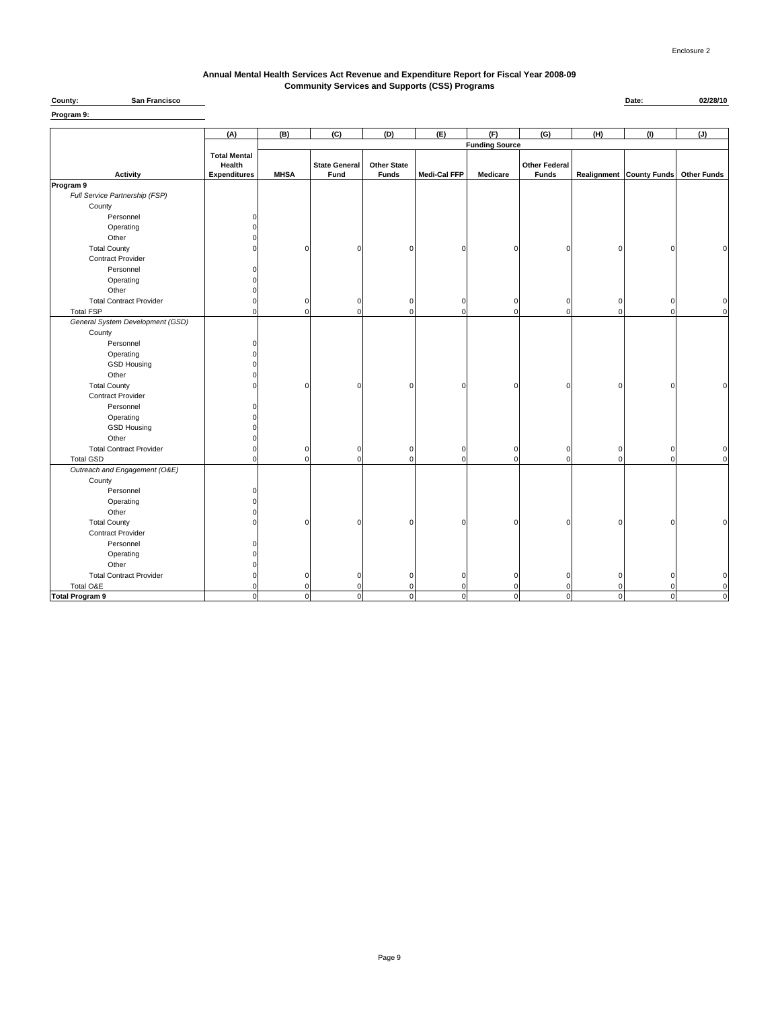| Program 9:                       |                                                      |             |                              |                                    |                     |                       |                                      |          |                                      |              |
|----------------------------------|------------------------------------------------------|-------------|------------------------------|------------------------------------|---------------------|-----------------------|--------------------------------------|----------|--------------------------------------|--------------|
|                                  | (A)                                                  | (B)         | (C)                          | (D)                                | (E)                 | (F)                   | (G)                                  | (H)      | (1)                                  | (J)          |
|                                  |                                                      |             |                              |                                    |                     | <b>Funding Source</b> |                                      |          |                                      |              |
| <b>Activity</b>                  | <b>Total Mental</b><br>Health<br><b>Expenditures</b> | <b>MHSA</b> | <b>State General</b><br>Fund | <b>Other State</b><br><b>Funds</b> | <b>Medi-Cal FFP</b> | <b>Medicare</b>       | <b>Other Federal</b><br><b>Funds</b> |          | Realignment County Funds Other Funds |              |
| Program 9                        |                                                      |             |                              |                                    |                     |                       |                                      |          |                                      |              |
| Full Service Partnership (FSP)   |                                                      |             |                              |                                    |                     |                       |                                      |          |                                      |              |
| County                           |                                                      |             |                              |                                    |                     |                       |                                      |          |                                      |              |
| Personnel                        | $\Omega$                                             |             |                              |                                    |                     |                       |                                      |          |                                      |              |
| Operating                        | $\Omega$                                             |             |                              |                                    |                     |                       |                                      |          |                                      |              |
| Other                            |                                                      |             |                              |                                    |                     |                       |                                      |          |                                      |              |
| <b>Total County</b>              |                                                      | n           | n                            | $\Omega$                           | $\Omega$            | n                     | $\mathbf 0$                          | O        | $\mathbf 0$                          |              |
| <b>Contract Provider</b>         |                                                      |             |                              |                                    |                     |                       |                                      |          |                                      |              |
| Personnel                        |                                                      |             |                              |                                    |                     |                       |                                      |          |                                      |              |
| Operating                        |                                                      |             |                              |                                    |                     |                       |                                      |          |                                      |              |
| Other                            |                                                      |             |                              |                                    |                     |                       |                                      |          |                                      |              |
| <b>Total Contract Provider</b>   | $\Omega$                                             | $\Omega$    | 0                            | 0                                  | 0                   | <sup>0</sup>          | $\pmb{0}$                            | 0        | $\mathbf 0$                          | $\Omega$     |
| <b>Total FSP</b>                 | $\mathbf 0$                                          | $\Omega$    | $\Omega$                     | $\Omega$                           | $\Omega$            | O                     | $\mathbf 0$                          | $\Omega$ | $\mathbf 0$                          | $\mathbf{0}$ |
| General System Development (GSD) |                                                      |             |                              |                                    |                     |                       |                                      |          |                                      |              |
| County                           |                                                      |             |                              |                                    |                     |                       |                                      |          |                                      |              |
| Personnel                        | $\Omega$                                             |             |                              |                                    |                     |                       |                                      |          |                                      |              |
| Operating                        | $\Omega$                                             |             |                              |                                    |                     |                       |                                      |          |                                      |              |
| <b>GSD Housing</b>               |                                                      |             |                              |                                    |                     |                       |                                      |          |                                      |              |
| Other                            |                                                      |             |                              |                                    |                     |                       |                                      |          |                                      |              |
| <b>Total County</b>              |                                                      |             |                              |                                    | $\Omega$            |                       | $\Omega$                             |          | $\mathbf 0$                          |              |
| <b>Contract Provider</b>         |                                                      |             |                              |                                    |                     |                       |                                      |          |                                      |              |
| Personnel                        |                                                      |             |                              |                                    |                     |                       |                                      |          |                                      |              |
| Operating                        |                                                      |             |                              |                                    |                     |                       |                                      |          |                                      |              |
| <b>GSD Housing</b>               | n                                                    |             |                              |                                    |                     |                       |                                      |          |                                      |              |
| Other                            | n                                                    |             |                              |                                    |                     |                       |                                      |          |                                      |              |
| <b>Total Contract Provider</b>   | $\Omega$                                             | $\Omega$    | $\Omega$                     | $\Omega$                           | $\Omega$            | O                     | $\mathbf 0$                          | $\Omega$ | $\mathbf 0$                          | $\Omega$     |
| <b>Total GSD</b>                 | $\mathbf 0$                                          | $\Omega$    | $\mathbf 0$                  | $\Omega$                           | $\Omega$            | $\Omega$              | $\pmb{0}$                            | $\Omega$ | $\mathbf 0$                          | $\mathbf 0$  |
| Outreach and Engagement (O&E)    |                                                      |             |                              |                                    |                     |                       |                                      |          |                                      |              |
| County                           |                                                      |             |                              |                                    |                     |                       |                                      |          |                                      |              |
| Personnel                        | $\Omega$                                             |             |                              |                                    |                     |                       |                                      |          |                                      |              |
| Operating                        | $\Omega$                                             |             |                              |                                    |                     |                       |                                      |          |                                      |              |
| Other                            |                                                      |             |                              |                                    |                     |                       |                                      |          |                                      |              |
| <b>Total County</b>              | n                                                    | $\Omega$    | $\Omega$                     | $\Omega$                           | $\mathbf 0$         | <sup>n</sup>          | $\mathbf 0$                          | $\Omega$ | $\mathbf 0$                          |              |
| <b>Contract Provider</b>         |                                                      |             |                              |                                    |                     |                       |                                      |          |                                      |              |
| Personnel                        |                                                      |             |                              |                                    |                     |                       |                                      |          |                                      |              |
| Operating                        |                                                      |             |                              |                                    |                     |                       |                                      |          |                                      |              |
| Other                            | n                                                    |             |                              |                                    |                     |                       |                                      |          |                                      |              |
| <b>Total Contract Provider</b>   | $\Omega$                                             | $\Omega$    | 0                            | 0                                  | $\Omega$            | O                     | 0                                    | $\Omega$ | $\mathbf 0$                          | $\Omega$     |
| Total O&E                        | $\Omega$                                             | $\Omega$    | $\Omega$                     | $\Omega$                           | $\Omega$            | O                     | $\Omega$                             | O        | $\mathbf 0$                          | $\Omega$     |
| <b>Total Program 9</b>           | $\mathbf 0$                                          | $\Omega$    | $\mathbf 0$                  | $\Omega$                           | $\mathbf 0$         | $\Omega$              | $\mathbf 0$                          | $\Omega$ | $\mathbf 0$                          | $\Omega$     |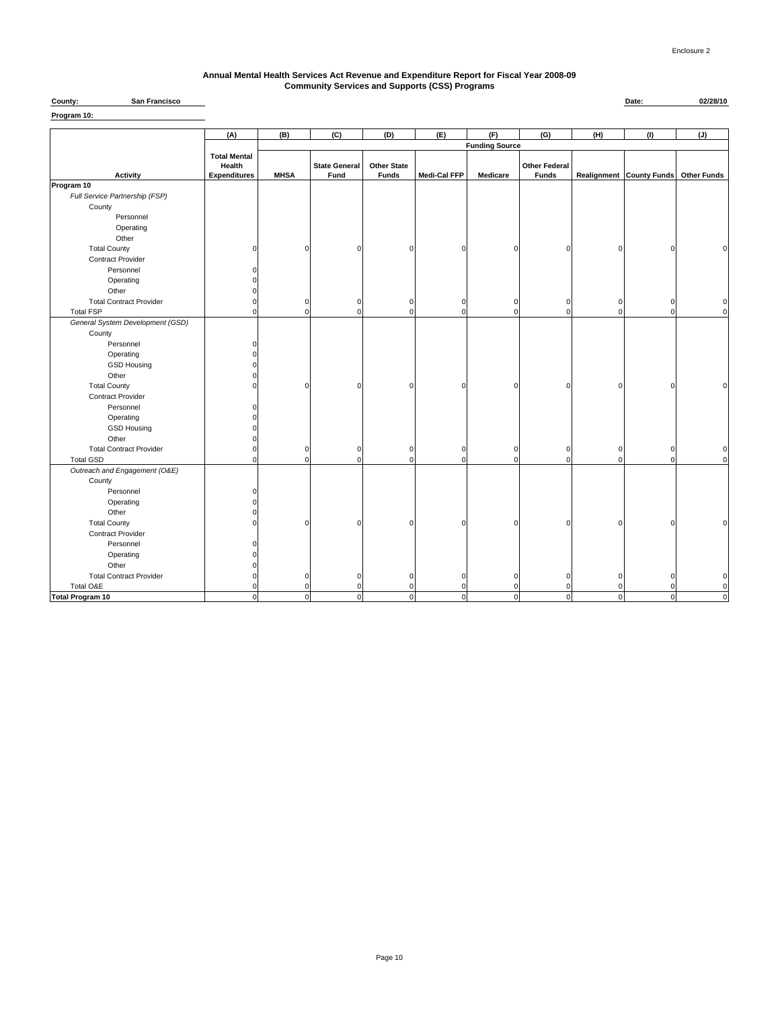| Program 10:                      |                               |             |                      |                    |              |                       |                      |              |                                 |                    |
|----------------------------------|-------------------------------|-------------|----------------------|--------------------|--------------|-----------------------|----------------------|--------------|---------------------------------|--------------------|
|                                  | (A)                           | (B)         | (C)                  | (D)                | (E)          | (F)                   | (G)                  | (H)          | (1)                             | (J)                |
|                                  |                               |             |                      |                    |              | <b>Funding Source</b> |                      |              |                                 |                    |
|                                  | <b>Total Mental</b><br>Health |             | <b>State General</b> | <b>Other State</b> |              |                       | <b>Other Federal</b> |              |                                 |                    |
| <b>Activity</b><br>Program 10    | <b>Expenditures</b>           | <b>MHSA</b> | Fund                 | <b>Funds</b>       | Medi-Cal FFP | Medicare              | <b>Funds</b>         |              | <b>Realignment County Funds</b> | <b>Other Funds</b> |
| Full Service Partnership (FSP)   |                               |             |                      |                    |              |                       |                      |              |                                 |                    |
| County                           |                               |             |                      |                    |              |                       |                      |              |                                 |                    |
| Personnel                        |                               |             |                      |                    |              |                       |                      |              |                                 |                    |
| Operating                        |                               |             |                      |                    |              |                       |                      |              |                                 |                    |
| Other                            |                               |             |                      |                    |              |                       |                      |              |                                 |                    |
| <b>Total County</b>              | O                             | n           | n                    | $\Omega$           | $\Omega$     |                       | $\mathbf 0$          | O            | $\mathbf 0$                     | $\Omega$           |
| <b>Contract Provider</b>         |                               |             |                      |                    |              |                       |                      |              |                                 |                    |
| Personnel                        |                               |             |                      |                    |              |                       |                      |              |                                 |                    |
| Operating                        |                               |             |                      |                    |              |                       |                      |              |                                 |                    |
| Other                            | $\Omega$                      |             |                      |                    |              |                       |                      |              |                                 |                    |
| <b>Total Contract Provider</b>   | $\mathbf 0$                   | $\Omega$    | 0                    | 0                  | 0            | $\Omega$              | $\mathbf 0$          | $\Omega$     | $\mathbf 0$                     | $\Omega$           |
| <b>Total FSP</b>                 | $\Omega$                      | $\Omega$    | $\Omega$             | $\Omega$           | $\Omega$     | n                     | $\Omega$             | $\Omega$     | $\mathbf 0$                     | $\Omega$           |
| General System Development (GSD) |                               |             |                      |                    |              |                       |                      |              |                                 |                    |
| County                           |                               |             |                      |                    |              |                       |                      |              |                                 |                    |
| Personnel                        | 0                             |             |                      |                    |              |                       |                      |              |                                 |                    |
| Operating                        | $\Omega$                      |             |                      |                    |              |                       |                      |              |                                 |                    |
| <b>GSD Housing</b>               |                               |             |                      |                    |              |                       |                      |              |                                 |                    |
| Other                            |                               |             |                      |                    |              |                       |                      |              |                                 |                    |
| <b>Total County</b>              | n                             | n           | n                    | <sup>0</sup>       | $\mathbf 0$  | n                     | $\mathbf 0$          | <sup>0</sup> | $\mathbf 0$                     |                    |
| <b>Contract Provider</b>         |                               |             |                      |                    |              |                       |                      |              |                                 |                    |
| Personnel                        |                               |             |                      |                    |              |                       |                      |              |                                 |                    |
| Operating                        |                               |             |                      |                    |              |                       |                      |              |                                 |                    |
| <b>GSD Housing</b>               | n                             |             |                      |                    |              |                       |                      |              |                                 |                    |
| Other                            | n                             |             |                      |                    |              |                       |                      |              |                                 |                    |
| <b>Total Contract Provider</b>   | $\mathbf 0$                   | 0           | 0                    | $\Omega$           | $\Omega$     | O                     | $\mathbf 0$          | $\Omega$     | $\mathbf 0$                     | $\mathbf 0$        |
| <b>Total GSD</b>                 | $\Omega$                      | $\Omega$    | $\Omega$             | $\Omega$           | $\Omega$     | $\Omega$              | $\Omega$             | $\Omega$     | $\Omega$                        | $\Omega$           |
| Outreach and Engagement (O&E)    |                               |             |                      |                    |              |                       |                      |              |                                 |                    |
| County                           |                               |             |                      |                    |              |                       |                      |              |                                 |                    |
| Personnel                        | 0                             |             |                      |                    |              |                       |                      |              |                                 |                    |
| Operating                        | $\Omega$                      |             |                      |                    |              |                       |                      |              |                                 |                    |
| Other                            | n                             |             |                      |                    |              |                       |                      |              |                                 |                    |
| <b>Total County</b>              | n                             | $\Omega$    | n                    | $\Omega$           | $\Omega$     | n                     | $\mathbf 0$          | n            | $\mathbf 0$                     |                    |
| <b>Contract Provider</b>         |                               |             |                      |                    |              |                       |                      |              |                                 |                    |
| Personnel                        | n                             |             |                      |                    |              |                       |                      |              |                                 |                    |
| Operating                        | O                             |             |                      |                    |              |                       |                      |              |                                 |                    |
| Other                            | n                             |             |                      |                    |              |                       |                      |              |                                 |                    |
| <b>Total Contract Provider</b>   | $\mathbf 0$                   | 0           | $\mathbf 0$          | 0                  | $\Omega$     | O                     | $\mathbf 0$          | O            | $\mathbf 0$                     | $\Omega$           |
| Total O&E                        | $\mathbf 0$                   | $\Omega$    | $\mathbf 0$          | O                  | $\Omega$     | O                     | $\mathbf 0$          |              | $\mathbf 0$                     | $\mathbf 0$        |
| Total Program 10                 | $\mathbf 0$                   | $\Omega$    | $\mathbf 0$          | $\Omega$           | $\mathbf 0$  | $\Omega$              | $\mathbf 0$          | $\Omega$     | $\mathbf 0$                     | $\Omega$           |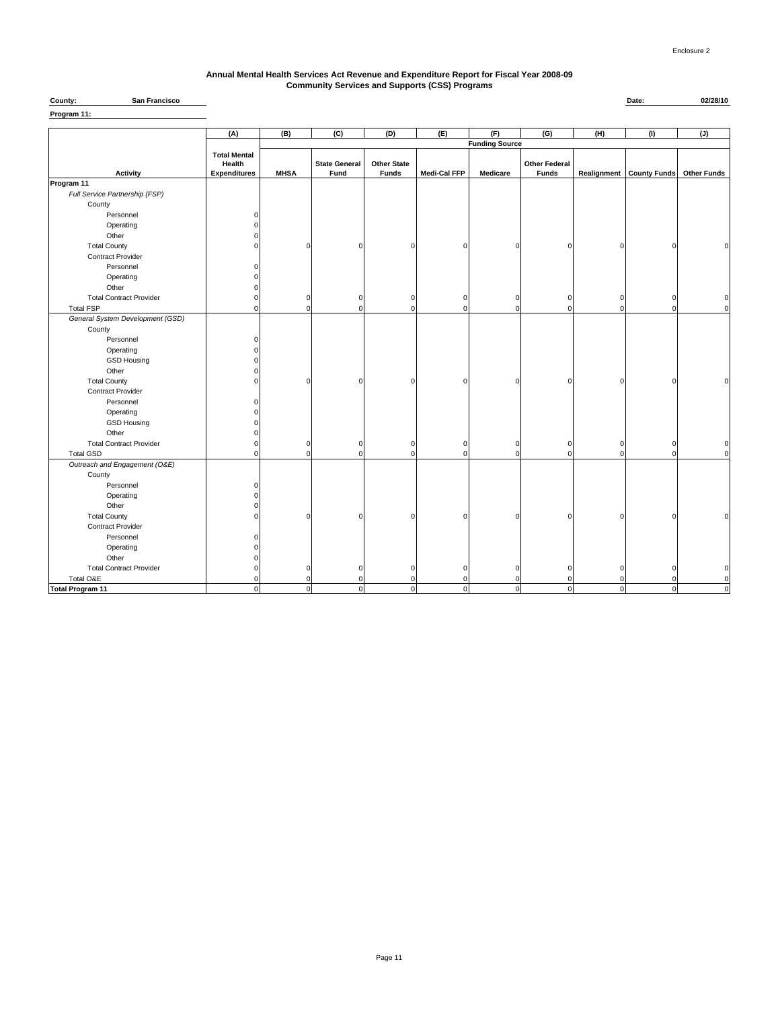**County: Date: 02/28/10 Program 11: San Francisco**

|                                  | (A)                           | (B)         | (C)                          | (D)                                | (E)                 | (F)                   | (G)                                  | (H)      | (1)                      | (J)                |
|----------------------------------|-------------------------------|-------------|------------------------------|------------------------------------|---------------------|-----------------------|--------------------------------------|----------|--------------------------|--------------------|
|                                  |                               |             |                              |                                    |                     | <b>Funding Source</b> |                                      |          |                          |                    |
|                                  | <b>Total Mental</b>           |             |                              |                                    |                     |                       |                                      |          |                          |                    |
| Activity                         | Health<br><b>Expenditures</b> | <b>MHSA</b> | <b>State General</b><br>Fund | <b>Other State</b><br><b>Funds</b> | <b>Medi-Cal FFP</b> | Medicare              | <b>Other Federal</b><br><b>Funds</b> |          | Realignment County Funds | <b>Other Funds</b> |
| Program 11                       |                               |             |                              |                                    |                     |                       |                                      |          |                          |                    |
| Full Service Partnership (FSP)   |                               |             |                              |                                    |                     |                       |                                      |          |                          |                    |
| County                           |                               |             |                              |                                    |                     |                       |                                      |          |                          |                    |
| Personnel                        | $\mathbf 0$                   |             |                              |                                    |                     |                       |                                      |          |                          |                    |
| Operating                        | $\Omega$                      |             |                              |                                    |                     |                       |                                      |          |                          |                    |
| Other                            |                               |             |                              |                                    |                     |                       |                                      |          |                          |                    |
| <b>Total County</b>              | $\Omega$                      | $\mathbf 0$ | n                            | $\mathbf 0$                        | $\Omega$            | $\mathbf 0$           | C                                    | n        | $\mathbf 0$              | C                  |
| <b>Contract Provider</b>         |                               |             |                              |                                    |                     |                       |                                      |          |                          |                    |
| Personnel                        | $\Omega$                      |             |                              |                                    |                     |                       |                                      |          |                          |                    |
| Operating                        |                               |             |                              |                                    |                     |                       |                                      |          |                          |                    |
| Other                            |                               |             |                              |                                    |                     |                       |                                      |          |                          |                    |
| <b>Total Contract Provider</b>   | $\Omega$                      | 0           | $\Omega$                     | $\mathbf 0$                        | 0                   | 0                     | $\Omega$                             | 0        | $\mathbf 0$              | $\mathbf 0$        |
| <b>Total FSP</b>                 | $\mathbf 0$                   | $\pmb{0}$   | 0                            | $\mathbf 0$                        | $\mathbf 0$         | $\mathsf 0$           | $\Omega$                             | $\Omega$ | $\mathbf 0$              | $\mathbf 0$        |
| General System Development (GSD) |                               |             |                              |                                    |                     |                       |                                      |          |                          |                    |
| County                           |                               |             |                              |                                    |                     |                       |                                      |          |                          |                    |
| Personnel                        | $\Omega$                      |             |                              |                                    |                     |                       |                                      |          |                          |                    |
| Operating                        | O                             |             |                              |                                    |                     |                       |                                      |          |                          |                    |
| <b>GSD Housing</b>               | $\Omega$                      |             |                              |                                    |                     |                       |                                      |          |                          |                    |
| Other                            | $\Omega$                      |             |                              |                                    |                     |                       |                                      |          |                          |                    |
| <b>Total County</b>              | $\Omega$                      | 0           | $\cap$                       | $\mathbf 0$                        | $\Omega$            | $\mathbf 0$           | C                                    | $\Omega$ | $\Omega$                 | n                  |
| <b>Contract Provider</b>         |                               |             |                              |                                    |                     |                       |                                      |          |                          |                    |
| Personnel                        | $\Omega$                      |             |                              |                                    |                     |                       |                                      |          |                          |                    |
| Operating                        |                               |             |                              |                                    |                     |                       |                                      |          |                          |                    |
| <b>GSD Housing</b>               | $\Omega$                      |             |                              |                                    |                     |                       |                                      |          |                          |                    |
| Other                            |                               |             |                              |                                    |                     |                       |                                      |          |                          |                    |
| <b>Total Contract Provider</b>   | $\Omega$                      | $\pmb{0}$   | 0                            | $\mathbf 0$                        | $\mathbf 0$         | $\mathbf 0$           | $\Omega$                             | 0        | $\mathbf 0$              | $\mathbf 0$        |
| <b>Total GSD</b>                 | $\Omega$                      | $\mathbf 0$ | $\Omega$                     | $\mathbf 0$                        | $\Omega$            | 0                     | $\Omega$                             | $\Omega$ | $\mathbf 0$              | $\mathbf 0$        |
| Outreach and Engagement (O&E)    |                               |             |                              |                                    |                     |                       |                                      |          |                          |                    |
| County                           |                               |             |                              |                                    |                     |                       |                                      |          |                          |                    |
| Personnel                        | $\Omega$                      |             |                              |                                    |                     |                       |                                      |          |                          |                    |
| Operating                        | $\Omega$                      |             |                              |                                    |                     |                       |                                      |          |                          |                    |
| Other                            | $\Omega$                      |             |                              |                                    |                     |                       |                                      |          |                          |                    |
| <b>Total County</b>              |                               | $\mathbf 0$ |                              | $\mathbf 0$                        | $\Omega$            | $\mathbf 0$           | $\sqrt{ }$                           | O        | $\mathbf 0$              | 0                  |
| <b>Contract Provider</b>         |                               |             |                              |                                    |                     |                       |                                      |          |                          |                    |
| Personnel                        |                               |             |                              |                                    |                     |                       |                                      |          |                          |                    |
| Operating                        |                               |             |                              |                                    |                     |                       |                                      |          |                          |                    |
| Other                            | O                             |             |                              |                                    |                     |                       |                                      |          |                          |                    |
| <b>Total Contract Provider</b>   | $\Omega$                      | $\pmb{0}$   | 0                            | $\mathbf 0$                        | $\mathbf 0$         | $\mathbf 0$           | C                                    | $\Omega$ | $\mathbf 0$              | $\mathbf 0$        |
| Total O&E                        | $\Omega$                      | $\mathbf 0$ | 0                            | $\mathbf 0$                        | $\Omega$            | $\Omega$              | $\Omega$                             |          | $\Omega$                 | 0                  |
| <b>Total Program 11</b>          | $\Omega$                      | $\mathbf 0$ | $\mathbf 0$                  | $\mathbf 0$                        | $\Omega$            | $\mathbf 0$           | $\Omega$                             | $\Omega$ | $\Omega$                 | $\mathbf 0$        |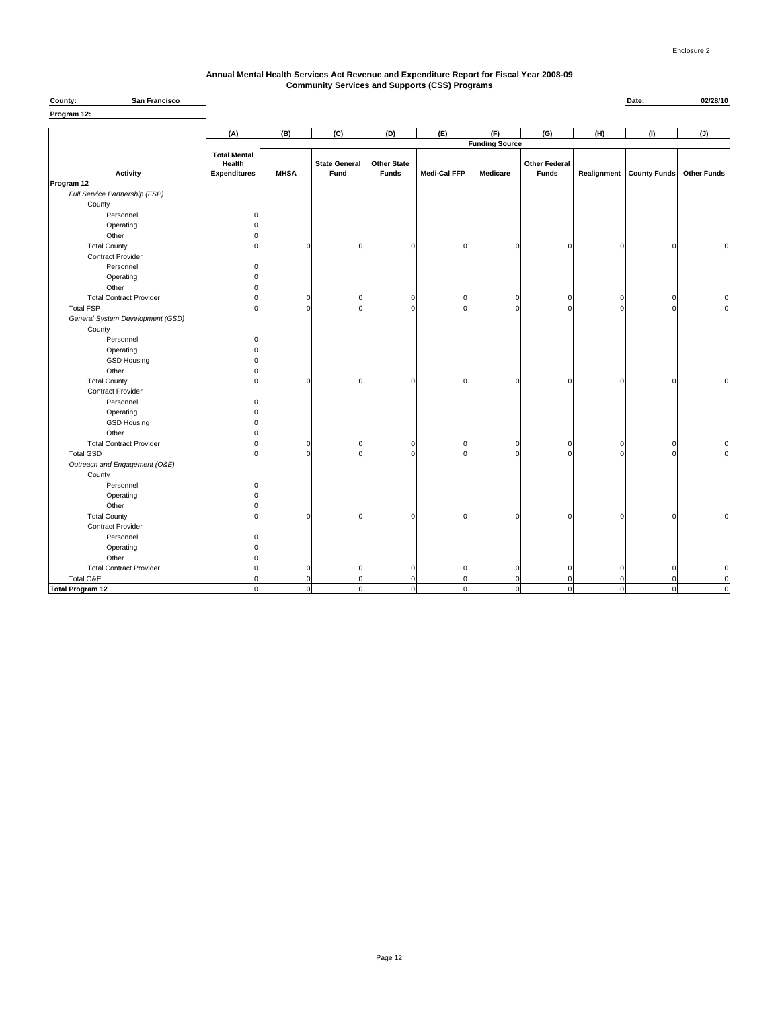**County: Date: 02/28/10 Program 12: San Francisco**

|                                  | (A)                           | (B)         | (C)                          | (D)                                | (E)                 | (F)                   | (G)                                  | (H)      | (1)                      | (J)                |
|----------------------------------|-------------------------------|-------------|------------------------------|------------------------------------|---------------------|-----------------------|--------------------------------------|----------|--------------------------|--------------------|
|                                  |                               |             |                              |                                    |                     | <b>Funding Source</b> |                                      |          |                          |                    |
|                                  | <b>Total Mental</b>           |             |                              |                                    |                     |                       |                                      |          |                          |                    |
| Activity                         | Health<br><b>Expenditures</b> | <b>MHSA</b> | <b>State General</b><br>Fund | <b>Other State</b><br><b>Funds</b> | <b>Medi-Cal FFP</b> | Medicare              | <b>Other Federal</b><br><b>Funds</b> |          | Realignment County Funds | <b>Other Funds</b> |
| Program 12                       |                               |             |                              |                                    |                     |                       |                                      |          |                          |                    |
| Full Service Partnership (FSP)   |                               |             |                              |                                    |                     |                       |                                      |          |                          |                    |
| County                           |                               |             |                              |                                    |                     |                       |                                      |          |                          |                    |
| Personnel                        | O                             |             |                              |                                    |                     |                       |                                      |          |                          |                    |
| Operating                        |                               |             |                              |                                    |                     |                       |                                      |          |                          |                    |
| Other                            |                               |             |                              |                                    |                     |                       |                                      |          |                          |                    |
| <b>Total County</b>              |                               | $\mathbf 0$ | $\Omega$                     | 0                                  | $\Omega$            | $\Omega$              | C                                    | $\Omega$ | $\mathbf 0$              | n                  |
| <b>Contract Provider</b>         |                               |             |                              |                                    |                     |                       |                                      |          |                          |                    |
| Personnel                        |                               |             |                              |                                    |                     |                       |                                      |          |                          |                    |
| Operating                        |                               |             |                              |                                    |                     |                       |                                      |          |                          |                    |
| Other                            |                               |             |                              |                                    |                     |                       |                                      |          |                          |                    |
| <b>Total Contract Provider</b>   | n                             | $\mathbf 0$ | 0                            | 0                                  | $^{\circ}$          | 0                     | $\Omega$                             | $\Omega$ | $\mathbf 0$              | 0                  |
| <b>Total FSP</b>                 | $\Omega$                      | $\pmb{0}$   | $\mathbf 0$                  | $\mathbf 0$                        | $\Omega$            | $\Omega$              | $\Omega$                             | $\Omega$ | $\mathbf 0$              | $\mathbf 0$        |
| General System Development (GSD) |                               |             |                              |                                    |                     |                       |                                      |          |                          |                    |
| County                           |                               |             |                              |                                    |                     |                       |                                      |          |                          |                    |
| Personnel                        | $\Omega$                      |             |                              |                                    |                     |                       |                                      |          |                          |                    |
| Operating                        |                               |             |                              |                                    |                     |                       |                                      |          |                          |                    |
| <b>GSD Housing</b>               | n                             |             |                              |                                    |                     |                       |                                      |          |                          |                    |
| Other                            |                               |             |                              |                                    |                     |                       |                                      |          |                          |                    |
| <b>Total County</b>              |                               | $\mathbf 0$ | $\Omega$                     | $\mathbf 0$                        | $\Omega$            | $\Omega$              | C                                    | n        | $\Omega$                 | n                  |
| <b>Contract Provider</b>         |                               |             |                              |                                    |                     |                       |                                      |          |                          |                    |
| Personnel                        | n                             |             |                              |                                    |                     |                       |                                      |          |                          |                    |
| Operating                        |                               |             |                              |                                    |                     |                       |                                      |          |                          |                    |
| <b>GSD Housing</b>               |                               |             |                              |                                    |                     |                       |                                      |          |                          |                    |
| Other                            | n                             |             |                              |                                    |                     |                       |                                      |          |                          |                    |
| <b>Total Contract Provider</b>   | O                             | $\mathbf 0$ | $\mathbf 0$                  | $\mathbf 0$                        | $\Omega$            | 0                     | $\Omega$                             | $\Omega$ | $\mathbf 0$              | $\mathbf 0$        |
| <b>Total GSD</b>                 | $\Omega$                      | $\mathbf 0$ | $\Omega$                     | $\mathbf 0$                        | C                   | O                     | $\Omega$                             | $\Omega$ | $\sqrt{ }$               | $\mathbf 0$        |
| Outreach and Engagement (O&E)    |                               |             |                              |                                    |                     |                       |                                      |          |                          |                    |
| County                           |                               |             |                              |                                    |                     |                       |                                      |          |                          |                    |
| Personnel                        | O                             |             |                              |                                    |                     |                       |                                      |          |                          |                    |
| Operating                        |                               |             |                              |                                    |                     |                       |                                      |          |                          |                    |
| Other                            |                               |             |                              |                                    |                     |                       |                                      |          |                          |                    |
| <b>Total County</b>              |                               | $\mathbf 0$ | $\Omega$                     | $\mathbf 0$                        | $\Omega$            | 0                     | C                                    | $\Omega$ | $\mathbf 0$              | 0                  |
| <b>Contract Provider</b>         |                               |             |                              |                                    |                     |                       |                                      |          |                          |                    |
| Personnel                        |                               |             |                              |                                    |                     |                       |                                      |          |                          |                    |
| Operating                        |                               |             |                              |                                    |                     |                       |                                      |          |                          |                    |
| Other                            | n                             |             |                              |                                    |                     |                       |                                      |          |                          |                    |
| <b>Total Contract Provider</b>   | O                             | $\mathbf 0$ | 0                            | 0                                  | $\Omega$            | $\Omega$              | $\mathsf{C}$                         | $\Omega$ | $\mathbf 0$              | 0                  |
| Total O&E                        | $\Omega$                      | $\mathbf 0$ | $\Omega$                     | $\mathbf 0$                        | C                   | $\Omega$              | $\Omega$                             |          | $\Omega$                 | $\mathbf 0$        |
| <b>Total Program 12</b>          | $\Omega$                      | $\pmb{0}$   | $\Omega$                     | $\mathbf 0$                        | C                   | $\Omega$              | $\mathsf{C}$                         | በ        | $\sqrt{ }$               | $\mathbf 0$        |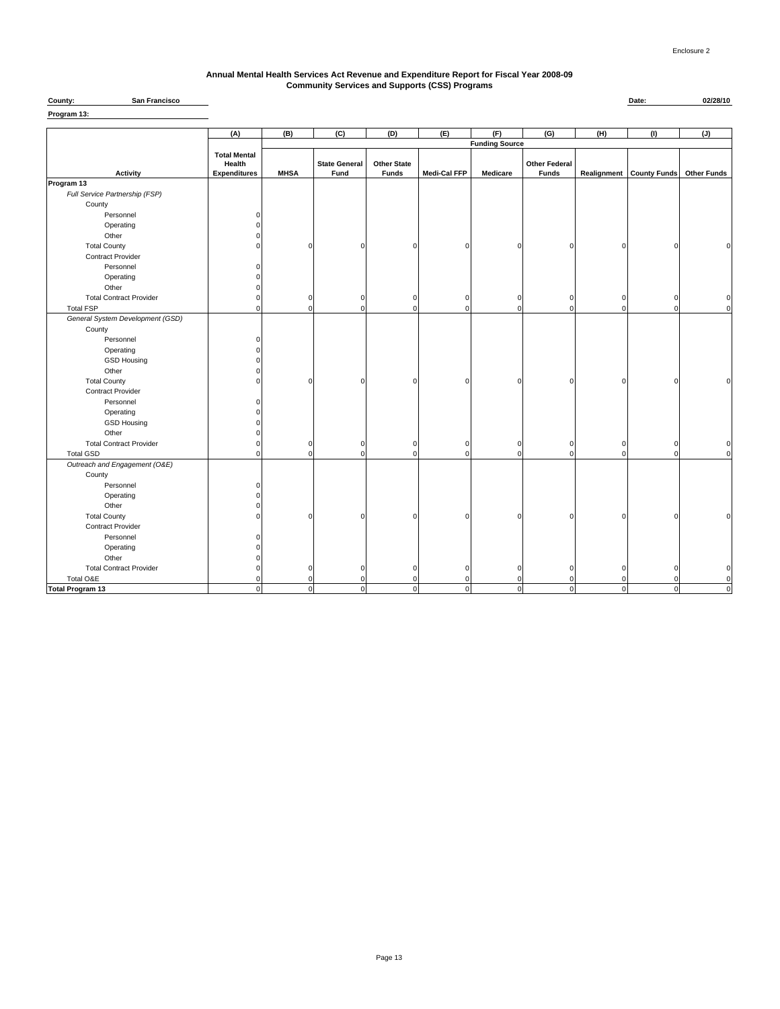| Program 13:                              |                               |             |                      |                    |                     |                       |                      |          |                                 |                    |
|------------------------------------------|-------------------------------|-------------|----------------------|--------------------|---------------------|-----------------------|----------------------|----------|---------------------------------|--------------------|
|                                          | (A)                           | (B)         | (C)                  | (D)                | (E)                 | (F)                   | (G)                  | (H)      | (1)                             | (J)                |
|                                          |                               |             |                      |                    |                     | <b>Funding Source</b> |                      |          |                                 |                    |
|                                          | <b>Total Mental</b><br>Health |             | <b>State General</b> | <b>Other State</b> |                     |                       | <b>Other Federal</b> |          |                                 |                    |
| Activity                                 | <b>Expenditures</b>           | <b>MHSA</b> | Fund                 | <b>Funds</b>       | <b>Medi-Cal FFP</b> | Medicare              | <b>Funds</b>         |          | <b>Realignment County Funds</b> | <b>Other Funds</b> |
| Program 13                               |                               |             |                      |                    |                     |                       |                      |          |                                 |                    |
| Full Service Partnership (FSP)<br>County |                               |             |                      |                    |                     |                       |                      |          |                                 |                    |
| Personnel                                | $\Omega$                      |             |                      |                    |                     |                       |                      |          |                                 |                    |
| Operating                                | $\Omega$                      |             |                      |                    |                     |                       |                      |          |                                 |                    |
| Other                                    | n                             |             |                      |                    |                     |                       |                      |          |                                 |                    |
| <b>Total County</b>                      | $\cap$                        | $\mathbf 0$ | $\Omega$             | $\mathbf 0$        | n                   | $\Omega$              | $\Omega$             |          | $\mathbf 0$                     | $\mathbf 0$        |
| <b>Contract Provider</b>                 |                               |             |                      |                    |                     |                       |                      |          |                                 |                    |
| Personnel                                | n                             |             |                      |                    |                     |                       |                      |          |                                 |                    |
| Operating                                | n                             |             |                      |                    |                     |                       |                      |          |                                 |                    |
| Other                                    | C                             |             |                      |                    |                     |                       |                      |          |                                 |                    |
| <b>Total Contract Provider</b>           | $\Omega$                      | $\mathbf 0$ | $\Omega$             | $\mathbf 0$        | $\Omega$            | 0                     | $^{\circ}$           | n        | $\Omega$                        | $\mathbf 0$        |
| <b>Total FSP</b>                         | $\mathbf 0$                   | $\mathbf 0$ | $\Omega$             | $\mathbf 0$        | $\Omega$            | $\Omega$              | $\mathbf 0$          | $\Omega$ | $\Omega$                        | $\circ$            |
| General System Development (GSD)         |                               |             |                      |                    |                     |                       |                      |          |                                 |                    |
| County                                   |                               |             |                      |                    |                     |                       |                      |          |                                 |                    |
| Personnel                                | $\Omega$                      |             |                      |                    |                     |                       |                      |          |                                 |                    |
| Operating                                | $\Omega$                      |             |                      |                    |                     |                       |                      |          |                                 |                    |
| <b>GSD Housing</b>                       | $\Omega$                      |             |                      |                    |                     |                       |                      |          |                                 |                    |
| Other                                    | C                             |             |                      |                    |                     |                       |                      |          |                                 |                    |
| <b>Total County</b>                      | $\Omega$                      | $\mathbf 0$ | $\Omega$             | $\mathbf 0$        | $\Omega$            | $\mathbf 0$           | $\Omega$             | n        | $\mathbf 0$                     | $\mathbf 0$        |
| <b>Contract Provider</b>                 |                               |             |                      |                    |                     |                       |                      |          |                                 |                    |
| Personnel                                | n                             |             |                      |                    |                     |                       |                      |          |                                 |                    |
| Operating                                |                               |             |                      |                    |                     |                       |                      |          |                                 |                    |
| <b>GSD Housing</b>                       |                               |             |                      |                    |                     |                       |                      |          |                                 |                    |
| Other                                    | n                             |             |                      |                    |                     |                       |                      |          |                                 |                    |
| <b>Total Contract Provider</b>           | $\Omega$                      | $\mathbf 0$ | 0                    | $\pmb{0}$          | $\Omega$            | $\Omega$              | 0                    | $\Omega$ | $\mathbf 0$                     | $\mathbf 0$        |
| <b>Total GSD</b>                         | $\mathbf 0$                   | $\Omega$    | $\Omega$             | $\mathbf 0$        | $\Omega$            | C                     | $\Omega$             | n        | $\Omega$                        | $\circ$            |
| Outreach and Engagement (O&E)            |                               |             |                      |                    |                     |                       |                      |          |                                 |                    |
| County                                   |                               |             |                      |                    |                     |                       |                      |          |                                 |                    |
| Personnel                                | $\Omega$                      |             |                      |                    |                     |                       |                      |          |                                 |                    |
| Operating                                | n                             |             |                      |                    |                     |                       |                      |          |                                 |                    |
| Other                                    | $\Omega$                      |             |                      |                    |                     |                       |                      |          |                                 |                    |
| <b>Total County</b>                      | $\Omega$                      | $\Omega$    | $\Omega$             | $\Omega$           | $\Omega$            | $\Omega$              | $\Omega$             |          | $\Omega$                        | $\Omega$           |
| <b>Contract Provider</b>                 |                               |             |                      |                    |                     |                       |                      |          |                                 |                    |
| Personnel                                |                               |             |                      |                    |                     |                       |                      |          |                                 |                    |
| Operating                                |                               |             |                      |                    |                     |                       |                      |          |                                 |                    |
| Other                                    | n                             |             |                      |                    |                     |                       |                      |          |                                 |                    |
| <b>Total Contract Provider</b>           | $\Omega$                      | $\mathbf 0$ | $\Omega$             | $\mathbf 0$        | $\Omega$            | n                     | $^{\circ}$           |          | O                               | $\mathbf 0$        |
| Total O&E                                | $\Omega$                      | $\Omega$    | $\Omega$             | $\mathbf 0$        | $\Omega$            | C                     | $\Omega$             |          | U                               | $\overline{0}$     |
| Total Program 13                         | $\mathbf 0$                   | $\mathbf 0$ | $\mathsf 0$          | $\mathbf 0$        | 0                   | $\mathbf 0$           | $\mathbf 0$          | $\Omega$ | $\mathbf 0$                     | $\mathbf 0$        |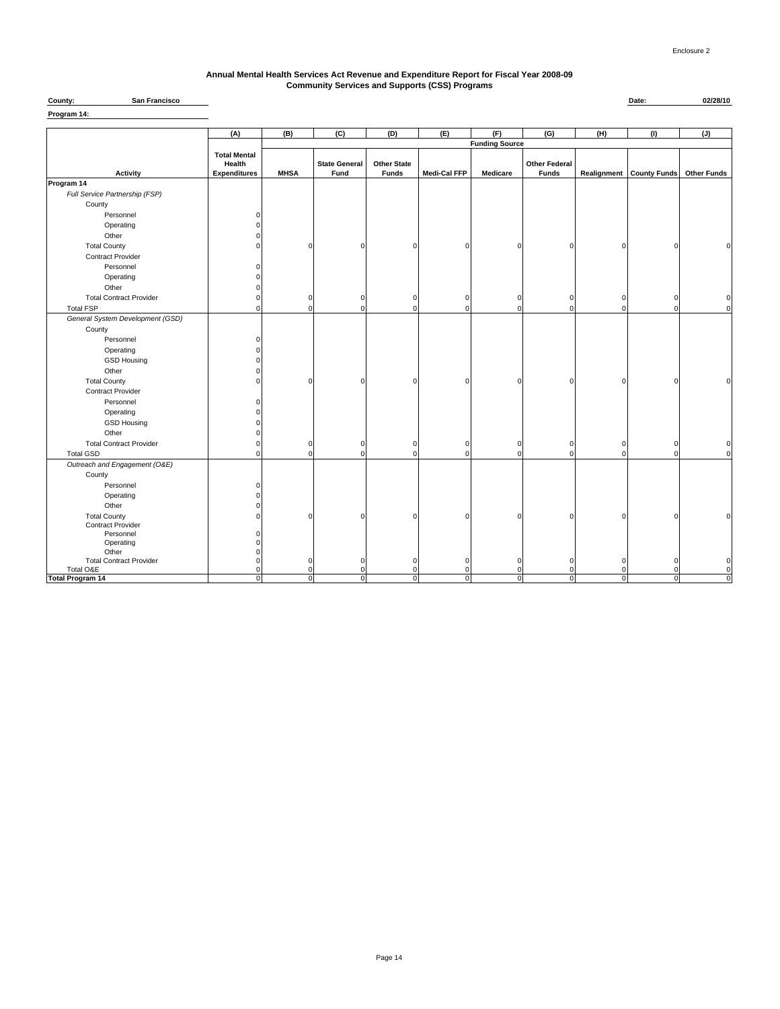**County: Date: 02/28/10 Program 14: San Francisco**

|                                             | (A)                                                  | (B)                  | (C)                          | (D)                         | (E)                  | (F)                      | (G)                                  | (H)                  | (1)                  | (J)                |
|---------------------------------------------|------------------------------------------------------|----------------------|------------------------------|-----------------------------|----------------------|--------------------------|--------------------------------------|----------------------|----------------------|--------------------|
|                                             |                                                      |                      |                              |                             |                      | <b>Funding Source</b>    |                                      |                      |                      |                    |
| <b>Activity</b>                             | <b>Total Mental</b><br>Health<br><b>Expenditures</b> | <b>MHSA</b>          | <b>State General</b><br>Fund | Other State<br><b>Funds</b> | <b>Medi-Cal FFP</b>  | Medicare                 | <b>Other Federal</b><br><b>Funds</b> | Realignment          | <b>County Funds</b>  | <b>Other Funds</b> |
| Program 14                                  |                                                      |                      |                              |                             |                      |                          |                                      |                      |                      |                    |
| Full Service Partnership (FSP)              |                                                      |                      |                              |                             |                      |                          |                                      |                      |                      |                    |
| County                                      |                                                      |                      |                              |                             |                      |                          |                                      |                      |                      |                    |
| Personnel                                   |                                                      |                      |                              |                             |                      |                          |                                      |                      |                      |                    |
| Operating                                   |                                                      |                      |                              |                             |                      |                          |                                      |                      |                      |                    |
| Other                                       |                                                      |                      |                              |                             |                      |                          |                                      |                      |                      |                    |
| <b>Total County</b>                         |                                                      | $\Omega$             | $\Omega$                     | $\Omega$                    | $\Omega$             | $\Omega$                 | $\Omega$                             | $\Omega$             | O                    | $\Omega$           |
| <b>Contract Provider</b>                    |                                                      |                      |                              |                             |                      |                          |                                      |                      |                      |                    |
| Personnel                                   |                                                      |                      |                              |                             |                      |                          |                                      |                      |                      |                    |
| Operating                                   |                                                      |                      |                              |                             |                      |                          |                                      |                      |                      |                    |
| Other                                       |                                                      |                      |                              |                             |                      |                          |                                      |                      |                      |                    |
| <b>Total Contract Provider</b>              |                                                      | 0                    | 0                            | $\mathbf 0$                 | $\mathbf 0$          | $\mathbf 0$              | $\mathbf 0$                          | $\Omega$             | O                    | 0                  |
| <b>Total FSP</b>                            | $\Omega$                                             | $\Omega$             | $\Omega$                     | $\mathbf 0$                 | $\Omega$             | $\Omega$                 | $\Omega$                             | $\Omega$             | $\Omega$             | $\pmb{0}$          |
| General System Development (GSD)            |                                                      |                      |                              |                             |                      |                          |                                      |                      |                      |                    |
| County                                      |                                                      |                      |                              |                             |                      |                          |                                      |                      |                      |                    |
| Personnel                                   | n                                                    |                      |                              |                             |                      |                          |                                      |                      |                      |                    |
| Operating                                   |                                                      |                      |                              |                             |                      |                          |                                      |                      |                      |                    |
| <b>GSD Housing</b>                          |                                                      |                      |                              |                             |                      |                          |                                      |                      |                      |                    |
| Other                                       |                                                      |                      |                              |                             |                      |                          |                                      |                      |                      |                    |
| <b>Total County</b>                         |                                                      | $\Omega$             | $\Omega$                     | $\Omega$                    | $\Omega$             | $\Omega$                 | $\mathbf 0$                          | $\Omega$             | n                    | $\Omega$           |
| <b>Contract Provider</b>                    |                                                      |                      |                              |                             |                      |                          |                                      |                      |                      |                    |
| Personnel                                   |                                                      |                      |                              |                             |                      |                          |                                      |                      |                      |                    |
| Operating                                   |                                                      |                      |                              |                             |                      |                          |                                      |                      |                      |                    |
| <b>GSD Housing</b>                          |                                                      |                      |                              |                             |                      |                          |                                      |                      |                      |                    |
| Other                                       |                                                      |                      |                              |                             |                      |                          |                                      |                      |                      |                    |
| <b>Total Contract Provider</b>              | $\Omega$                                             | $\Omega$             | $\Omega$                     | 0                           | $\mathbf 0$          | $\mathbf 0$              | $\mathbf 0$                          | $\Omega$             | $\Omega$             | 0                  |
| <b>Total GSD</b>                            | $\Omega$                                             | $\Omega$             | $\mathbf 0$                  | $\mathbf 0$                 | $\Omega$             | $\Omega$                 | $\Omega$                             | $\Omega$             | $\Omega$             | 0                  |
| Outreach and Engagement (O&E)               |                                                      |                      |                              |                             |                      |                          |                                      |                      |                      |                    |
| County                                      |                                                      |                      |                              |                             |                      |                          |                                      |                      |                      |                    |
| Personnel                                   |                                                      |                      |                              |                             |                      |                          |                                      |                      |                      |                    |
| Operating                                   |                                                      |                      |                              |                             |                      |                          |                                      |                      |                      |                    |
| Other                                       |                                                      |                      |                              |                             |                      |                          |                                      |                      |                      |                    |
| <b>Total County</b>                         |                                                      | $\Omega$             | $\Omega$                     | $\Omega$                    | $\Omega$             | O                        | $\Omega$                             | $\Omega$             | n                    | $\Omega$           |
| <b>Contract Provider</b>                    |                                                      |                      |                              |                             |                      |                          |                                      |                      |                      |                    |
| Personnel                                   |                                                      |                      |                              |                             |                      |                          |                                      |                      |                      |                    |
| Operating                                   |                                                      |                      |                              |                             |                      |                          |                                      |                      |                      |                    |
| Other                                       |                                                      |                      |                              |                             |                      |                          |                                      |                      |                      |                    |
| <b>Total Contract Provider</b><br>Total O&E | $\Omega$<br>$\Omega$                                 | $\Omega$<br>$\Omega$ | $\mathbf 0$<br>0             | 0<br>$\mathbf 0$            | $\Omega$<br>$\Omega$ | $\mathbf{0}$<br>$\Omega$ | $\mathbf 0$<br>$\Omega$              | $\Omega$<br>$\Omega$ | $\Omega$<br>$\Omega$ | 0<br>0             |
| <b>Total Program 14</b>                     | $\Omega$                                             | $\Omega$             | $\mathbf 0$                  | $\mathbf 0$                 | $\mathbf 0$          | $\mathbf{0}$             | $\mathbf 0$                          | $\Omega$             | $\Omega$             | $\Omega$           |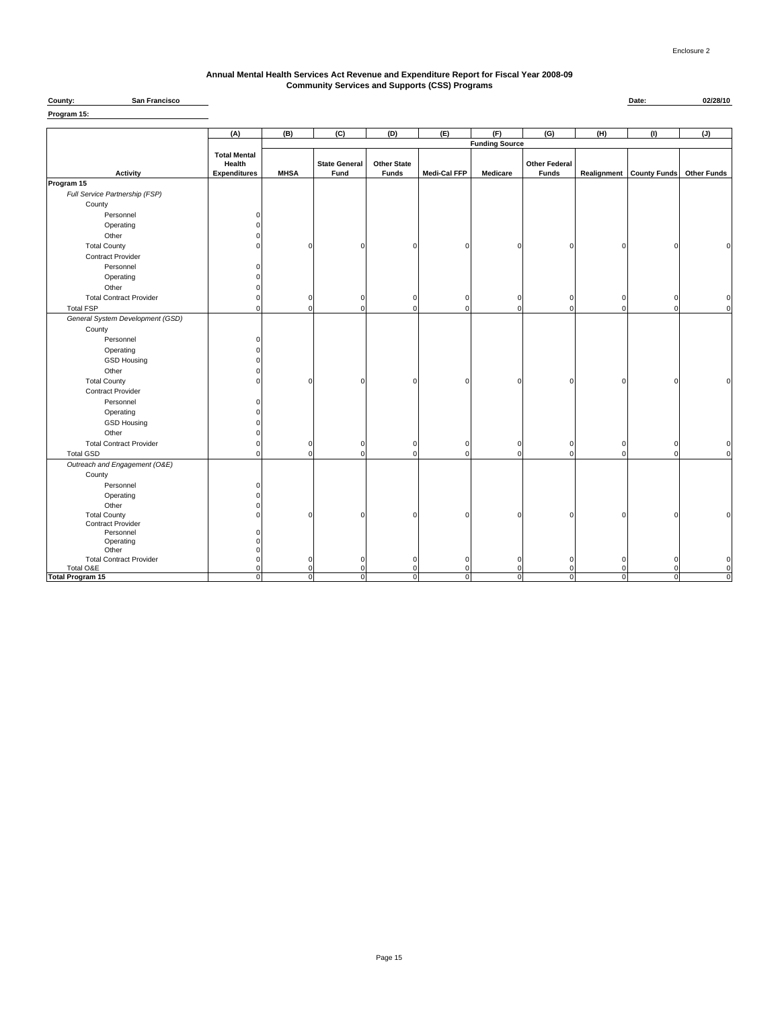**County: Date: 02/28/10 Program 15: San Francisco**

|                                             | (A)                                                  | (B)                  | (C)                          | (D)                                | (E)                  | (F)                   | (G)                                  | (H)           | (1)                 | (J)                |
|---------------------------------------------|------------------------------------------------------|----------------------|------------------------------|------------------------------------|----------------------|-----------------------|--------------------------------------|---------------|---------------------|--------------------|
|                                             |                                                      |                      |                              |                                    |                      | <b>Funding Source</b> |                                      |               |                     |                    |
| <b>Activity</b>                             | <b>Total Mental</b><br>Health<br><b>Expenditures</b> | <b>MHSA</b>          | <b>State General</b><br>Fund | <b>Other State</b><br><b>Funds</b> | <b>Medi-Cal FFP</b>  | Medicare              | <b>Other Federal</b><br><b>Funds</b> | Realignment   | <b>County Funds</b> | <b>Other Funds</b> |
| Program 15                                  |                                                      |                      |                              |                                    |                      |                       |                                      |               |                     |                    |
| Full Service Partnership (FSP)              |                                                      |                      |                              |                                    |                      |                       |                                      |               |                     |                    |
| County                                      |                                                      |                      |                              |                                    |                      |                       |                                      |               |                     |                    |
| Personnel                                   |                                                      |                      |                              |                                    |                      |                       |                                      |               |                     |                    |
| Operating                                   |                                                      |                      |                              |                                    |                      |                       |                                      |               |                     |                    |
| Other                                       |                                                      |                      |                              |                                    |                      |                       |                                      |               |                     |                    |
| <b>Total County</b>                         |                                                      | $\mathbf 0$          | 0                            | $\Omega$                           | $\Omega$             | $\Omega$              |                                      | $\mathbf 0$   | $\Omega$            | $\Omega$           |
| <b>Contract Provider</b>                    |                                                      |                      |                              |                                    |                      |                       |                                      |               |                     |                    |
| Personnel                                   |                                                      |                      |                              |                                    |                      |                       |                                      |               |                     |                    |
| Operating                                   |                                                      |                      |                              |                                    |                      |                       |                                      |               |                     |                    |
| Other                                       |                                                      |                      |                              |                                    |                      |                       |                                      |               |                     |                    |
| <b>Total Contract Provider</b>              | $\Omega$                                             | $\Omega$             | 0                            | 0                                  | $\Omega$             | 0                     | $\Omega$                             | 0             | 0                   | 0                  |
| <b>Total FSP</b>                            | $\Omega$                                             | $\Omega$             | $\mathbf 0$                  | $\Omega$                           | $\Omega$             | $\Omega$              | $\Omega$                             | $\Omega$      | $\Omega$            | $\Omega$           |
| General System Development (GSD)            |                                                      |                      |                              |                                    |                      |                       |                                      |               |                     |                    |
| County                                      |                                                      |                      |                              |                                    |                      |                       |                                      |               |                     |                    |
| Personnel                                   | $\Omega$                                             |                      |                              |                                    |                      |                       |                                      |               |                     |                    |
| Operating                                   |                                                      |                      |                              |                                    |                      |                       |                                      |               |                     |                    |
| <b>GSD Housing</b>                          |                                                      |                      |                              |                                    |                      |                       |                                      |               |                     |                    |
| Other                                       |                                                      |                      |                              |                                    |                      |                       |                                      |               |                     |                    |
| <b>Total County</b>                         |                                                      | $\Omega$             | 0                            | $\Omega$                           | $\Omega$             | $\Omega$              |                                      | $\Omega$      | O                   | $\Omega$           |
| <b>Contract Provider</b>                    |                                                      |                      |                              |                                    |                      |                       |                                      |               |                     |                    |
| Personnel                                   |                                                      |                      |                              |                                    |                      |                       |                                      |               |                     |                    |
| Operating                                   |                                                      |                      |                              |                                    |                      |                       |                                      |               |                     |                    |
| <b>GSD Housing</b>                          |                                                      |                      |                              |                                    |                      |                       |                                      |               |                     |                    |
| Other                                       |                                                      |                      |                              |                                    |                      |                       |                                      |               |                     |                    |
| <b>Total Contract Provider</b>              | $\Omega$                                             | 0                    | 0                            | $\Omega$                           | 0                    | $\mathbf 0$           | n                                    | $\mathbf 0$   | 0                   | 0                  |
| <b>Total GSD</b>                            | $\Omega$                                             | n                    | $\Omega$                     | $\Omega$                           | n                    | $\Omega$              |                                      | U             |                     | $\Omega$           |
| Outreach and Engagement (O&E)               |                                                      |                      |                              |                                    |                      |                       |                                      |               |                     |                    |
| County                                      |                                                      |                      |                              |                                    |                      |                       |                                      |               |                     |                    |
| Personnel                                   | O                                                    |                      |                              |                                    |                      |                       |                                      |               |                     |                    |
| Operating                                   | ŋ                                                    |                      |                              |                                    |                      |                       |                                      |               |                     |                    |
| Other                                       |                                                      |                      |                              |                                    |                      |                       |                                      |               |                     |                    |
| <b>Total County</b>                         |                                                      | n                    | 0                            | $\Omega$                           | $\Omega$             | O                     |                                      | $\Omega$      | U                   | $\Omega$           |
| <b>Contract Provider</b>                    |                                                      |                      |                              |                                    |                      |                       |                                      |               |                     |                    |
| Personnel                                   |                                                      |                      |                              |                                    |                      |                       |                                      |               |                     |                    |
| Operating                                   |                                                      |                      |                              |                                    |                      |                       |                                      |               |                     |                    |
| Other                                       |                                                      |                      |                              |                                    |                      |                       |                                      |               |                     |                    |
| <b>Total Contract Provider</b><br>Total O&E | $\Omega$<br>$\Omega$                                 | $\Omega$<br>$\Omega$ | $\mathbf 0$<br>$\mathsf 0$   | $\mathbf 0$<br>$\mathbf 0$         | $\Omega$<br>$\Omega$ | U<br>$\Omega$         | n<br>$\mathbf 0$                     | 0<br>$\Omega$ | 0<br>$\Omega$       | 0<br>$\mathbf 0$   |
| <b>Total Program 15</b>                     | $\mathbf 0$                                          | $\Omega$             | $\mathbf 0$                  | $\mathbf 0$                        | $\Omega$             | $\Omega$              | $\mathbf 0$                          | $\Omega$      | $\Omega$            | $\Omega$           |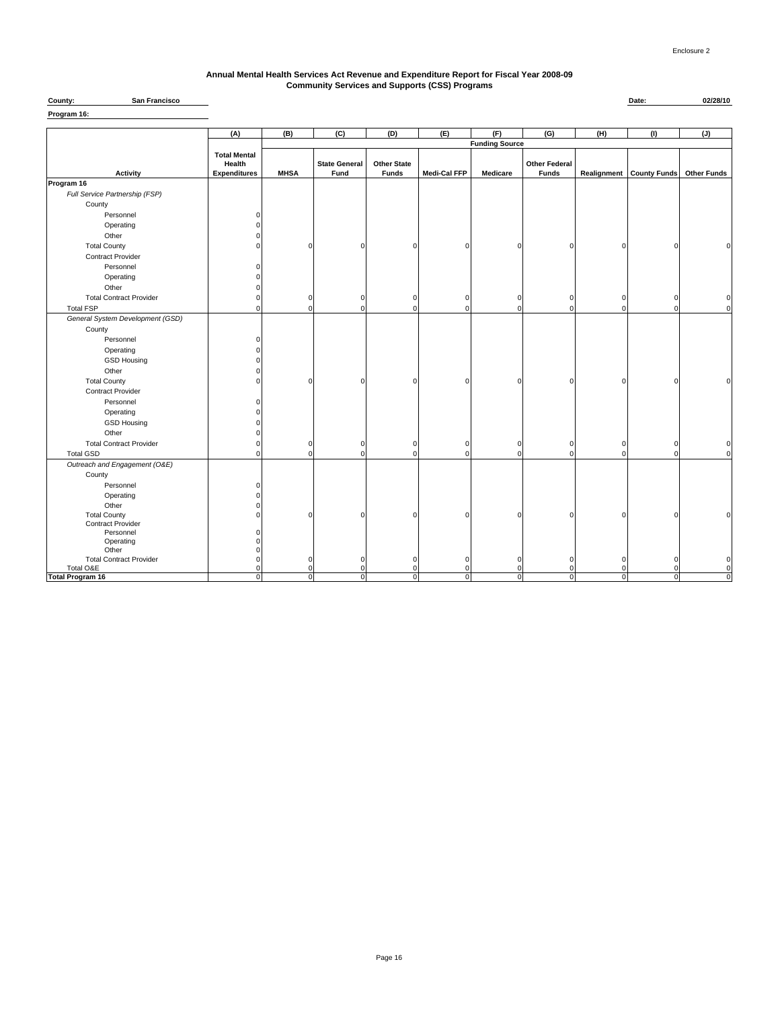| Program 16:                                 |                                                      |             |                              |                                    |                     |                       |                                      |             |                     |                         |
|---------------------------------------------|------------------------------------------------------|-------------|------------------------------|------------------------------------|---------------------|-----------------------|--------------------------------------|-------------|---------------------|-------------------------|
|                                             | (A)                                                  | (B)         | (C)                          | (D)                                | (E)                 | (F)                   | (G)                                  | (H)         | (1)                 | (J)                     |
|                                             |                                                      |             |                              |                                    |                     | <b>Funding Source</b> |                                      |             |                     |                         |
| <b>Activity</b>                             | <b>Total Mental</b><br>Health<br><b>Expenditures</b> | <b>MHSA</b> | <b>State General</b><br>Fund | <b>Other State</b><br><b>Funds</b> | <b>Medi-Cal FFP</b> | Medicare              | <b>Other Federal</b><br><b>Funds</b> | Realignment | <b>County Funds</b> | <b>Other Funds</b>      |
| Program 16                                  |                                                      |             |                              |                                    |                     |                       |                                      |             |                     |                         |
| Full Service Partnership (FSP)              |                                                      |             |                              |                                    |                     |                       |                                      |             |                     |                         |
| County                                      |                                                      |             |                              |                                    |                     |                       |                                      |             |                     |                         |
| Personnel                                   | $\Omega$                                             |             |                              |                                    |                     |                       |                                      |             |                     |                         |
| Operating                                   | $\Omega$                                             |             |                              |                                    |                     |                       |                                      |             |                     |                         |
| Other                                       | $\Omega$                                             |             |                              |                                    |                     |                       |                                      |             |                     |                         |
| <b>Total County</b>                         | $\Omega$                                             |             | 0                            | $\Omega$                           | n                   | $\Omega$              | n                                    | n           | $\Omega$            | $\Omega$                |
| <b>Contract Provider</b>                    |                                                      |             |                              |                                    |                     |                       |                                      |             |                     |                         |
| Personnel                                   | $\mathbf 0$                                          |             |                              |                                    |                     |                       |                                      |             |                     |                         |
| Operating                                   | $\Omega$                                             |             |                              |                                    |                     |                       |                                      |             |                     |                         |
| Other                                       | $\cap$                                               |             |                              |                                    |                     |                       |                                      |             |                     |                         |
| <b>Total Contract Provider</b>              | $\mathbf 0$                                          | $\Omega$    | 0                            | 0                                  | $\Omega$            | 0                     | $\Omega$                             | $\Omega$    | 0                   | $\mathbf 0$             |
| <b>Total FSP</b>                            | $\mathbf 0$                                          | $\Omega$    | $\mathbf 0$                  | $\mathbf 0$                        | $\Omega$            | $\Omega$              | $\Omega$                             | n           | $\Omega$            | $\mathbf 0$             |
| General System Development (GSD)            |                                                      |             |                              |                                    |                     |                       |                                      |             |                     |                         |
| County                                      |                                                      |             |                              |                                    |                     |                       |                                      |             |                     |                         |
| Personnel                                   | $\mathbf 0$                                          |             |                              |                                    |                     |                       |                                      |             |                     |                         |
| Operating                                   | $\Omega$                                             |             |                              |                                    |                     |                       |                                      |             |                     |                         |
| <b>GSD Housing</b>                          | $\Omega$                                             |             |                              |                                    |                     |                       |                                      |             |                     |                         |
| Other                                       | $\Omega$                                             |             |                              |                                    |                     |                       |                                      |             |                     |                         |
| <b>Total County</b>                         | $\Omega$                                             | $\Omega$    | $\mathbf 0$                  | $\Omega$                           | $\Omega$            | $\mathbf 0$           | $\Omega$                             | $\Omega$    | $\Omega$            | $\Omega$                |
| <b>Contract Provider</b>                    |                                                      |             |                              |                                    |                     |                       |                                      |             |                     |                         |
| Personnel                                   | $\Omega$                                             |             |                              |                                    |                     |                       |                                      |             |                     |                         |
| Operating                                   | $\Omega$                                             |             |                              |                                    |                     |                       |                                      |             |                     |                         |
| <b>GSD Housing</b>                          | $\Omega$                                             |             |                              |                                    |                     |                       |                                      |             |                     |                         |
| Other                                       | $\Omega$                                             |             |                              |                                    |                     |                       |                                      |             |                     |                         |
| <b>Total Contract Provider</b>              | $\Omega$                                             | O           | $\mathsf 0$                  | $\mathbf 0$                        | $\Omega$            | $\mathbf 0$           | $\Omega$                             | $\Omega$    | $\mathbf 0$         | $\mathsf 0$             |
| <b>Total GSD</b>                            | $\Omega$                                             | n           | 0                            | $\Omega$                           |                     | $\Omega$              | $\Omega$                             |             | $\Omega$            | $\mathbf 0$             |
| Outreach and Engagement (O&E)               |                                                      |             |                              |                                    |                     |                       |                                      |             |                     |                         |
| County                                      |                                                      |             |                              |                                    |                     |                       |                                      |             |                     |                         |
| Personnel                                   | $\Omega$                                             |             |                              |                                    |                     |                       |                                      |             |                     |                         |
| Operating                                   | $\mathbf 0$                                          |             |                              |                                    |                     |                       |                                      |             |                     |                         |
| Other                                       | $\Omega$                                             |             |                              |                                    |                     |                       |                                      |             |                     |                         |
| <b>Total County</b>                         | $\mathbf 0$                                          | n           | 0                            | $\Omega$                           | n                   | $\mathbf 0$           | $\Omega$                             | n           | $\Omega$            | $\Omega$                |
| <b>Contract Provider</b>                    |                                                      |             |                              |                                    |                     |                       |                                      |             |                     |                         |
| Personnel                                   | $\Omega$                                             |             |                              |                                    |                     |                       |                                      |             |                     |                         |
| Operating                                   | n                                                    |             |                              |                                    |                     |                       |                                      |             |                     |                         |
| Other                                       | $\Omega$                                             |             |                              |                                    |                     |                       |                                      |             |                     |                         |
| <b>Total Contract Provider</b><br>Total O&E | $\mathbf 0$<br>$\Omega$                              | n           | 0<br>0                       | $\mathbf 0$<br>$\mathbf 0$         | $\Omega$            | $\Omega$<br>$\Omega$  | $\Omega$<br>$\Omega$                 | n           | 0<br>$\Omega$       | $\mathbf 0$             |
| <b>Total Program 16</b>                     | $\Omega$                                             | n           | 0                            | $\mathbf 0$                        |                     | $\mathbf 0$           | $\Omega$                             |             | $\Omega$            | $\mathbf 0$<br>$\Omega$ |
|                                             |                                                      |             |                              |                                    |                     |                       |                                      |             |                     |                         |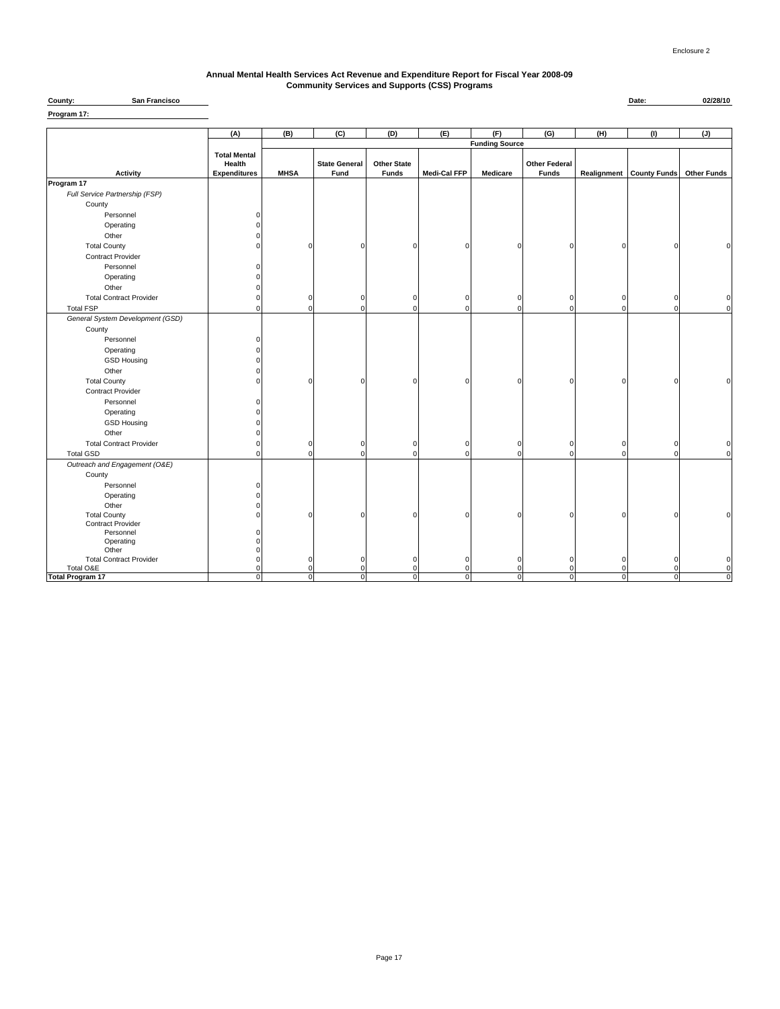**County: Date: 02/28/10 Program 17: San Francisco**

|                                  | (A)                                                  | (B)         | (C)                          | (D)                                | (E)                 | (F)                   | (G)                                  | (H)         | (1)                 | (J)                |
|----------------------------------|------------------------------------------------------|-------------|------------------------------|------------------------------------|---------------------|-----------------------|--------------------------------------|-------------|---------------------|--------------------|
|                                  |                                                      |             |                              |                                    |                     | <b>Funding Source</b> |                                      |             |                     |                    |
| <b>Activity</b>                  | <b>Total Mental</b><br>Health<br><b>Expenditures</b> | <b>MHSA</b> | <b>State General</b><br>Fund | <b>Other State</b><br><b>Funds</b> | <b>Medi-Cal FFP</b> | Medicare              | <b>Other Federal</b><br><b>Funds</b> | Realignment | <b>County Funds</b> | <b>Other Funds</b> |
| Program 17                       |                                                      |             |                              |                                    |                     |                       |                                      |             |                     |                    |
| Full Service Partnership (FSP)   |                                                      |             |                              |                                    |                     |                       |                                      |             |                     |                    |
| County                           |                                                      |             |                              |                                    |                     |                       |                                      |             |                     |                    |
| Personnel                        | n                                                    |             |                              |                                    |                     |                       |                                      |             |                     |                    |
| Operating                        |                                                      |             |                              |                                    |                     |                       |                                      |             |                     |                    |
| Other                            |                                                      |             |                              |                                    |                     |                       |                                      |             |                     |                    |
| <b>Total County</b>              |                                                      | $\Omega$    | $\Omega$                     | $\Omega$                           | $\Omega$            | $\Omega$              | $\Omega$                             |             | $\Omega$            | $\Omega$           |
| <b>Contract Provider</b>         |                                                      |             |                              |                                    |                     |                       |                                      |             |                     |                    |
| Personnel                        | C                                                    |             |                              |                                    |                     |                       |                                      |             |                     |                    |
| Operating                        |                                                      |             |                              |                                    |                     |                       |                                      |             |                     |                    |
| Other                            |                                                      |             |                              |                                    |                     |                       |                                      |             |                     |                    |
| <b>Total Contract Provider</b>   | $\Omega$                                             | $\mathbf 0$ | $\Omega$                     | 0                                  | $\Omega$            | n                     | 0                                    | n           | 0                   | $\mathbf 0$        |
| <b>Total FSP</b>                 | $\Omega$                                             | $\mathbf 0$ | $\Omega$                     | $\mathbf 0$                        | $\Omega$            | $\Omega$              | $\Omega$                             | $\Omega$    | $\Omega$            | $\mathbf 0$        |
| General System Development (GSD) |                                                      |             |                              |                                    |                     |                       |                                      |             |                     |                    |
| County                           |                                                      |             |                              |                                    |                     |                       |                                      |             |                     |                    |
| Personnel                        | $\Omega$                                             |             |                              |                                    |                     |                       |                                      |             |                     |                    |
| Operating                        | n                                                    |             |                              |                                    |                     |                       |                                      |             |                     |                    |
| <b>GSD Housing</b>               | C                                                    |             |                              |                                    |                     |                       |                                      |             |                     |                    |
| Other                            |                                                      |             |                              |                                    |                     |                       |                                      |             |                     |                    |
| <b>Total County</b>              |                                                      | $\Omega$    | $\Omega$                     | $\mathbf 0$                        | n                   | $\Omega$              | $\Omega$                             | n           | $\Omega$            | $\Omega$           |
| <b>Contract Provider</b>         |                                                      |             |                              |                                    |                     |                       |                                      |             |                     |                    |
| Personnel                        |                                                      |             |                              |                                    |                     |                       |                                      |             |                     |                    |
| Operating                        |                                                      |             |                              |                                    |                     |                       |                                      |             |                     |                    |
| <b>GSD Housing</b>               |                                                      |             |                              |                                    |                     |                       |                                      |             |                     |                    |
| Other                            |                                                      |             |                              |                                    |                     |                       |                                      |             |                     |                    |
| <b>Total Contract Provider</b>   | $\Omega$                                             | $\mathbf 0$ | $\Omega$                     | $\mathbf 0$                        | $\Omega$            | $\Omega$              | $\mathbf 0$                          | $\Omega$    | 0                   | $\mathbf 0$        |
| <b>Total GSD</b>                 | $\mathbf 0$                                          | $\Omega$    | $\Omega$                     | $\mathbf 0$                        | $\Omega$            | C                     | $\Omega$                             | C           | n                   | $\circ$            |
| Outreach and Engagement (O&E)    |                                                      |             |                              |                                    |                     |                       |                                      |             |                     |                    |
| County                           |                                                      |             |                              |                                    |                     |                       |                                      |             |                     |                    |
| Personnel                        | n                                                    |             |                              |                                    |                     |                       |                                      |             |                     |                    |
| Operating                        |                                                      |             |                              |                                    |                     |                       |                                      |             |                     |                    |
| Other                            |                                                      |             |                              |                                    |                     |                       |                                      |             |                     |                    |
| <b>Total County</b>              | C                                                    | $\Omega$    | $\Omega$                     | $\Omega$                           |                     | $\Omega$              | n                                    |             | $\Omega$            | $\Omega$           |
| <b>Contract Provider</b>         |                                                      |             |                              |                                    |                     |                       |                                      |             |                     |                    |
| Personnel<br>Operating           |                                                      |             |                              |                                    |                     |                       |                                      |             |                     |                    |
| Other                            |                                                      |             |                              |                                    |                     |                       |                                      |             |                     |                    |
| <b>Total Contract Provider</b>   | $\Omega$                                             | $\mathbf 0$ | $\Omega$                     | $\mathbf 0$                        | 0                   | n                     | 0                                    | n           | U                   | $\overline{0}$     |
| Total O&E                        | $\mathbf 0$                                          | $\Omega$    | $\Omega$                     | $\mathbf 0$                        | $\Omega$            | O                     | $\mathbf 0$                          |             | 0                   | $\overline{0}$     |
| <b>Total Program 17</b>          | $\mathbf 0$                                          | $\mathbf 0$ | $\Omega$                     | $\overline{0}$                     | 0                   | $\Omega$              | $\mathbf 0$                          |             | $\Omega$            | $\overline{0}$     |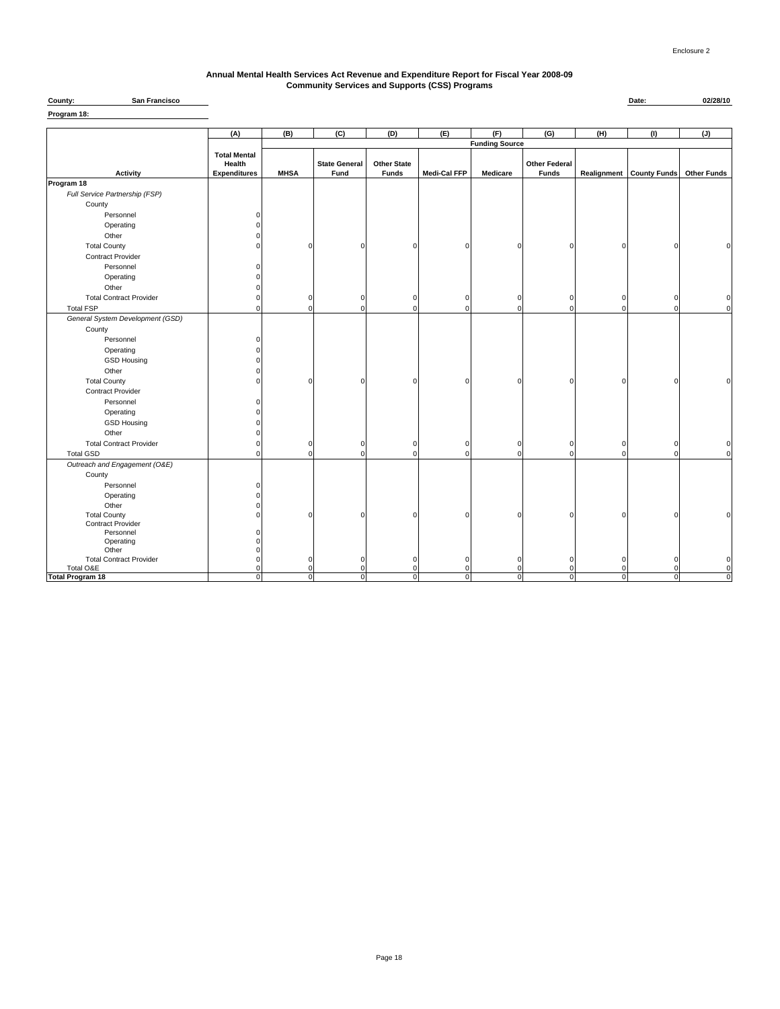**County: Date: 02/28/10 Program 18: San Francisco**

|                                  | (A)                                                  | (B)         | (C)                          | (D)                         | (E)                 | (F)                   | (G)                                  | (H)         | (1)                 | (J)                |
|----------------------------------|------------------------------------------------------|-------------|------------------------------|-----------------------------|---------------------|-----------------------|--------------------------------------|-------------|---------------------|--------------------|
|                                  |                                                      |             |                              |                             |                     | <b>Funding Source</b> |                                      |             |                     |                    |
| <b>Activity</b>                  | <b>Total Mental</b><br>Health<br><b>Expenditures</b> | <b>MHSA</b> | <b>State General</b><br>Fund | Other State<br><b>Funds</b> | <b>Medi-Cal FFP</b> | Medicare              | <b>Other Federal</b><br><b>Funds</b> | Realignment | <b>County Funds</b> | <b>Other Funds</b> |
| Program 18                       |                                                      |             |                              |                             |                     |                       |                                      |             |                     |                    |
| Full Service Partnership (FSP)   |                                                      |             |                              |                             |                     |                       |                                      |             |                     |                    |
| County                           |                                                      |             |                              |                             |                     |                       |                                      |             |                     |                    |
| Personnel                        |                                                      |             |                              |                             |                     |                       |                                      |             |                     |                    |
| Operating                        | n                                                    |             |                              |                             |                     |                       |                                      |             |                     |                    |
| Other                            |                                                      |             |                              |                             |                     |                       |                                      |             |                     |                    |
| <b>Total County</b>              |                                                      | $\mathbf 0$ | $\Omega$                     | $\mathbf 0$                 | $\Omega$            | $\mathbf 0$           | $\Omega$                             |             | $\mathbf 0$         | $\Omega$           |
| <b>Contract Provider</b>         |                                                      |             |                              |                             |                     |                       |                                      |             |                     |                    |
| Personnel                        | n                                                    |             |                              |                             |                     |                       |                                      |             |                     |                    |
| Operating                        |                                                      |             |                              |                             |                     |                       |                                      |             |                     |                    |
| Other                            |                                                      |             |                              |                             |                     |                       |                                      |             |                     |                    |
| <b>Total Contract Provider</b>   | $\cap$                                               | $\mathbf 0$ | O                            | $\mathbf 0$                 | $\Omega$            | n                     | 0                                    | n           | $\Omega$            | $\mathbf 0$        |
| <b>Total FSP</b>                 | $\Omega$                                             | $\Omega$    | $\Omega$                     | $\mathbf 0$                 | $\Omega$            | n                     | $\Omega$                             |             | $\Omega$            | $\overline{0}$     |
| General System Development (GSD) |                                                      |             |                              |                             |                     |                       |                                      |             |                     |                    |
| County                           |                                                      |             |                              |                             |                     |                       |                                      |             |                     |                    |
| Personnel                        | n                                                    |             |                              |                             |                     |                       |                                      |             |                     |                    |
| Operating                        | n                                                    |             |                              |                             |                     |                       |                                      |             |                     |                    |
| <b>GSD Housing</b>               | n                                                    |             |                              |                             |                     |                       |                                      |             |                     |                    |
| Other                            |                                                      |             |                              |                             |                     |                       |                                      |             |                     |                    |
| <b>Total County</b>              | n                                                    | $\mathbf 0$ | $\Omega$                     | $\mathbf 0$                 | $\Omega$            | $\Omega$              | $\Omega$                             |             | $\Omega$            | $\mathbf 0$        |
| <b>Contract Provider</b>         |                                                      |             |                              |                             |                     |                       |                                      |             |                     |                    |
| Personnel                        |                                                      |             |                              |                             |                     |                       |                                      |             |                     |                    |
| Operating                        |                                                      |             |                              |                             |                     |                       |                                      |             |                     |                    |
| <b>GSD Housing</b>               |                                                      |             |                              |                             |                     |                       |                                      |             |                     |                    |
| Other                            |                                                      |             |                              |                             |                     |                       |                                      |             |                     |                    |
| <b>Total Contract Provider</b>   | $\Omega$                                             | $\mathbf 0$ | $\Omega$                     | 0                           | $\Omega$            | $\mathbf 0$           | $^{\circ}$                           | $\Omega$    | $\Omega$            | $\overline{0}$     |
| <b>Total GSD</b>                 | $\Omega$                                             | $\Omega$    | $\Omega$                     | $\mathbf 0$                 | $\Omega$            |                       | $\Omega$                             |             | C                   | $\mathbf 0$        |
| Outreach and Engagement (O&E)    |                                                      |             |                              |                             |                     |                       |                                      |             |                     |                    |
| County                           |                                                      |             |                              |                             |                     |                       |                                      |             |                     |                    |
| Personnel                        | n                                                    |             |                              |                             |                     |                       |                                      |             |                     |                    |
| Operating                        | C                                                    |             |                              |                             |                     |                       |                                      |             |                     |                    |
| Other                            | n                                                    |             |                              |                             |                     |                       |                                      |             |                     |                    |
| <b>Total County</b>              | n                                                    | $\Omega$    | O                            | $\Omega$                    | $\Omega$            | $\Omega$              | $\Omega$                             | n           | $\Omega$            | $\mathbf 0$        |
| <b>Contract Provider</b>         |                                                      |             |                              |                             |                     |                       |                                      |             |                     |                    |
| Personnel                        |                                                      |             |                              |                             |                     |                       |                                      |             |                     |                    |
| Operating<br>Other               |                                                      |             |                              |                             |                     |                       |                                      |             |                     |                    |
| <b>Total Contract Provider</b>   | $\Omega$                                             | 0           | $\Omega$                     | 0                           | $\Omega$            | 0                     | 0                                    |             | 0                   | $\mathbf 0$        |
| Total O&E                        | $\Omega$                                             | $\Omega$    | $\Omega$                     | $\mathbf 0$                 | $\Omega$            | $\Omega$              | $\mathbf 0$                          | n           | 0                   | $\overline{0}$     |
| <b>Total Program 18</b>          | $\mathbf 0$                                          | $\Omega$    | 0                            | $\overline{0}$              | 0                   | $\Omega$              | $\Omega$                             | O           | $\Omega$            | $\overline{0}$     |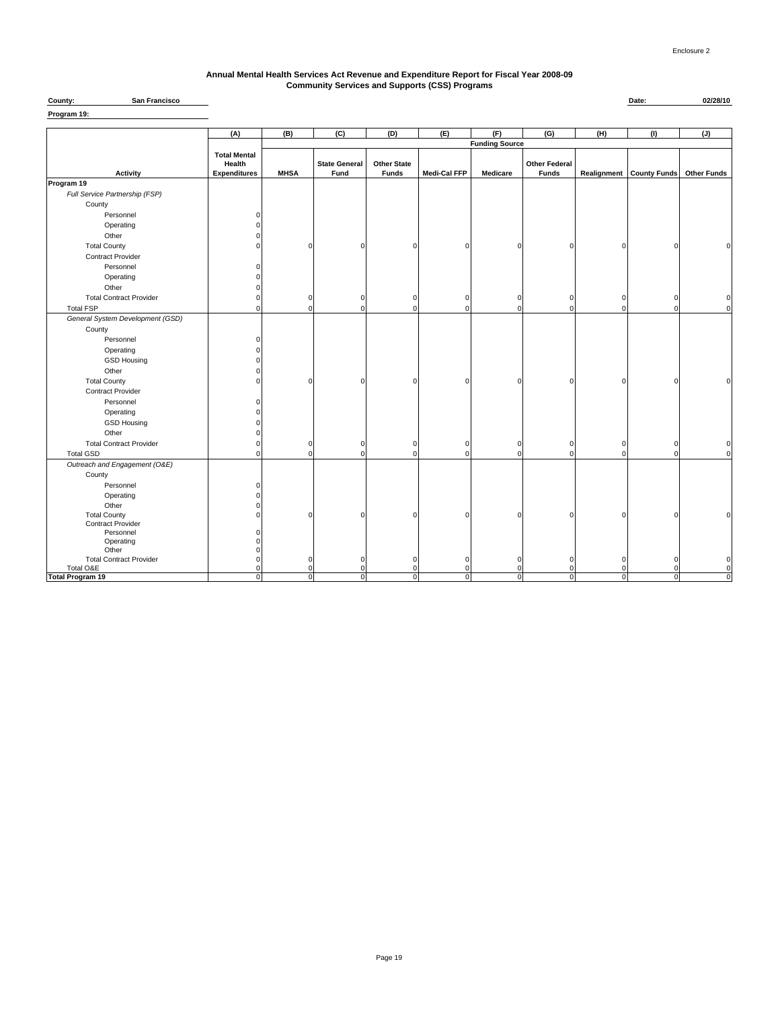**County: Date: 02/28/10 Program 19: San Francisco**

|                                  | (A)                                                  | (B)         | (C)                          | (D)                                | (E)                 | (F)                   | (G)                                  | (H)         | (1)                 | (J)                |
|----------------------------------|------------------------------------------------------|-------------|------------------------------|------------------------------------|---------------------|-----------------------|--------------------------------------|-------------|---------------------|--------------------|
|                                  |                                                      |             |                              |                                    |                     | <b>Funding Source</b> |                                      |             |                     |                    |
| <b>Activity</b>                  | <b>Total Mental</b><br>Health<br><b>Expenditures</b> | <b>MHSA</b> | <b>State General</b><br>Fund | <b>Other State</b><br><b>Funds</b> | <b>Medi-Cal FFP</b> | Medicare              | <b>Other Federal</b><br><b>Funds</b> | Realignment | <b>County Funds</b> | <b>Other Funds</b> |
| Program 19                       |                                                      |             |                              |                                    |                     |                       |                                      |             |                     |                    |
| Full Service Partnership (FSP)   |                                                      |             |                              |                                    |                     |                       |                                      |             |                     |                    |
| County                           |                                                      |             |                              |                                    |                     |                       |                                      |             |                     |                    |
| Personnel                        |                                                      |             |                              |                                    |                     |                       |                                      |             |                     |                    |
| Operating                        |                                                      |             |                              |                                    |                     |                       |                                      |             |                     |                    |
| Other                            |                                                      |             |                              |                                    |                     |                       |                                      |             |                     |                    |
| <b>Total County</b>              |                                                      | $\Omega$    | $\Omega$                     | $\Omega$                           | $\Omega$            | $\Omega$              | $\mathbf 0$                          | $\Omega$    | n                   | $\Omega$           |
| <b>Contract Provider</b>         |                                                      |             |                              |                                    |                     |                       |                                      |             |                     |                    |
| Personnel                        |                                                      |             |                              |                                    |                     |                       |                                      |             |                     |                    |
| Operating                        |                                                      |             |                              |                                    |                     |                       |                                      |             |                     |                    |
| Other                            |                                                      |             |                              |                                    |                     |                       |                                      |             |                     |                    |
| <b>Total Contract Provider</b>   | $\Omega$                                             | $\Omega$    | $\Omega$                     | $\mathbf 0$                        | $\Omega$            | $\mathbf{0}$          | $\mathbf 0$                          | $\Omega$    | O                   | 0                  |
| <b>Total FSP</b>                 | $\Omega$                                             | $\Omega$    | $\Omega$                     | $\mathbf 0$                        | $\Omega$            | $\Omega$              | $\Omega$                             | $\sqrt{2}$  | $\Omega$            | 0                  |
| General System Development (GSD) |                                                      |             |                              |                                    |                     |                       |                                      |             |                     |                    |
| County                           |                                                      |             |                              |                                    |                     |                       |                                      |             |                     |                    |
| Personnel                        |                                                      |             |                              |                                    |                     |                       |                                      |             |                     |                    |
| Operating                        |                                                      |             |                              |                                    |                     |                       |                                      |             |                     |                    |
| <b>GSD Housing</b>               |                                                      |             |                              |                                    |                     |                       |                                      |             |                     |                    |
| Other                            |                                                      |             |                              |                                    |                     |                       |                                      |             |                     |                    |
| <b>Total County</b>              |                                                      | $\Omega$    | $\Omega$                     | $\Omega$                           | 0                   | $\Omega$              | $\mathbf 0$                          | $\sqrt{2}$  | n                   | $\Omega$           |
| <b>Contract Provider</b>         |                                                      |             |                              |                                    |                     |                       |                                      |             |                     |                    |
| Personnel                        |                                                      |             |                              |                                    |                     |                       |                                      |             |                     |                    |
| Operating                        |                                                      |             |                              |                                    |                     |                       |                                      |             |                     |                    |
| <b>GSD Housing</b>               |                                                      |             |                              |                                    |                     |                       |                                      |             |                     |                    |
| Other                            |                                                      |             |                              |                                    |                     |                       |                                      |             |                     |                    |
| <b>Total Contract Provider</b>   |                                                      | $\mathbf 0$ | 0                            | $\mathbf 0$                        | 0                   | $\mathbf 0$           | $\mathbf 0$                          | $\Omega$    | $\Omega$            | 0                  |
| <b>Total GSD</b>                 | $\Omega$                                             | $\Omega$    | $\Omega$                     | $\Omega$                           | $\Omega$            | $\Omega$              | $\Omega$                             | C           | $\Omega$            | $\mathsf 0$        |
| Outreach and Engagement (O&E)    |                                                      |             |                              |                                    |                     |                       |                                      |             |                     |                    |
| County                           |                                                      |             |                              |                                    |                     |                       |                                      |             |                     |                    |
| Personnel                        |                                                      |             |                              |                                    |                     |                       |                                      |             |                     |                    |
| Operating                        |                                                      |             |                              |                                    |                     |                       |                                      |             |                     |                    |
| Other                            |                                                      |             |                              |                                    |                     |                       |                                      |             |                     |                    |
| <b>Total County</b>              |                                                      | $\Omega$    | 0                            | $\Omega$                           | 0                   | O                     | $\mathbf 0$                          | $\Omega$    |                     | O                  |
| <b>Contract Provider</b>         |                                                      |             |                              |                                    |                     |                       |                                      |             |                     |                    |
| Personnel                        |                                                      |             |                              |                                    |                     |                       |                                      |             |                     |                    |
| Operating<br>Other               |                                                      |             |                              |                                    |                     |                       |                                      |             |                     |                    |
| <b>Total Contract Provider</b>   | n                                                    | $\Omega$    | 0                            | $\mathbf 0$                        | 0                   | $\mathbf 0$           | $\mathbf 0$                          | C           | n                   | 0                  |
| Total O&E                        | $\Omega$                                             | $\Omega$    | $\mathsf 0$                  | $\pmb{0}$                          | $\Omega$            | $\mathbf 0$           | $\mathbf 0$                          | C           | $\Omega$            | $\pmb{0}$          |
| <b>Total Program 19</b>          | $\Omega$                                             | $\Omega$    | $\mathbf 0$                  | $\mathbf 0$                        | 0                   | $\mathbf{0}$          | $\mathbf 0$                          | $\sqrt{2}$  | $\Omega$            | $\Omega$           |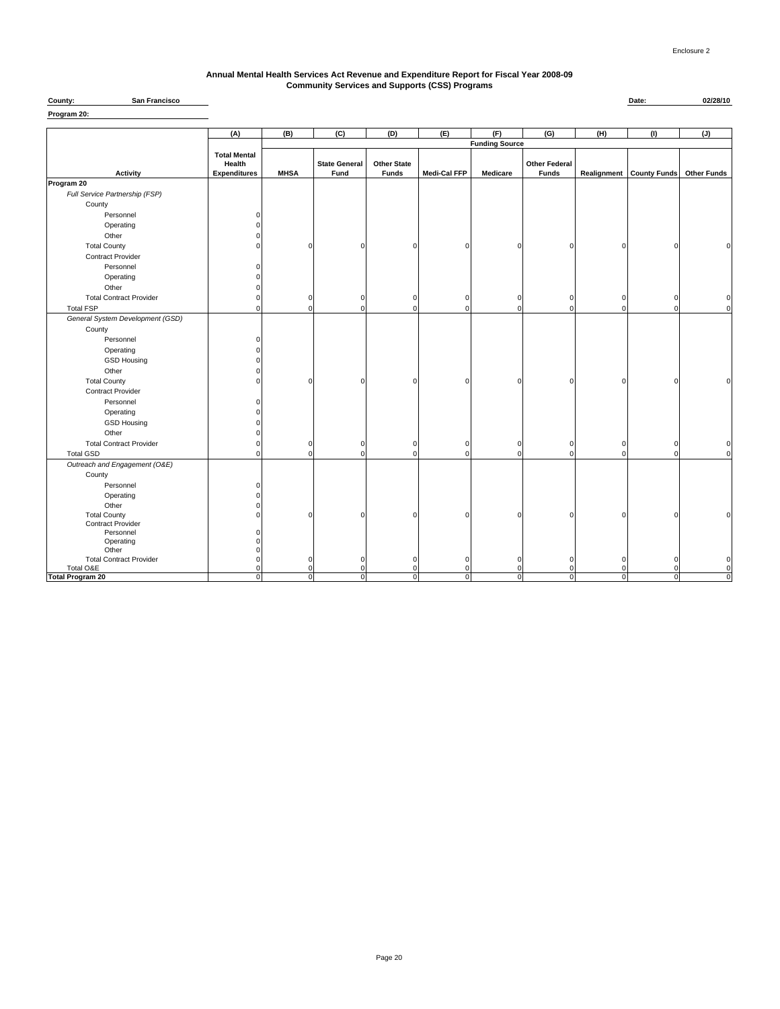| Program 20:                      |                                                      |             |                              |                                    |                     |                       |                                      |              |                     |                    |
|----------------------------------|------------------------------------------------------|-------------|------------------------------|------------------------------------|---------------------|-----------------------|--------------------------------------|--------------|---------------------|--------------------|
|                                  | (A)                                                  | (B)         | (C)                          | (D)                                | (E)                 | (F)                   | (G)                                  | (H)          | (1)                 | (J)                |
|                                  |                                                      |             |                              |                                    |                     | <b>Funding Source</b> |                                      |              |                     |                    |
| <b>Activity</b>                  | <b>Total Mental</b><br>Health<br><b>Expenditures</b> | <b>MHSA</b> | <b>State General</b><br>Fund | <b>Other State</b><br><b>Funds</b> | <b>Medi-Cal FFP</b> | Medicare              | <b>Other Federal</b><br><b>Funds</b> | Realignment  | <b>County Funds</b> | <b>Other Funds</b> |
| Program 20                       |                                                      |             |                              |                                    |                     |                       |                                      |              |                     |                    |
| Full Service Partnership (FSP)   |                                                      |             |                              |                                    |                     |                       |                                      |              |                     |                    |
| County                           |                                                      |             |                              |                                    |                     |                       |                                      |              |                     |                    |
| Personnel                        | n                                                    |             |                              |                                    |                     |                       |                                      |              |                     |                    |
| Operating                        | $\Omega$                                             |             |                              |                                    |                     |                       |                                      |              |                     |                    |
| Other                            | $\Omega$                                             |             |                              |                                    |                     |                       |                                      |              |                     |                    |
| <b>Total County</b>              | $\Omega$                                             | $\mathbf 0$ | $\Omega$                     | $\Omega$                           | $\Omega$            | $\Omega$              | $\Omega$                             |              | $\Omega$            | $\mathbf 0$        |
| <b>Contract Provider</b>         |                                                      |             |                              |                                    |                     |                       |                                      |              |                     |                    |
| Personnel                        | n                                                    |             |                              |                                    |                     |                       |                                      |              |                     |                    |
| Operating                        | n                                                    |             |                              |                                    |                     |                       |                                      |              |                     |                    |
| Other                            | n                                                    |             |                              |                                    |                     |                       |                                      |              |                     |                    |
| <b>Total Contract Provider</b>   | $\mathbf 0$                                          | $\mathbf 0$ | $\Omega$                     | $\pmb{0}$                          | 0                   | $\Omega$              | $\pmb{0}$                            | <sup>0</sup> | $\Omega$            | $\overline{0}$     |
| <b>Total FSP</b>                 | $\mathbf 0$                                          | $\mathbf 0$ | 0                            | $\mathbf 0$                        | $\Omega$            | $\Omega$              | $\mathbf 0$                          | $\Omega$     | $\Omega$            | $\mathbf 0$        |
| General System Development (GSD) |                                                      |             |                              |                                    |                     |                       |                                      |              |                     |                    |
| County                           |                                                      |             |                              |                                    |                     |                       |                                      |              |                     |                    |
| Personnel                        | $\mathbf 0$                                          |             |                              |                                    |                     |                       |                                      |              |                     |                    |
| Operating                        | $\Omega$                                             |             |                              |                                    |                     |                       |                                      |              |                     |                    |
| <b>GSD Housing</b>               | C                                                    |             |                              |                                    |                     |                       |                                      |              |                     |                    |
| Other                            | $\Omega$                                             |             |                              |                                    |                     |                       |                                      |              |                     |                    |
| <b>Total County</b>              | $\Omega$                                             | $\Omega$    | $\Omega$                     | $\mathbf 0$                        | $\Omega$            | $\Omega$              | $\Omega$                             | C            | $\mathbf 0$         | $\Omega$           |
| <b>Contract Provider</b>         |                                                      |             |                              |                                    |                     |                       |                                      |              |                     |                    |
| Personnel                        | $\Omega$                                             |             |                              |                                    |                     |                       |                                      |              |                     |                    |
| Operating                        | n                                                    |             |                              |                                    |                     |                       |                                      |              |                     |                    |
| <b>GSD Housing</b>               | n                                                    |             |                              |                                    |                     |                       |                                      |              |                     |                    |
| Other                            | n                                                    |             |                              |                                    |                     |                       |                                      |              |                     |                    |
| <b>Total Contract Provider</b>   | $\mathbf 0$                                          | $\mathbf 0$ | $\Omega$                     | $\pmb{0}$                          | 0                   | $\Omega$              | $\mathbf 0$                          | $\Omega$     | $\Omega$            | $\overline{0}$     |
| <b>Total GSD</b>                 | $\mathbf 0$                                          | $\Omega$    | $\Omega$                     | $\mathbf 0$                        | $\Omega$            | $\Omega$              | $\mathbf 0$                          | $\Omega$     | $\Omega$            | $\mathbf 0$        |
| Outreach and Engagement (O&E)    |                                                      |             |                              |                                    |                     |                       |                                      |              |                     |                    |
| County                           |                                                      |             |                              |                                    |                     |                       |                                      |              |                     |                    |
| Personnel                        | $\Omega$                                             |             |                              |                                    |                     |                       |                                      |              |                     |                    |
| Operating                        | $\Omega$                                             |             |                              |                                    |                     |                       |                                      |              |                     |                    |
| Other                            | $\Omega$                                             |             |                              |                                    |                     |                       |                                      |              |                     |                    |
| <b>Total County</b>              | $\Omega$                                             | $\Omega$    | ŋ                            | $\mathbf 0$                        | $\Omega$            | $\Omega$              | $\Omega$                             |              | $\Omega$            | $\mathbf 0$        |
| <b>Contract Provider</b>         |                                                      |             |                              |                                    |                     |                       |                                      |              |                     |                    |
| Personnel<br>Operating           |                                                      |             |                              |                                    |                     |                       |                                      |              |                     |                    |
| Other                            | C                                                    |             |                              |                                    |                     |                       |                                      |              |                     |                    |
| <b>Total Contract Provider</b>   | $\Omega$                                             | $\mathbf 0$ | 0                            | 0                                  | $\Omega$            | n                     | $^{\circ}$                           |              | 0                   | $\mathbf 0$        |
| Total O&E                        | $\mathbf 0$                                          | 0           | $\Omega$                     | $\mathbf 0$                        | $\Omega$            | $\Omega$              | $\mathbf 0$                          |              | $\Omega$            | $\overline{0}$     |
| <b>Total Program 20</b>          | $\mathbf 0$                                          | $\mathbf 0$ | $\overline{0}$               | o                                  | $\mathbf 0$         | $\mathbf 0$           | $\pmb{0}$                            | 0            | $\mathbf 0$         | $\overline{0}$     |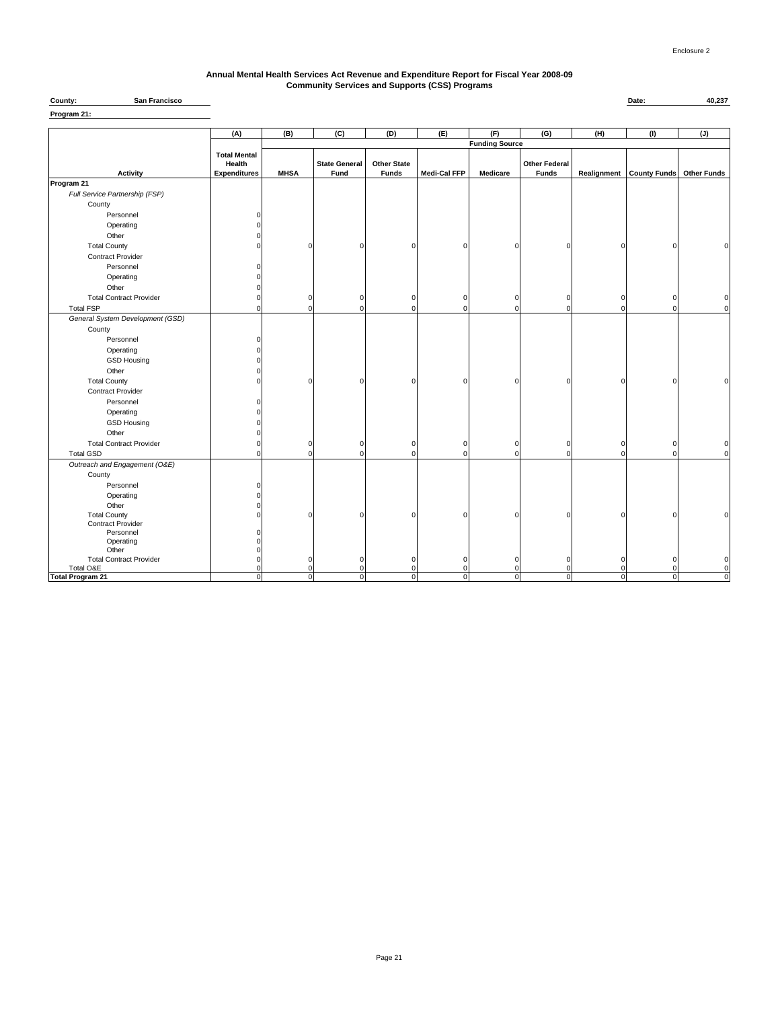**County: Date: 40,237 Program 21: San Francisco**

| . . <b>. .</b>                   |                                                      |             |                              |                                    |                     |                       |                                      |             |                     |                    |
|----------------------------------|------------------------------------------------------|-------------|------------------------------|------------------------------------|---------------------|-----------------------|--------------------------------------|-------------|---------------------|--------------------|
|                                  | (A)                                                  | (B)         | (C)                          | (D)                                | (E)                 | (F)                   | (G)                                  | (H)         | (1)                 | (J)                |
|                                  |                                                      |             |                              |                                    |                     | <b>Funding Source</b> |                                      |             |                     |                    |
| <b>Activity</b>                  | <b>Total Mental</b><br>Health<br><b>Expenditures</b> | <b>MHSA</b> | <b>State General</b><br>Fund | <b>Other State</b><br><b>Funds</b> | <b>Medi-Cal FFP</b> | Medicare              | <b>Other Federal</b><br><b>Funds</b> | Realignment | <b>County Funds</b> | <b>Other Funds</b> |
| Program 21                       |                                                      |             |                              |                                    |                     |                       |                                      |             |                     |                    |
| Full Service Partnership (FSP)   |                                                      |             |                              |                                    |                     |                       |                                      |             |                     |                    |
| County                           |                                                      |             |                              |                                    |                     |                       |                                      |             |                     |                    |
| Personnel                        |                                                      |             |                              |                                    |                     |                       |                                      |             |                     |                    |
| Operating                        | O                                                    |             |                              |                                    |                     |                       |                                      |             |                     |                    |
| Other                            | O                                                    |             |                              |                                    |                     |                       |                                      |             |                     |                    |
| <b>Total County</b>              |                                                      | $\Omega$    | $\Omega$                     | $\mathbf 0$                        | $\Omega$            | $\Omega$              | $\mathbf 0$                          | $\mathbf 0$ | $\mathbf 0$         |                    |
| <b>Contract Provider</b>         |                                                      |             |                              |                                    |                     |                       |                                      |             |                     |                    |
| Personnel                        | O                                                    |             |                              |                                    |                     |                       |                                      |             |                     |                    |
| Operating                        |                                                      |             |                              |                                    |                     |                       |                                      |             |                     |                    |
| Other                            | O                                                    |             |                              |                                    |                     |                       |                                      |             |                     |                    |
| <b>Total Contract Provider</b>   | $\Omega$                                             | $\mathbf 0$ | $\Omega$                     | $\mathbf 0$                        | $\Omega$            | $\Omega$              | $\mathbf 0$                          | 0           | 0                   | $\mathbf 0$        |
| <b>Total FSP</b>                 | $\Omega$                                             | $\Omega$    | $\Omega$                     | $\mathbf 0$                        | $\Omega$            | $\Omega$              | $\mathbf 0$                          | $\mathbf 0$ | $\overline{0}$      | $\mathbf 0$        |
| General System Development (GSD) |                                                      |             |                              |                                    |                     |                       |                                      |             |                     |                    |
| County                           |                                                      |             |                              |                                    |                     |                       |                                      |             |                     |                    |
| Personnel                        | $\Omega$                                             |             |                              |                                    |                     |                       |                                      |             |                     |                    |
| Operating                        | O                                                    |             |                              |                                    |                     |                       |                                      |             |                     |                    |
| <b>GSD Housing</b>               | O                                                    |             |                              |                                    |                     |                       |                                      |             |                     |                    |
| Other                            | U                                                    |             |                              |                                    |                     |                       |                                      |             |                     |                    |
| <b>Total County</b>              | n                                                    | $\Omega$    | $\Omega$                     | $\mathbf 0$                        | $\Omega$            | $\Omega$              | $\mathbf 0$                          | $\Omega$    | $\mathbf 0$         |                    |
| <b>Contract Provider</b>         |                                                      |             |                              |                                    |                     |                       |                                      |             |                     |                    |
| Personnel                        |                                                      |             |                              |                                    |                     |                       |                                      |             |                     |                    |
| Operating                        |                                                      |             |                              |                                    |                     |                       |                                      |             |                     |                    |
| <b>GSD Housing</b>               |                                                      |             |                              |                                    |                     |                       |                                      |             |                     |                    |
| Other                            |                                                      |             |                              |                                    |                     |                       |                                      |             |                     |                    |
| <b>Total Contract Provider</b>   | $\Omega$                                             | $\Omega$    | $\Omega$                     | $\mathbf 0$                        | $\Omega$            | $\mathbf 0$           | $\mathbf 0$                          | 0           | $\mathbf 0$         | 0                  |
| <b>Total GSD</b>                 | $\Omega$                                             | $\Omega$    | $\Omega$                     | $\Omega$                           | n                   | $\Omega$              | $\Omega$                             | $\Omega$    | $\Omega$            | $\mathbf 0$        |
| Outreach and Engagement (O&E)    |                                                      |             |                              |                                    |                     |                       |                                      |             |                     |                    |
| County                           |                                                      |             |                              |                                    |                     |                       |                                      |             |                     |                    |
| Personnel                        | O                                                    |             |                              |                                    |                     |                       |                                      |             |                     |                    |
| Operating                        | O                                                    |             |                              |                                    |                     |                       |                                      |             |                     |                    |
| Other                            | $\Omega$                                             |             |                              |                                    |                     |                       |                                      |             |                     |                    |
| <b>Total County</b>              | $\Omega$                                             | $\Omega$    | n                            | $\mathbf 0$                        | $\Omega$            | $\Omega$              | $\mathbf 0$                          | $\Omega$    | $\mathbf 0$         |                    |
| <b>Contract Provider</b>         |                                                      |             |                              |                                    |                     |                       |                                      |             |                     |                    |
| Personnel                        |                                                      |             |                              |                                    |                     |                       |                                      |             |                     |                    |
| Operating<br>Other               | n<br>O                                               |             |                              |                                    |                     |                       |                                      |             |                     |                    |
| <b>Total Contract Provider</b>   | 0                                                    | $\Omega$    | $\Omega$                     | $\mathbf 0$                        | $\Omega$            | O                     | $\mathbf 0$                          | 0           | $\mathbf 0$         | $\mathbf 0$        |
| Total O&E                        | 0                                                    | $\Omega$    | $\Omega$                     | $\mathbf 0$                        | $\Omega$            | $\Omega$              | $\mathbf 0$                          | $\mathbf 0$ | $\sqrt{ }$          | $\pmb{0}$          |
| <b>Total Program 21</b>          | 0                                                    | $\Omega$    | $\Omega$                     | $\mathbf 0$                        | $\Omega$            | $\Omega$              | $\mathbf 0$                          | $\Omega$    | $\Omega$            | $\mathbf 0$        |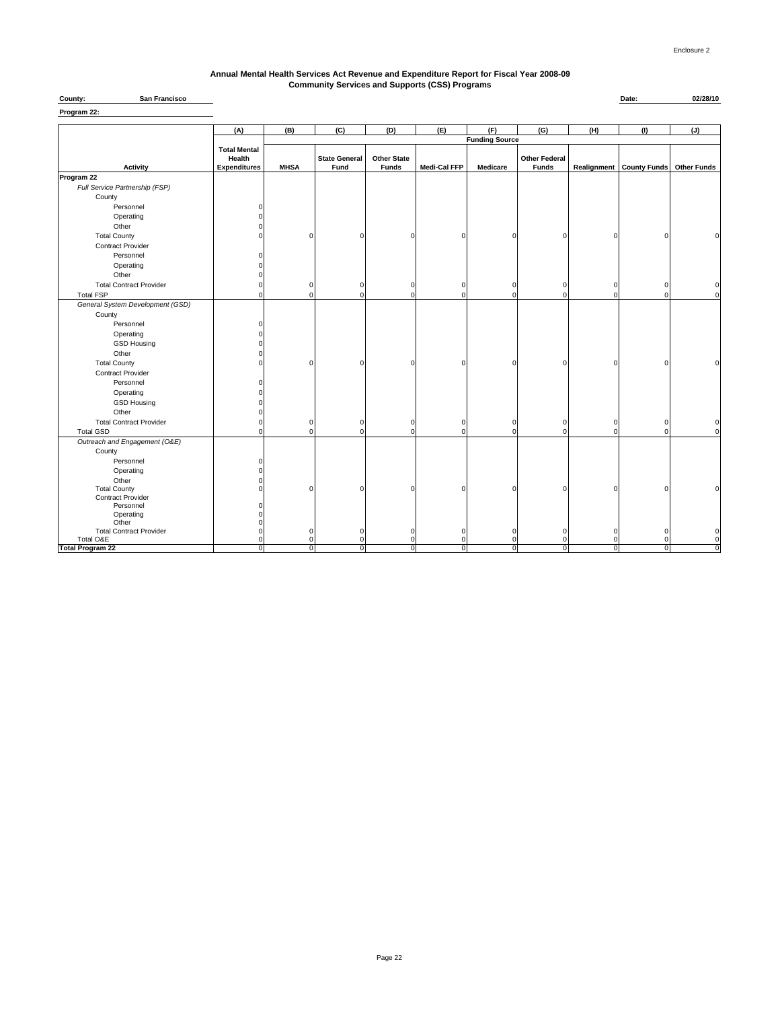| Program 22:                           |                                                      |                         |                              |                                    |                     |                       |                                      |          |                                      |                |
|---------------------------------------|------------------------------------------------------|-------------------------|------------------------------|------------------------------------|---------------------|-----------------------|--------------------------------------|----------|--------------------------------------|----------------|
|                                       | (A)                                                  | (B)                     | (C)                          | (D)                                | (E)                 | (F)                   | (G)                                  | (H)      | (1)                                  | (J)            |
|                                       |                                                      |                         |                              |                                    |                     | <b>Funding Source</b> |                                      |          |                                      |                |
| <b>Activity</b>                       | <b>Total Mental</b><br>Health<br><b>Expenditures</b> | <b>MHSA</b>             | <b>State General</b><br>Fund | <b>Other State</b><br><b>Funds</b> | <b>Medi-Cal FFP</b> | Medicare              | <b>Other Federal</b><br><b>Funds</b> |          | Realignment County Funds Other Funds |                |
| Program 22                            |                                                      |                         |                              |                                    |                     |                       |                                      |          |                                      |                |
| Full Service Partnership (FSP)        |                                                      |                         |                              |                                    |                     |                       |                                      |          |                                      |                |
| County                                |                                                      |                         |                              |                                    |                     |                       |                                      |          |                                      |                |
| Personnel                             | n                                                    |                         |                              |                                    |                     |                       |                                      |          |                                      |                |
| Operating                             | n                                                    |                         |                              |                                    |                     |                       |                                      |          |                                      |                |
| Other                                 |                                                      |                         |                              |                                    |                     |                       |                                      |          |                                      |                |
| <b>Total County</b>                   | n                                                    | $\mathsf{O}\xspace$     | C                            |                                    | $\mathbf 0$         | $\Omega$              | $\Omega$                             | $\Omega$ | 0                                    | O              |
| <b>Contract Provider</b>              |                                                      |                         |                              |                                    |                     |                       |                                      |          |                                      |                |
| Personnel                             |                                                      |                         |                              |                                    |                     |                       |                                      |          |                                      |                |
| Operating                             |                                                      |                         |                              |                                    |                     |                       |                                      |          |                                      |                |
| Other                                 | $^{\prime}$                                          |                         |                              |                                    |                     |                       |                                      |          |                                      |                |
| <b>Total Contract Provider</b>        |                                                      | 0                       | C                            | 0                                  | $\mathbf 0$         | 0                     | 0                                    | $\Omega$ | 0                                    | 0              |
| <b>Total FSP</b>                      | $\Omega$                                             | $\mathsf{O}\xspace$     | $\Omega$                     | $\Omega$                           | $\mathbf 0$         | $\Omega$              | $\mathbf 0$                          | $\Omega$ | $\mathbf 0$                          | $\mathbf 0$    |
| General System Development (GSD)      |                                                      |                         |                              |                                    |                     |                       |                                      |          |                                      |                |
| County                                |                                                      |                         |                              |                                    |                     |                       |                                      |          |                                      |                |
| Personnel                             | $\Omega$                                             |                         |                              |                                    |                     |                       |                                      |          |                                      |                |
| Operating                             |                                                      |                         |                              |                                    |                     |                       |                                      |          |                                      |                |
| <b>GSD Housing</b>                    | n                                                    |                         |                              |                                    |                     |                       |                                      |          |                                      |                |
| Other                                 | n                                                    |                         |                              |                                    |                     |                       |                                      |          |                                      |                |
| <b>Total County</b>                   |                                                      | $\mathsf{O}\xspace$     | C                            |                                    | $\Omega$            | $\Omega$              | $\Omega$                             | n        | 0                                    | $\Omega$       |
| <b>Contract Provider</b>              |                                                      |                         |                              |                                    |                     |                       |                                      |          |                                      |                |
| Personnel                             | n                                                    |                         |                              |                                    |                     |                       |                                      |          |                                      |                |
| Operating                             |                                                      |                         |                              |                                    |                     |                       |                                      |          |                                      |                |
| <b>GSD Housing</b>                    |                                                      |                         |                              |                                    |                     |                       |                                      |          |                                      |                |
| Other                                 |                                                      |                         |                              |                                    |                     |                       |                                      |          |                                      |                |
| <b>Total Contract Provider</b>        | n                                                    | $\mathsf{O}\xspace$     | $\Omega$                     | $\Omega$                           | $\mathbf 0$         | 0                     | 0                                    | 0        | $\mathsf 0$                          | 0              |
| <b>Total GSD</b>                      | $\Omega$                                             | $\mathbf 0$             | $\Omega$                     | $\Omega$                           | $\Omega$            | $\Omega$              | $\Omega$                             | $\Omega$ | $\Omega$                             | $\mathbf{0}$   |
| Outreach and Engagement (O&E)         |                                                      |                         |                              |                                    |                     |                       |                                      |          |                                      |                |
| County                                |                                                      |                         |                              |                                    |                     |                       |                                      |          |                                      |                |
| Personnel                             | n                                                    |                         |                              |                                    |                     |                       |                                      |          |                                      |                |
| Operating                             | $\Omega$                                             |                         |                              |                                    |                     |                       |                                      |          |                                      |                |
| Other                                 |                                                      |                         |                              |                                    |                     |                       |                                      |          |                                      |                |
| <b>Total County</b>                   |                                                      | $\mathsf{O}\xspace$     | C                            |                                    | $\Omega$            | $\Omega$              | $\Omega$                             | n        | 0                                    | O              |
| <b>Contract Provider</b><br>Personnel |                                                      |                         |                              |                                    |                     |                       |                                      |          |                                      |                |
| Operating                             | n                                                    |                         |                              |                                    |                     |                       |                                      |          |                                      |                |
| Other                                 |                                                      |                         |                              |                                    |                     |                       |                                      |          |                                      |                |
| <b>Total Contract Provider</b>        | $\Omega$                                             | 0                       | $\mathbf C$                  | 0                                  | $\mathbf 0$         | $\Omega$              | $\Omega$                             | n        | 0                                    | 0              |
| Total O&E                             | C                                                    | $\mathsf{O}\xspace$     | $\Omega$                     | $\Omega$                           | $\Omega$            | $\mathbf 0$           | 0                                    |          | $\mathbf 0$                          | $\mathbf 0$    |
| <b>Total Program 22</b>               | $\Omega$                                             | $\overline{\mathbf{0}}$ | $\Omega$                     | $\mathbf 0$                        | $\mathbf 0$         | $\overline{0}$        | 0                                    | $\Omega$ | $\overline{0}$                       | $\overline{0}$ |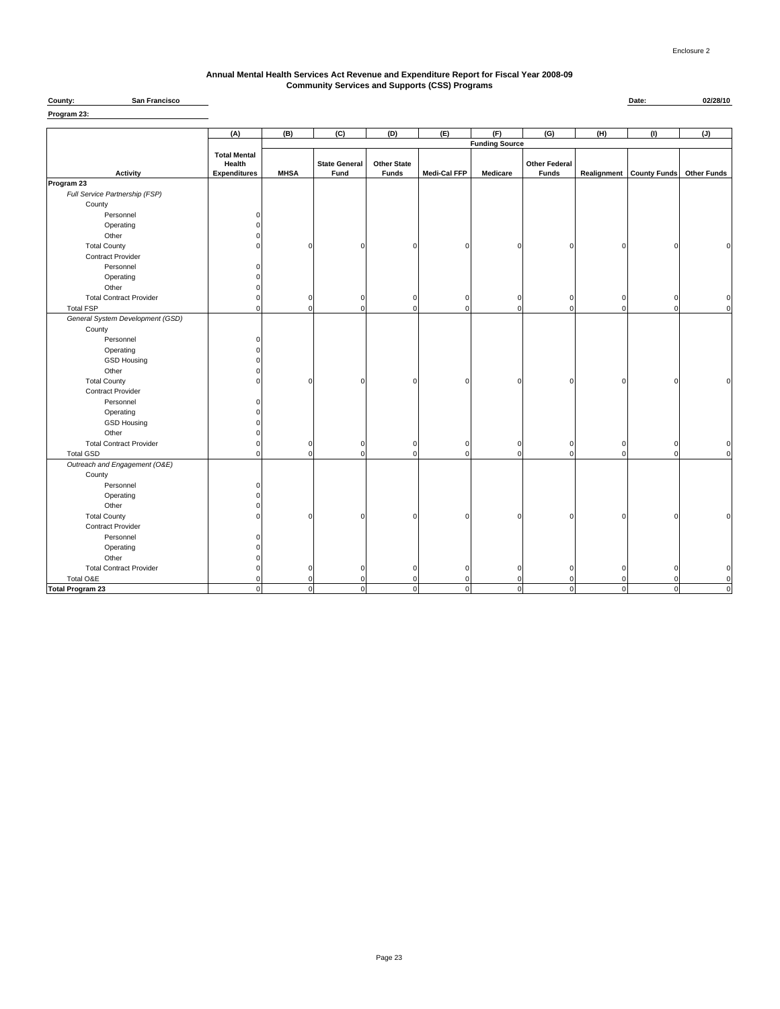| Program 23:                                     |                               |             |                      |                    |                     |                       |                      |          |                          |                    |
|-------------------------------------------------|-------------------------------|-------------|----------------------|--------------------|---------------------|-----------------------|----------------------|----------|--------------------------|--------------------|
|                                                 | (A)                           | (B)         | (C)                  | (D)                | (E)                 | (F)                   | (G)                  | (H)      | (1)                      | (J)                |
|                                                 |                               |             |                      |                    |                     | <b>Funding Source</b> |                      |          |                          |                    |
|                                                 | <b>Total Mental</b><br>Health |             | <b>State General</b> | <b>Other State</b> |                     |                       | <b>Other Federal</b> |          |                          |                    |
| Activity                                        | <b>Expenditures</b>           | <b>MHSA</b> | Fund                 | <b>Funds</b>       | <b>Medi-Cal FFP</b> | Medicare              | <b>Funds</b>         |          | Realignment County Funds | <b>Other Funds</b> |
| Program 23                                      |                               |             |                      |                    |                     |                       |                      |          |                          |                    |
| Full Service Partnership (FSP)                  |                               |             |                      |                    |                     |                       |                      |          |                          |                    |
| County                                          |                               |             |                      |                    |                     |                       |                      |          |                          |                    |
| Personnel                                       | $\Omega$                      |             |                      |                    |                     |                       |                      |          |                          |                    |
| Operating                                       | $\Omega$                      |             |                      |                    |                     |                       |                      |          |                          |                    |
| Other                                           | $\Omega$                      |             |                      |                    |                     |                       |                      |          |                          |                    |
| <b>Total County</b>                             | $\Omega$                      | $\Omega$    | $\Omega$             | $\mathbf 0$        | n                   | $\Omega$              | $\Omega$             | n        | $\mathbf 0$              | $\Omega$           |
| <b>Contract Provider</b>                        |                               |             |                      |                    |                     |                       |                      |          |                          |                    |
| Personnel                                       | $\Omega$                      |             |                      |                    |                     |                       |                      |          |                          |                    |
| Operating                                       | n                             |             |                      |                    |                     |                       |                      |          |                          |                    |
| Other                                           | C                             |             |                      |                    |                     |                       |                      |          |                          |                    |
| <b>Total Contract Provider</b>                  | $\Omega$                      | $\mathbf 0$ | $\Omega$             | $\pmb{0}$          | $\Omega$            | $\Omega$              | 0                    | n        | 0                        | $\mathbf 0$        |
| <b>Total FSP</b>                                | $\mathbf 0$                   | $\mathbf 0$ | $\Omega$             | $\mathbf 0$        | $\Omega$            | $\Omega$              | $\mathbf 0$          | $\Omega$ | $\Omega$                 | $\circ$            |
| General System Development (GSD)                |                               |             |                      |                    |                     |                       |                      |          |                          |                    |
| County                                          |                               |             |                      |                    |                     |                       |                      |          |                          |                    |
| Personnel                                       | 0<br>$\Omega$                 |             |                      |                    |                     |                       |                      |          |                          |                    |
| Operating                                       |                               |             |                      |                    |                     |                       |                      |          |                          |                    |
| <b>GSD Housing</b>                              | $\Omega$<br>$\Omega$          |             |                      |                    |                     |                       |                      |          |                          |                    |
| Other                                           |                               |             | $\Omega$             |                    |                     |                       | $\Omega$             |          |                          |                    |
| <b>Total County</b><br><b>Contract Provider</b> | $\Omega$                      | $\mathbf 0$ |                      | $\mathbf 0$        | <sup>0</sup>        | $\mathbf 0$           |                      | $\Omega$ | $\Omega$                 | $\mathbf 0$        |
|                                                 | n                             |             |                      |                    |                     |                       |                      |          |                          |                    |
| Personnel                                       | $\cap$                        |             |                      |                    |                     |                       |                      |          |                          |                    |
| Operating<br><b>GSD Housing</b>                 |                               |             |                      |                    |                     |                       |                      |          |                          |                    |
| Other                                           | $\Omega$                      |             |                      |                    |                     |                       |                      |          |                          |                    |
| <b>Total Contract Provider</b>                  | $\mathbf 0$                   | $\mathbf 0$ |                      | $\mathbf 0$        | $\Omega$            | $\Omega$              |                      | $\Omega$ |                          | $\mathbf 0$        |
| <b>Total GSD</b>                                | $\Omega$                      | $\Omega$    | 0<br>$\Omega$        | $\mathbf 0$        | $\Omega$            |                       | 0<br>$\Omega$        |          | 0<br>C                   | $\circ$            |
| Outreach and Engagement (O&E)                   |                               |             |                      |                    |                     |                       |                      |          |                          |                    |
| County                                          |                               |             |                      |                    |                     |                       |                      |          |                          |                    |
| Personnel                                       | $\mathbf 0$                   |             |                      |                    |                     |                       |                      |          |                          |                    |
| Operating                                       | n                             |             |                      |                    |                     |                       |                      |          |                          |                    |
| Other                                           | $\Omega$                      |             |                      |                    |                     |                       |                      |          |                          |                    |
| <b>Total County</b>                             | $\Omega$                      | $\Omega$    | $\Omega$             | $\Omega$           | $\Omega$            | $\Omega$              | $\Omega$             |          | $\Omega$                 | $\Omega$           |
| <b>Contract Provider</b>                        |                               |             |                      |                    |                     |                       |                      |          |                          |                    |
| Personnel                                       | n                             |             |                      |                    |                     |                       |                      |          |                          |                    |
| Operating                                       |                               |             |                      |                    |                     |                       |                      |          |                          |                    |
| Other                                           | n                             |             |                      |                    |                     |                       |                      |          |                          |                    |
| <b>Total Contract Provider</b>                  | $\Omega$                      | $\mathbf 0$ | $\Omega$             | $\mathbf 0$        | $\Omega$            | 0                     | $\mathbf 0$          | n        | $\Omega$                 | $\mathbf 0$        |
| Total O&E                                       | $\mathbf 0$                   |             | $\Omega$             | $\mathbf 0$        |                     |                       | $\mathbf 0$          |          | C                        | $\mathbf 0$        |
| <b>Total Program 23</b>                         | $\mathbf 0$                   | $\Omega$    | $\Omega$             | $\mathbf 0$        | $\Omega$            | $\Omega$              | $\Omega$             |          | $\Omega$                 | $\mathbf 0$        |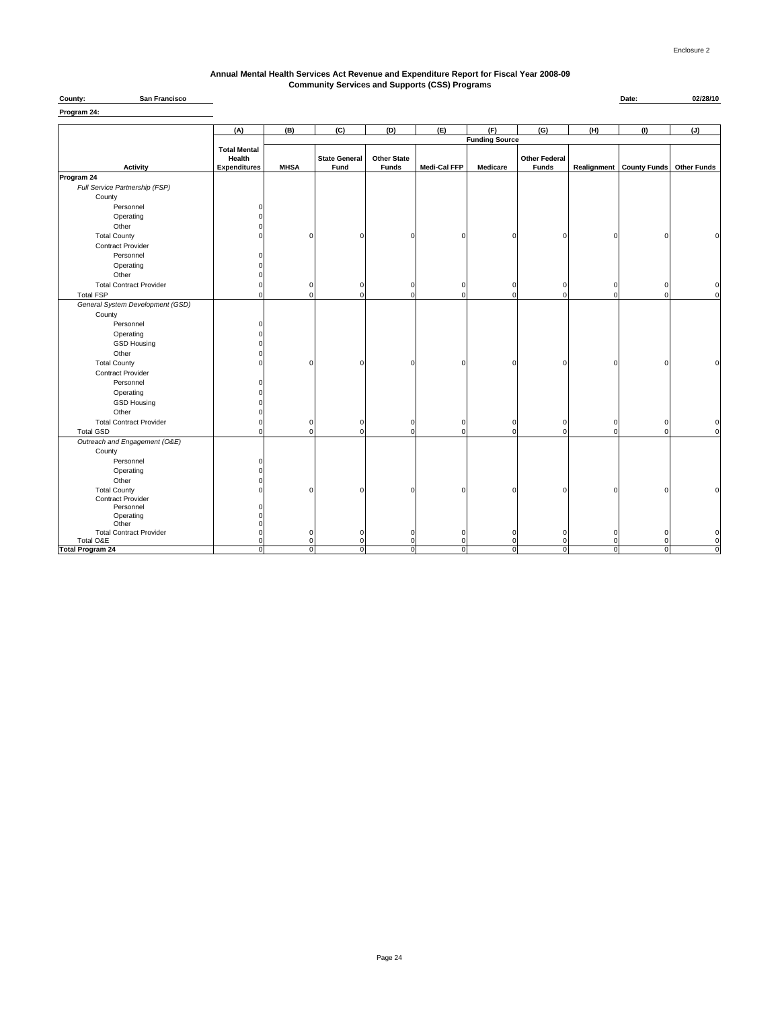#### **County: Date: 02/28/10 Program 24: San Francisco**

| Fluglalli 44.                    |                                                      |                |                              |                                    |                     |                       |                                      |             |                         |                    |
|----------------------------------|------------------------------------------------------|----------------|------------------------------|------------------------------------|---------------------|-----------------------|--------------------------------------|-------------|-------------------------|--------------------|
|                                  | (A)                                                  | (B)            | (C)                          | (D)                                | (E)                 | (F)                   | (G)                                  | (H)         | (1)                     | (J)                |
|                                  |                                                      |                |                              |                                    |                     | <b>Funding Source</b> |                                      |             |                         |                    |
| <b>Activity</b>                  | <b>Total Mental</b><br>Health<br><b>Expenditures</b> | <b>MHSA</b>    | <b>State General</b><br>Fund | <b>Other State</b><br><b>Funds</b> | <b>Medi-Cal FFP</b> | Medicare              | <b>Other Federal</b><br><b>Funds</b> | Realignment | <b>County Funds</b>     | <b>Other Funds</b> |
| Program 24                       |                                                      |                |                              |                                    |                     |                       |                                      |             |                         |                    |
| Full Service Partnership (FSP)   |                                                      |                |                              |                                    |                     |                       |                                      |             |                         |                    |
| County                           |                                                      |                |                              |                                    |                     |                       |                                      |             |                         |                    |
| Personnel                        | $\mathbf 0$                                          |                |                              |                                    |                     |                       |                                      |             |                         |                    |
| Operating                        | $\Omega$                                             |                |                              |                                    |                     |                       |                                      |             |                         |                    |
| Other                            | $\Omega$                                             |                |                              |                                    |                     |                       |                                      |             |                         |                    |
| <b>Total County</b>              | $\Omega$                                             | O              | $\Omega$                     | $\Omega$                           | $\mathbf 0$         | $\Omega$              | 0                                    | $\mathbf 0$ | $\mathsf{O}\xspace$     |                    |
| <b>Contract Provider</b>         |                                                      |                |                              |                                    |                     |                       |                                      |             |                         |                    |
| Personnel                        | O                                                    |                |                              |                                    |                     |                       |                                      |             |                         |                    |
| Operating                        | C                                                    |                |                              |                                    |                     |                       |                                      |             |                         |                    |
| Other                            | $\Omega$                                             |                |                              |                                    |                     |                       |                                      |             |                         |                    |
| <b>Total Contract Provider</b>   | $\Omega$                                             | $\mathbf{0}$   | $^{\circ}$                   | $\Omega$                           | $\mathbf 0$         | $\Omega$              | 0                                    | $\mathbf 0$ | 0                       | $\Omega$           |
| <b>Total FSP</b>                 | $\Omega$                                             | $\Omega$       | $\Omega$                     | $\Omega$                           | $\Omega$            | $\Omega$              | $\Omega$                             | $\Omega$    | $\mathbf 0$             | $\Omega$           |
| General System Development (GSD) |                                                      |                |                              |                                    |                     |                       |                                      |             |                         |                    |
| County                           |                                                      |                |                              |                                    |                     |                       |                                      |             |                         |                    |
| Personnel                        | 0                                                    |                |                              |                                    |                     |                       |                                      |             |                         |                    |
| Operating                        | $\mathbf 0$                                          |                |                              |                                    |                     |                       |                                      |             |                         |                    |
| <b>GSD Housing</b>               | $\Omega$                                             |                |                              |                                    |                     |                       |                                      |             |                         |                    |
| Other                            | $\Omega$                                             |                |                              |                                    |                     |                       |                                      |             |                         |                    |
| <b>Total County</b>              | $\Omega$                                             | O              | $\Omega$                     | ŋ                                  | $\Omega$            | $\Omega$              | $\Omega$                             | $\Omega$    | $\mathbf 0$             | O                  |
| <b>Contract Provider</b>         |                                                      |                |                              |                                    |                     |                       |                                      |             |                         |                    |
| Personnel                        | 0                                                    |                |                              |                                    |                     |                       |                                      |             |                         |                    |
| Operating                        | $\Omega$                                             |                |                              |                                    |                     |                       |                                      |             |                         |                    |
| <b>GSD Housing</b>               | C                                                    |                |                              |                                    |                     |                       |                                      |             |                         |                    |
| Other                            | O                                                    |                |                              |                                    |                     |                       |                                      |             |                         |                    |
| <b>Total Contract Provider</b>   | $\Omega$                                             | 0              | $^{\circ}$                   | ŋ                                  | $\mathbf 0$         | $\Omega$              | $\Omega$                             | $\Omega$    | $\mathsf{O}\xspace$     | 0                  |
| <b>Total GSD</b>                 | $\Omega$                                             | O              | $\Omega$                     |                                    | $\Omega$            |                       | $\Omega$                             | $\Omega$    | $\mathbf 0$             | $\mathbf 0$        |
| Outreach and Engagement (O&E)    |                                                      |                |                              |                                    |                     |                       |                                      |             |                         |                    |
| County                           |                                                      |                |                              |                                    |                     |                       |                                      |             |                         |                    |
| Personnel                        | $\mathbf 0$                                          |                |                              |                                    |                     |                       |                                      |             |                         |                    |
| Operating                        | $\Omega$                                             |                |                              |                                    |                     |                       |                                      |             |                         |                    |
| Other                            | $\Omega$                                             |                |                              |                                    |                     |                       |                                      |             |                         |                    |
| <b>Total County</b>              | $\Omega$                                             | n              | $\Omega$                     | n                                  | $\mathbf 0$         | $\Omega$              | $\Omega$                             | $\Omega$    | $\mathbf 0$             |                    |
| <b>Contract Provider</b>         |                                                      |                |                              |                                    |                     |                       |                                      |             |                         |                    |
| Personnel                        | $\Omega$                                             |                |                              |                                    |                     |                       |                                      |             |                         |                    |
| Operating<br>Other               | $\Omega$<br>$\Omega$                                 |                |                              |                                    |                     |                       |                                      |             |                         |                    |
| <b>Total Contract Provider</b>   | $\Omega$                                             | 0              | 0                            | ŋ                                  | $\Omega$            |                       | 0                                    | $\Omega$    | 0                       | O                  |
| Total O&E                        | $\mathbf 0$                                          | $\mathbf{O}$   | $\mathbf 0$                  | n                                  | $\Omega$            | $\Omega$              | $\Omega$                             | n           | 0                       | $\Omega$           |
| <b>Total Program 24</b>          | $\mathbf 0$                                          | $\overline{0}$ | $\overline{0}$               | $\Omega$                           | $\mathbf 0$         | $\Omega$              | 0                                    | $\Omega$    | $\overline{\mathbf{0}}$ | $\Omega$           |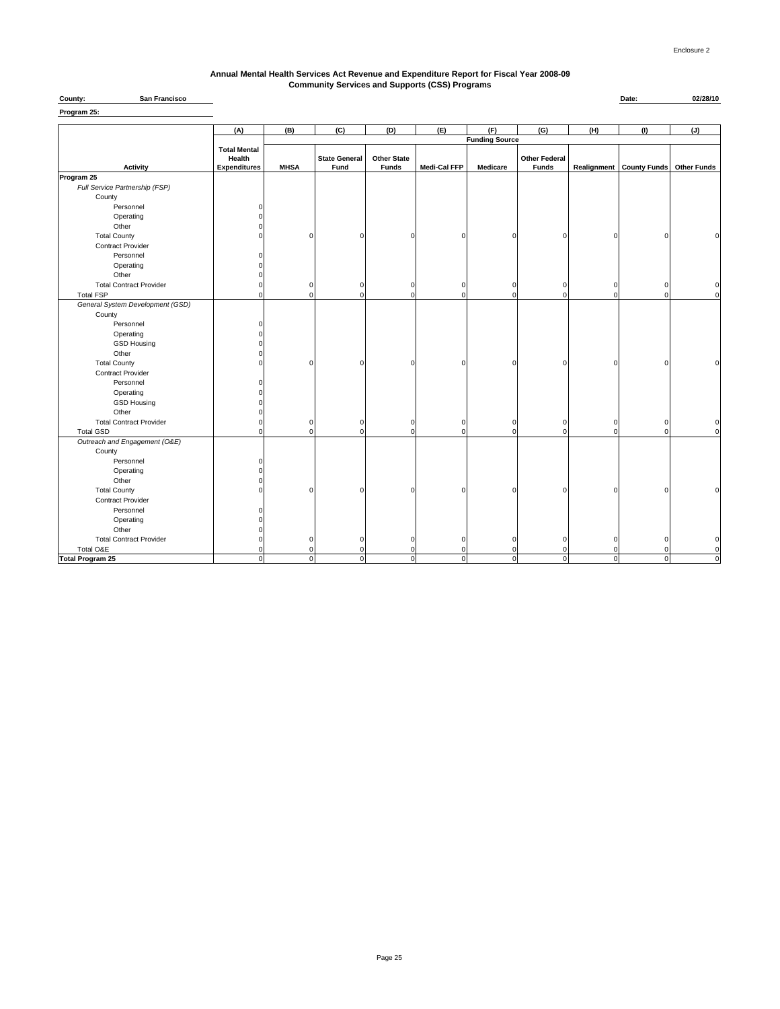| Program 25:                           |                               |                                    |                         |                    |                            |                            |                      |               |                            |                    |
|---------------------------------------|-------------------------------|------------------------------------|-------------------------|--------------------|----------------------------|----------------------------|----------------------|---------------|----------------------------|--------------------|
|                                       | (A)                           | (B)                                | (C)                     | (D)                | (E)                        | (F)                        | (G)                  | (H)           | (1)                        | (J)                |
|                                       |                               |                                    |                         |                    |                            | <b>Funding Source</b>      |                      |               |                            |                    |
|                                       | <b>Total Mental</b><br>Health |                                    | <b>State General</b>    | <b>Other State</b> |                            |                            | <b>Other Federal</b> |               |                            |                    |
| <b>Activity</b>                       | <b>Expenditures</b>           | <b>MHSA</b>                        | Fund                    | <b>Funds</b>       | <b>Medi-Cal FFP</b>        | Medicare                   | <b>Funds</b>         | Realignment   | <b>County Funds</b>        | <b>Other Funds</b> |
| Program 25                            |                               |                                    |                         |                    |                            |                            |                      |               |                            |                    |
| Full Service Partnership (FSP)        |                               |                                    |                         |                    |                            |                            |                      |               |                            |                    |
| County                                |                               |                                    |                         |                    |                            |                            |                      |               |                            |                    |
| Personnel                             | $\Omega$                      |                                    |                         |                    |                            |                            |                      |               |                            |                    |
| Operating                             |                               |                                    |                         |                    |                            |                            |                      |               |                            |                    |
| Other                                 |                               |                                    |                         |                    | $\Omega$                   | $\Omega$                   |                      |               |                            |                    |
| <b>Total County</b>                   | $\Omega$                      | $\mathsf{O}\xspace$                | C                       |                    |                            |                            | n                    |               | 0                          | $\Omega$           |
| <b>Contract Provider</b><br>Personnel |                               |                                    |                         |                    |                            |                            |                      |               |                            |                    |
|                                       |                               |                                    |                         |                    |                            |                            |                      |               |                            |                    |
| Operating<br>Other                    |                               |                                    |                         |                    |                            |                            |                      |               |                            |                    |
| <b>Total Contract Provider</b>        |                               |                                    |                         |                    |                            |                            |                      |               |                            |                    |
| <b>Total FSP</b>                      | n<br>$\Omega$                 | $\mathsf{O}\xspace$<br>$\mathbf 0$ | $\mathbf C$<br>$\Omega$ | 0<br>$\Omega$      | $\mathbf 0$<br>$\mathbf 0$ | $\mathbf 0$<br>$\mathbf 0$ | 0<br>$\mathbf 0$     | 0<br>$\Omega$ | $\mathsf 0$<br>$\mathbf 0$ | 0<br>$\mathbf 0$   |
| General System Development (GSD)      |                               |                                    |                         |                    |                            |                            |                      |               |                            |                    |
| County                                |                               |                                    |                         |                    |                            |                            |                      |               |                            |                    |
| Personnel                             | $\Omega$                      |                                    |                         |                    |                            |                            |                      |               |                            |                    |
| Operating                             | $\Omega$                      |                                    |                         |                    |                            |                            |                      |               |                            |                    |
| <b>GSD Housing</b>                    |                               |                                    |                         |                    |                            |                            |                      |               |                            |                    |
| Other                                 |                               |                                    |                         |                    |                            |                            |                      |               |                            |                    |
| <b>Total County</b>                   |                               | $\mathbf 0$                        |                         | Ω                  | $\Omega$                   | $\mathbf 0$                | $\Omega$             | n             | 0                          |                    |
| <b>Contract Provider</b>              |                               |                                    |                         |                    |                            |                            |                      |               |                            |                    |
| Personnel                             | n                             |                                    |                         |                    |                            |                            |                      |               |                            |                    |
| Operating                             |                               |                                    |                         |                    |                            |                            |                      |               |                            |                    |
| <b>GSD Housing</b>                    |                               |                                    |                         |                    |                            |                            |                      |               |                            |                    |
| Other                                 |                               |                                    |                         |                    |                            |                            |                      |               |                            |                    |
| <b>Total Contract Provider</b>        | n                             | 0                                  | $\sqrt{2}$              | 0                  | 0                          | 0                          | 0                    | $\Omega$      | 0                          | $\Omega$           |
| <b>Total GSD</b>                      | 0                             | $\pmb{0}$                          | $\Omega$                | $\Omega$           | $\Omega$                   | $\Omega$                   | $\mathbf 0$          | $\Omega$      | $\mathbf 0$                | 0                  |
| Outreach and Engagement (O&E)         |                               |                                    |                         |                    |                            |                            |                      |               |                            |                    |
| County                                |                               |                                    |                         |                    |                            |                            |                      |               |                            |                    |
| Personnel                             | 0                             |                                    |                         |                    |                            |                            |                      |               |                            |                    |
| Operating                             |                               |                                    |                         |                    |                            |                            |                      |               |                            |                    |
| Other                                 | n                             |                                    |                         |                    |                            |                            |                      |               |                            |                    |
| <b>Total County</b>                   |                               | $\mathbf 0$                        | C                       |                    | $\Omega$                   | U                          | $\Omega$             | $\Omega$      | $\Omega$                   |                    |
| <b>Contract Provider</b>              |                               |                                    |                         |                    |                            |                            |                      |               |                            |                    |
| Personnel                             |                               |                                    |                         |                    |                            |                            |                      |               |                            |                    |
| Operating                             |                               |                                    |                         |                    |                            |                            |                      |               |                            |                    |
| Other                                 | $^{\prime}$                   |                                    |                         |                    |                            |                            |                      |               |                            |                    |
| <b>Total Contract Provider</b>        |                               | $\mathsf{O}\xspace$                | $\mathbf C$             | 0                  | $\mathbf 0$                | n                          | $\Omega$             | O             | 0                          | $\Omega$           |
| Total O&E                             | $\Omega$                      | $\pmb{0}$                          | $\Omega$                | $\Omega$           | $\Omega$                   | $\Omega$                   | $\Omega$             | n             | $\mathbf 0$                | $\Omega$           |
| <b>Total Program 25</b>               | $\Omega$                      | $\mathbf{0}$                       | $\Omega$                | $\mathbf 0$        | $\mathbf 0$                | $\Omega$                   | $\Omega$             | $\Omega$      | $\mathbf 0$                | $\Omega$           |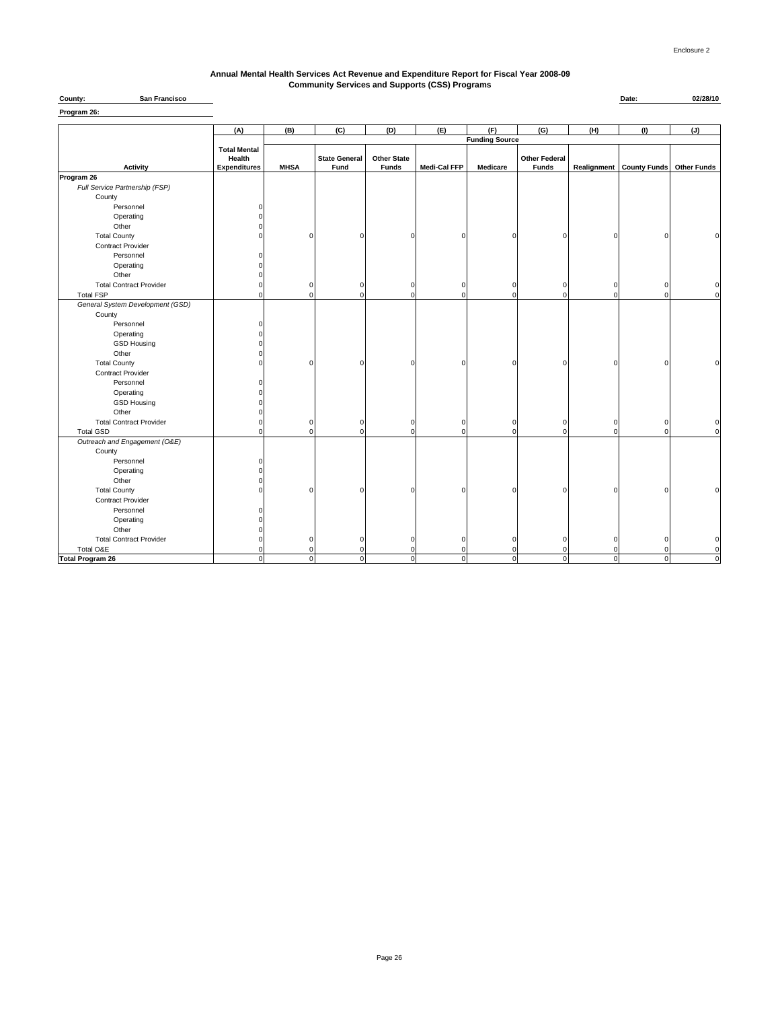| Program 26:                                  |                               |                     |                      |                    |                     |                       |                      |             |                     |                     |
|----------------------------------------------|-------------------------------|---------------------|----------------------|--------------------|---------------------|-----------------------|----------------------|-------------|---------------------|---------------------|
|                                              | (A)                           | (B)                 | (C)                  | (D)                | (E)                 | (F)                   | (G)                  | (H)         | (1)                 | (J)                 |
|                                              |                               |                     |                      |                    |                     | <b>Funding Source</b> |                      |             |                     |                     |
|                                              | <b>Total Mental</b><br>Health |                     | <b>State General</b> | <b>Other State</b> |                     |                       | <b>Other Federal</b> |             |                     |                     |
| <b>Activity</b>                              | <b>Expenditures</b>           | <b>MHSA</b>         | Fund                 | <b>Funds</b>       | <b>Medi-Cal FFP</b> | Medicare              | <b>Funds</b>         | Realignment | <b>County Funds</b> | <b>Other Funds</b>  |
| Program 26<br>Full Service Partnership (FSP) |                               |                     |                      |                    |                     |                       |                      |             |                     |                     |
| County                                       |                               |                     |                      |                    |                     |                       |                      |             |                     |                     |
| Personnel                                    | $\Omega$                      |                     |                      |                    |                     |                       |                      |             |                     |                     |
| Operating                                    |                               |                     |                      |                    |                     |                       |                      |             |                     |                     |
| Other                                        |                               |                     |                      |                    |                     |                       |                      |             |                     |                     |
| <b>Total County</b>                          | $\Omega$                      | $\mathsf{O}\xspace$ | C                    |                    | $\Omega$            | $\Omega$              | $\Omega$             |             | 0                   | $\Omega$            |
| <b>Contract Provider</b>                     |                               |                     |                      |                    |                     |                       |                      |             |                     |                     |
| Personnel                                    |                               |                     |                      |                    |                     |                       |                      |             |                     |                     |
| Operating                                    |                               |                     |                      |                    |                     |                       |                      |             |                     |                     |
| Other                                        |                               |                     |                      |                    |                     |                       |                      |             |                     |                     |
| <b>Total Contract Provider</b>               | n                             | $\mathsf{O}\xspace$ | $\mathbf C$          | 0                  | $\mathbf 0$         | $\mathbf 0$           | 0                    | 0           | $\mathsf 0$         | 0                   |
| <b>Total FSP</b>                             | 0                             | $\mathbf 0$         | $\Omega$             | $\Omega$           | $\mathbf 0$         | $\mathbf 0$           | $\mathbf 0$          | $\Omega$    | $\mathbf 0$         | $\mathbf 0$         |
| General System Development (GSD)             |                               |                     |                      |                    |                     |                       |                      |             |                     |                     |
| County                                       |                               |                     |                      |                    |                     |                       |                      |             |                     |                     |
| Personnel                                    | $\Omega$                      |                     |                      |                    |                     |                       |                      |             |                     |                     |
| Operating                                    | $\Omega$                      |                     |                      |                    |                     |                       |                      |             |                     |                     |
| <b>GSD Housing</b>                           |                               |                     |                      |                    |                     |                       |                      |             |                     |                     |
| Other                                        |                               |                     |                      |                    |                     |                       |                      |             |                     |                     |
| <b>Total County</b>                          |                               | $\mathbf 0$         |                      | Ω                  | $\Omega$            | $\mathbf 0$           | $\Omega$             | n           | 0                   |                     |
| <b>Contract Provider</b>                     |                               |                     |                      |                    |                     |                       |                      |             |                     |                     |
| Personnel                                    | n                             |                     |                      |                    |                     |                       |                      |             |                     |                     |
| Operating                                    |                               |                     |                      |                    |                     |                       |                      |             |                     |                     |
| <b>GSD Housing</b>                           |                               |                     |                      |                    |                     |                       |                      |             |                     |                     |
| Other                                        |                               |                     |                      |                    |                     |                       |                      |             |                     |                     |
| <b>Total Contract Provider</b>               | n                             | 0                   | $\sqrt{2}$           | 0                  | 0                   | 0                     | 0                    | $\Omega$    | 0                   | $\Omega$            |
| <b>Total GSD</b>                             | 0                             | $\pmb{0}$           | $\Omega$             | $\Omega$           | $\Omega$            | $\Omega$              | $\mathbf 0$          | $\Omega$    | $\mathbf 0$         | $\mathsf{O}\xspace$ |
| Outreach and Engagement (O&E)                |                               |                     |                      |                    |                     |                       |                      |             |                     |                     |
| County                                       |                               |                     |                      |                    |                     |                       |                      |             |                     |                     |
| Personnel                                    | 0                             |                     |                      |                    |                     |                       |                      |             |                     |                     |
| Operating                                    |                               |                     |                      |                    |                     |                       |                      |             |                     |                     |
| Other                                        | n                             |                     |                      |                    |                     |                       |                      |             |                     |                     |
| <b>Total County</b>                          |                               | $\mathbf 0$         | C                    |                    | $\Omega$            | U                     | $\Omega$             | $\Omega$    | $\Omega$            |                     |
| <b>Contract Provider</b>                     |                               |                     |                      |                    |                     |                       |                      |             |                     |                     |
| Personnel                                    | n                             |                     |                      |                    |                     |                       |                      |             |                     |                     |
| Operating                                    |                               |                     |                      |                    |                     |                       |                      |             |                     |                     |
| Other                                        | $^{\prime}$                   |                     |                      |                    |                     |                       |                      |             |                     |                     |
| <b>Total Contract Provider</b>               |                               | $\mathsf{O}\xspace$ | $\mathbf C$          | 0                  | $\mathbf 0$         | O                     | $\Omega$             | O           | 0                   | $\Omega$            |
| Total O&E                                    | $\Omega$                      | $\pmb{0}$           | $\Omega$             | $\Omega$           | $\Omega$            | $\Omega$              | $\Omega$             | n           | $\mathbf 0$         | $\Omega$            |
| <b>Total Program 26</b>                      | $\Omega$                      | $\mathbf{0}$        | $\Omega$             | $\mathbf 0$        | $\mathbf 0$         | $\Omega$              | $\Omega$             | $\Omega$    | $\mathbf 0$         | $\Omega$            |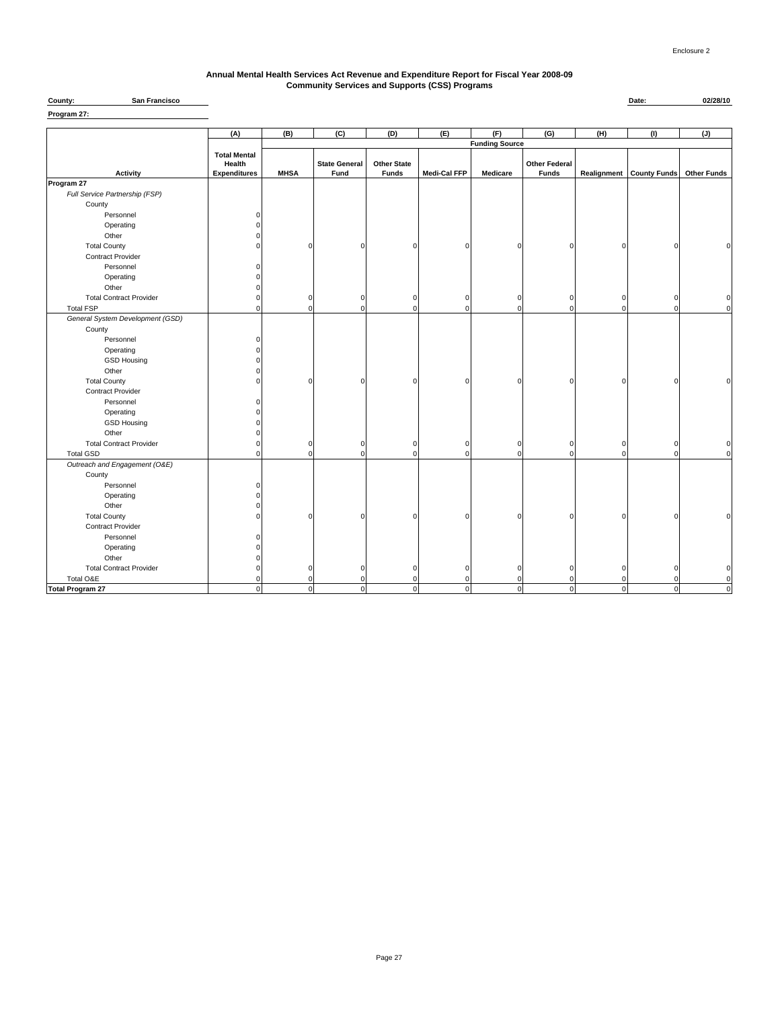**County: Date: 02/28/10 Program 27: San Francisco**

|                                  | (A)                                                  | (B)         | (C)                          | (D)                                | (E)                 | (F)                   | (G)                                  | (H)      | (1)                      | (J)                |
|----------------------------------|------------------------------------------------------|-------------|------------------------------|------------------------------------|---------------------|-----------------------|--------------------------------------|----------|--------------------------|--------------------|
|                                  |                                                      |             |                              |                                    |                     | <b>Funding Source</b> |                                      |          |                          |                    |
| <b>Activity</b>                  | <b>Total Mental</b><br>Health<br><b>Expenditures</b> | <b>MHSA</b> | <b>State General</b><br>Fund | <b>Other State</b><br><b>Funds</b> | <b>Medi-Cal FFP</b> | Medicare              | <b>Other Federal</b><br><b>Funds</b> |          | Realignment County Funds | <b>Other Funds</b> |
| Program 27                       |                                                      |             |                              |                                    |                     |                       |                                      |          |                          |                    |
| Full Service Partnership (FSP)   |                                                      |             |                              |                                    |                     |                       |                                      |          |                          |                    |
| County                           |                                                      |             |                              |                                    |                     |                       |                                      |          |                          |                    |
| Personnel                        | n                                                    |             |                              |                                    |                     |                       |                                      |          |                          |                    |
| Operating                        | n                                                    |             |                              |                                    |                     |                       |                                      |          |                          |                    |
| Other                            |                                                      |             |                              |                                    |                     |                       |                                      |          |                          |                    |
| <b>Total County</b>              |                                                      | $\Omega$    | $\Omega$                     | $\Omega$                           |                     | $\Omega$              | $\Omega$                             |          | $\Omega$                 | $\Omega$           |
| <b>Contract Provider</b>         |                                                      |             |                              |                                    |                     |                       |                                      |          |                          |                    |
| Personnel                        | C                                                    |             |                              |                                    |                     |                       |                                      |          |                          |                    |
| Operating                        |                                                      |             |                              |                                    |                     |                       |                                      |          |                          |                    |
| Other                            |                                                      |             |                              |                                    |                     |                       |                                      |          |                          |                    |
| <b>Total Contract Provider</b>   | n                                                    | $\mathbf 0$ | O                            | $\mathbf 0$                        | $\Omega$            | $\Omega$              | $\mathbf 0$                          | $\Omega$ | ŋ                        | $\mathbf 0$        |
| <b>Total FSP</b>                 | $\mathbf 0$                                          | $\mathbf 0$ | $\Omega$                     | $\mathbf 0$                        | $\Omega$            | $\Omega$              | $\mathbf 0$                          | $\Omega$ | $\Omega$                 | $\circ$            |
| General System Development (GSD) |                                                      |             |                              |                                    |                     |                       |                                      |          |                          |                    |
| County                           |                                                      |             |                              |                                    |                     |                       |                                      |          |                          |                    |
| Personnel                        | $\Omega$                                             |             |                              |                                    |                     |                       |                                      |          |                          |                    |
| Operating                        | n                                                    |             |                              |                                    |                     |                       |                                      |          |                          |                    |
| <b>GSD Housing</b>               | $\cap$                                               |             |                              |                                    |                     |                       |                                      |          |                          |                    |
| Other                            |                                                      |             |                              |                                    |                     |                       |                                      |          |                          |                    |
| <b>Total County</b>              |                                                      | $\Omega$    | $\Omega$                     | $\Omega$                           | $\Omega$            | O                     | $\Omega$                             |          | $\Omega$                 | $\Omega$           |
| <b>Contract Provider</b>         |                                                      |             |                              |                                    |                     |                       |                                      |          |                          |                    |
| Personnel                        | n                                                    |             |                              |                                    |                     |                       |                                      |          |                          |                    |
| Operating                        |                                                      |             |                              |                                    |                     |                       |                                      |          |                          |                    |
| <b>GSD Housing</b>               |                                                      |             |                              |                                    |                     |                       |                                      |          |                          |                    |
| Other                            | C                                                    |             |                              |                                    |                     |                       |                                      |          |                          |                    |
|                                  |                                                      |             |                              |                                    |                     |                       |                                      |          |                          |                    |
| <b>Total Contract Provider</b>   | $\Omega$                                             | $\mathbf 0$ | $\Omega$                     | $\pmb{0}$                          | $\Omega$            | $\Omega$              | 0                                    | n        | $\Omega$                 | $\mathbf 0$        |
| <b>Total GSD</b>                 | $\Omega$                                             | $\Omega$    | $\Omega$                     | $\mathbf 0$                        | $\Omega$            | n                     | $\Omega$                             |          | n                        | $\circ$            |
| Outreach and Engagement (O&E)    |                                                      |             |                              |                                    |                     |                       |                                      |          |                          |                    |
| County                           |                                                      |             |                              |                                    |                     |                       |                                      |          |                          |                    |
| Personnel                        | $\Omega$                                             |             |                              |                                    |                     |                       |                                      |          |                          |                    |
| Operating                        | n                                                    |             |                              |                                    |                     |                       |                                      |          |                          |                    |
| Other                            | C                                                    |             |                              |                                    |                     |                       |                                      |          |                          |                    |
| <b>Total County</b>              | n                                                    | $\Omega$    | $\Omega$                     | $\mathbf 0$                        | n                   | $\Omega$              | $\Omega$                             |          | $\Omega$                 | $\mathbf 0$        |
| <b>Contract Provider</b>         |                                                      |             |                              |                                    |                     |                       |                                      |          |                          |                    |
| Personnel                        |                                                      |             |                              |                                    |                     |                       |                                      |          |                          |                    |
| Operating                        |                                                      |             |                              |                                    |                     |                       |                                      |          |                          |                    |
| Other                            |                                                      |             |                              |                                    |                     |                       |                                      |          |                          |                    |
| <b>Total Contract Provider</b>   | $\Omega$                                             | $\Omega$    | $\Omega$                     | 0                                  | $\Omega$            | O                     | $\Omega$                             | n        | $\Omega$                 | $\mathbf 0$        |
| Total O&E                        | $\Omega$                                             |             | C                            | $\mathbf 0$                        |                     |                       | $\Omega$                             |          |                          | $\mathbf 0$        |
| <b>Total Program 27</b>          | $\mathbf 0$                                          | $\Omega$    | $\Omega$                     | $\mathbf 0$                        | $\Omega$            | $\Omega$              | $\Omega$                             |          | $\Omega$                 | $\mathbf 0$        |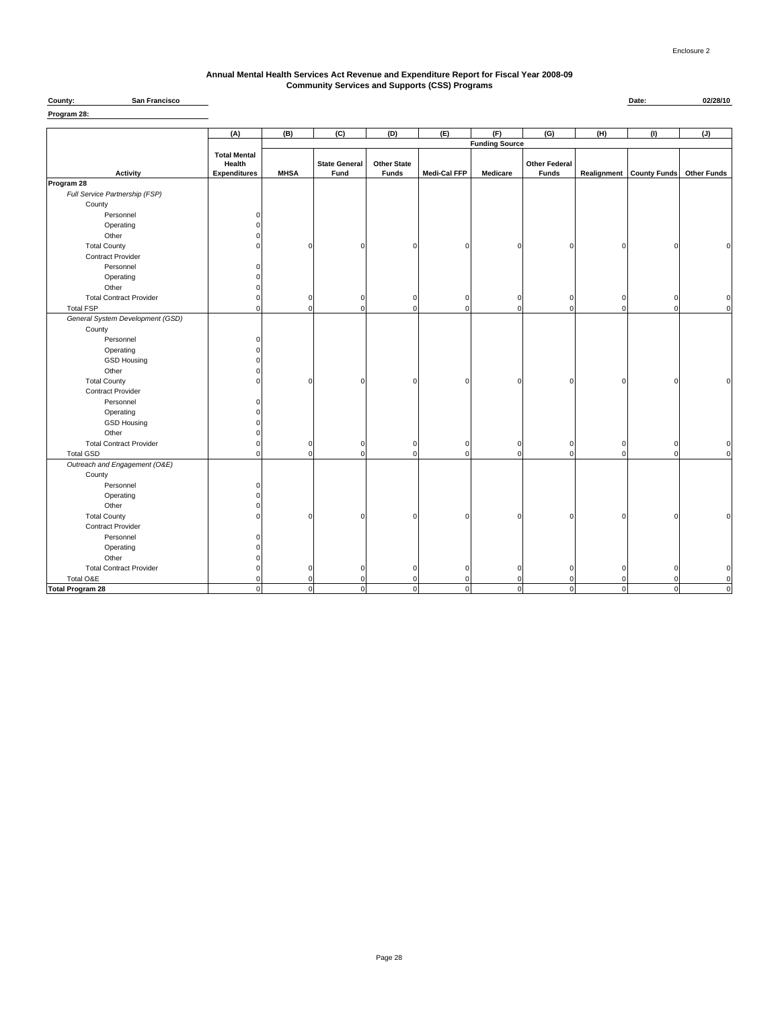**County: Date: 02/28/10 Program 28: San Francisco**

|                                  | (A)                                                  | (B)         | (C)                          | (D)                                | (E)                 | (F)                   | (G)                                  | (H)      | (1)                      | (J)                |
|----------------------------------|------------------------------------------------------|-------------|------------------------------|------------------------------------|---------------------|-----------------------|--------------------------------------|----------|--------------------------|--------------------|
|                                  |                                                      |             |                              |                                    |                     | <b>Funding Source</b> |                                      |          |                          |                    |
| <b>Activity</b>                  | <b>Total Mental</b><br>Health<br><b>Expenditures</b> | <b>MHSA</b> | <b>State General</b><br>Fund | <b>Other State</b><br><b>Funds</b> | <b>Medi-Cal FFP</b> | Medicare              | <b>Other Federal</b><br><b>Funds</b> |          | Realignment County Funds | <b>Other Funds</b> |
| Program 28                       |                                                      |             |                              |                                    |                     |                       |                                      |          |                          |                    |
| Full Service Partnership (FSP)   |                                                      |             |                              |                                    |                     |                       |                                      |          |                          |                    |
| County                           |                                                      |             |                              |                                    |                     |                       |                                      |          |                          |                    |
| Personnel                        | O                                                    |             |                              |                                    |                     |                       |                                      |          |                          |                    |
| Operating                        | C                                                    |             |                              |                                    |                     |                       |                                      |          |                          |                    |
| Other                            |                                                      |             |                              |                                    |                     |                       |                                      |          |                          |                    |
| <b>Total County</b>              |                                                      | $\Omega$    | O                            | $\mathbf 0$                        |                     | $\Omega$              | $\Omega$                             |          | $\Omega$                 | $\Omega$           |
| <b>Contract Provider</b>         |                                                      |             |                              |                                    |                     |                       |                                      |          |                          |                    |
| Personnel                        |                                                      |             |                              |                                    |                     |                       |                                      |          |                          |                    |
| Operating                        |                                                      |             |                              |                                    |                     |                       |                                      |          |                          |                    |
| Other                            |                                                      |             |                              |                                    |                     |                       |                                      |          |                          |                    |
| <b>Total Contract Provider</b>   | n                                                    | $\mathbf 0$ | 0                            | $\mathbf 0$                        | $\Omega$            | 0                     | $^{\circ}$                           | $\Omega$ | 0                        | $\mathbf 0$        |
| <b>Total FSP</b>                 | $\mathbf 0$                                          | $\Omega$    | $\Omega$                     | $\mathbf 0$                        | $\Omega$            | O                     | $\Omega$                             | $\Omega$ | $\Omega$                 | $\overline{0}$     |
| General System Development (GSD) |                                                      |             |                              |                                    |                     |                       |                                      |          |                          |                    |
| County                           |                                                      |             |                              |                                    |                     |                       |                                      |          |                          |                    |
| Personnel                        | O                                                    |             |                              |                                    |                     |                       |                                      |          |                          |                    |
| Operating                        | C                                                    |             |                              |                                    |                     |                       |                                      |          |                          |                    |
| <b>GSD Housing</b>               | C                                                    |             |                              |                                    |                     |                       |                                      |          |                          |                    |
| Other                            |                                                      |             |                              |                                    |                     |                       |                                      |          |                          |                    |
| <b>Total County</b>              | n                                                    | $\Omega$    | $\Omega$                     | $\mathbf 0$                        | n                   | ŋ                     | $\Omega$                             |          | $\mathbf 0$              | $\mathbf 0$        |
| <b>Contract Provider</b>         |                                                      |             |                              |                                    |                     |                       |                                      |          |                          |                    |
| Personnel                        |                                                      |             |                              |                                    |                     |                       |                                      |          |                          |                    |
|                                  |                                                      |             |                              |                                    |                     |                       |                                      |          |                          |                    |
| Operating                        |                                                      |             |                              |                                    |                     |                       |                                      |          |                          |                    |
| <b>GSD Housing</b>               |                                                      |             |                              |                                    |                     |                       |                                      |          |                          |                    |
| Other                            |                                                      |             |                              |                                    |                     |                       |                                      |          |                          |                    |
| <b>Total Contract Provider</b>   | $\Omega$                                             | $\mathbf 0$ | $\Omega$                     | $\mathbf 0$                        | $\Omega$            | 0                     | $^{\circ}$                           | n        | 0                        | $\circ$            |
| <b>Total GSD</b>                 | $\Omega$                                             | $\Omega$    | $\cap$                       | $\Omega$                           | <sup>n</sup>        | r                     | $\Omega$                             | n        | C                        | $\circ$            |
| Outreach and Engagement (O&E)    |                                                      |             |                              |                                    |                     |                       |                                      |          |                          |                    |
| County                           |                                                      |             |                              |                                    |                     |                       |                                      |          |                          |                    |
| Personnel                        | $\Omega$                                             |             |                              |                                    |                     |                       |                                      |          |                          |                    |
| Operating                        | n                                                    |             |                              |                                    |                     |                       |                                      |          |                          |                    |
| Other                            | $\Omega$                                             |             |                              |                                    |                     |                       |                                      |          |                          |                    |
| <b>Total County</b>              | $\Omega$                                             | $\Omega$    | $\Omega$                     | $\Omega$                           |                     | $\Omega$              | $\Omega$                             |          | $\Omega$                 | $\Omega$           |
| <b>Contract Provider</b>         |                                                      |             |                              |                                    |                     |                       |                                      |          |                          |                    |
| Personnel                        |                                                      |             |                              |                                    |                     |                       |                                      |          |                          |                    |
| Operating                        |                                                      |             |                              |                                    |                     |                       |                                      |          |                          |                    |
| Other                            | n                                                    |             |                              |                                    |                     |                       |                                      |          |                          |                    |
| <b>Total Contract Provider</b>   | C                                                    | $\mathbf 0$ | C                            | $\mathbf 0$                        | $\Omega$            | n                     | $\Omega$                             |          | U                        | $\mathbf 0$        |
| Total O&E                        | $\Omega$                                             | n           | n                            | $\mathbf 0$                        | O                   |                       | $\Omega$                             |          |                          | $\overline{0}$     |
| <b>Total Program 28</b>          | $\mathbf 0$                                          | $\mathbf 0$ | 0                            | $\mathbf 0$                        | $\mathbf 0$         | $\Omega$              | $\mathbf 0$                          | n        | $\Omega$                 | $\mathbf{0}$       |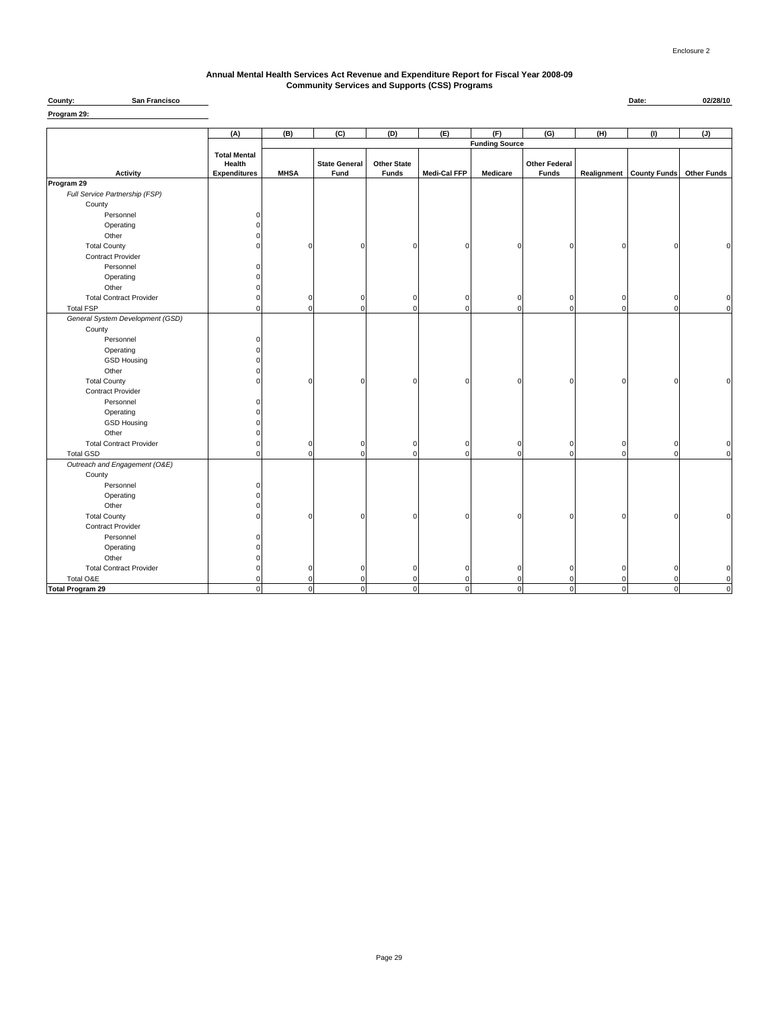| Program 29:                      |                                                      |             |                              |                                    |                     |                       |                                      |          |                          |                    |
|----------------------------------|------------------------------------------------------|-------------|------------------------------|------------------------------------|---------------------|-----------------------|--------------------------------------|----------|--------------------------|--------------------|
|                                  | (A)                                                  | (B)         | (C)                          | (D)                                | (E)                 | (F)                   | (G)                                  | (H)      | (1)                      | (J)                |
|                                  |                                                      |             |                              |                                    |                     | <b>Funding Source</b> |                                      |          |                          |                    |
| Activity                         | <b>Total Mental</b><br>Health<br><b>Expenditures</b> | <b>MHSA</b> | <b>State General</b><br>Fund | <b>Other State</b><br><b>Funds</b> | <b>Medi-Cal FFP</b> | Medicare              | <b>Other Federal</b><br><b>Funds</b> |          | Realignment County Funds | <b>Other Funds</b> |
| Program 29                       |                                                      |             |                              |                                    |                     |                       |                                      |          |                          |                    |
| Full Service Partnership (FSP)   |                                                      |             |                              |                                    |                     |                       |                                      |          |                          |                    |
| County                           |                                                      |             |                              |                                    |                     |                       |                                      |          |                          |                    |
| Personnel                        | $\Omega$                                             |             |                              |                                    |                     |                       |                                      |          |                          |                    |
| Operating                        | $\Omega$                                             |             |                              |                                    |                     |                       |                                      |          |                          |                    |
| Other                            | $\Omega$                                             |             |                              |                                    |                     |                       |                                      |          |                          |                    |
| <b>Total County</b>              | $\Omega$                                             | n           | $\mathbf 0$                  | $\Omega$                           | $\Omega$            | 0                     | n                                    | $\Omega$ | $\mathbf 0$              | $\Omega$           |
| <b>Contract Provider</b>         |                                                      |             |                              |                                    |                     |                       |                                      |          |                          |                    |
| Personnel                        | $\Omega$                                             |             |                              |                                    |                     |                       |                                      |          |                          |                    |
| Operating                        | $\Omega$                                             |             |                              |                                    |                     |                       |                                      |          |                          |                    |
| Other                            | $\Omega$                                             |             |                              |                                    |                     |                       |                                      |          |                          |                    |
| <b>Total Contract Provider</b>   | $\mathbf 0$                                          | $\Omega$    | $\pmb{0}$                    | $\mathbf 0$                        | $\Omega$            | 0                     | $\Omega$                             | $\Omega$ | 0                        | $\mathbf 0$        |
| <b>Total FSP</b>                 | $\Omega$                                             | $\Omega$    | 0                            | $\mathbf 0$                        | $\Omega$            | $\Omega$              | $\Omega$                             | $\Omega$ | $\mathbf 0$              | $\mathbf 0$        |
| General System Development (GSD) |                                                      |             |                              |                                    |                     |                       |                                      |          |                          |                    |
| County                           |                                                      |             |                              |                                    |                     |                       |                                      |          |                          |                    |
| Personnel                        | $\mathbf 0$                                          |             |                              |                                    |                     |                       |                                      |          |                          |                    |
| Operating                        | $\Omega$                                             |             |                              |                                    |                     |                       |                                      |          |                          |                    |
| <b>GSD Housing</b>               | $\Omega$                                             |             |                              |                                    |                     |                       |                                      |          |                          |                    |
| Other                            | $\Omega$                                             |             |                              |                                    |                     |                       |                                      |          |                          |                    |
| <b>Total County</b>              | $\mathbf 0$                                          | $\Omega$    | $\mathbf 0$                  | $\Omega$                           | $\Omega$            | $\mathbf 0$           | $\Omega$                             | $\Omega$ | $\Omega$                 | $\Omega$           |
| <b>Contract Provider</b>         |                                                      |             |                              |                                    |                     |                       |                                      |          |                          |                    |
| Personnel                        | $\Omega$                                             |             |                              |                                    |                     |                       |                                      |          |                          |                    |
| Operating                        | $\Omega$                                             |             |                              |                                    |                     |                       |                                      |          |                          |                    |
| <b>GSD Housing</b>               |                                                      |             |                              |                                    |                     |                       |                                      |          |                          |                    |
| Other                            | $\Omega$                                             |             |                              |                                    |                     |                       |                                      |          |                          |                    |
| <b>Total Contract Provider</b>   | $\mathbf 0$                                          | $\Omega$    | $\mathbf 0$                  | $\mathbf 0$                        | $\Omega$            | $\mathbf 0$           | $\Omega$                             | $\Omega$ | 0                        | $\mathbf 0$        |
| <b>Total GSD</b>                 | $\Omega$                                             | $\Omega$    | $\Omega$                     | $\Omega$                           | $\Omega$            | $\Omega$              | $\Omega$                             | $\Omega$ | $\Omega$                 | $\mathbf 0$        |
| Outreach and Engagement (O&E)    |                                                      |             |                              |                                    |                     |                       |                                      |          |                          |                    |
| County                           |                                                      |             |                              |                                    |                     |                       |                                      |          |                          |                    |
| Personnel                        | $\mathbf 0$                                          |             |                              |                                    |                     |                       |                                      |          |                          |                    |
| Operating                        | $\Omega$                                             |             |                              |                                    |                     |                       |                                      |          |                          |                    |
| Other                            | $\Omega$                                             |             |                              |                                    |                     |                       |                                      |          |                          |                    |
| <b>Total County</b>              | $\Omega$                                             |             | 0                            | $\Omega$                           | $\Omega$            | $\mathbf 0$           | $\Omega$                             | $\Omega$ | $\Omega$                 | C                  |
| <b>Contract Provider</b>         |                                                      |             |                              |                                    |                     |                       |                                      |          |                          |                    |
| Personnel                        | $\Omega$                                             |             |                              |                                    |                     |                       |                                      |          |                          |                    |
| Operating                        | n                                                    |             |                              |                                    |                     |                       |                                      |          |                          |                    |
| Other                            | $\Omega$                                             |             |                              |                                    |                     |                       |                                      |          |                          |                    |
| <b>Total Contract Provider</b>   | $\mathbf 0$                                          | n           | 0                            | $\mathbf 0$                        | $\Omega$            | $\Omega$              | $\Omega$                             | $\Omega$ | $\mathbf 0$              | $\mathbf 0$        |
| Total O&E                        | $\mathbf 0$                                          |             | 0                            | $\Omega$                           |                     | $\Omega$              |                                      |          | $\Omega$                 | $\mathbf 0$        |
| <b>Total Program 29</b>          | $\mathbf 0$                                          | $\Omega$    | 0                            | $\overline{0}$                     |                     | $\mathbf 0$           | n                                    |          | $\Omega$                 | $\mathbf 0$        |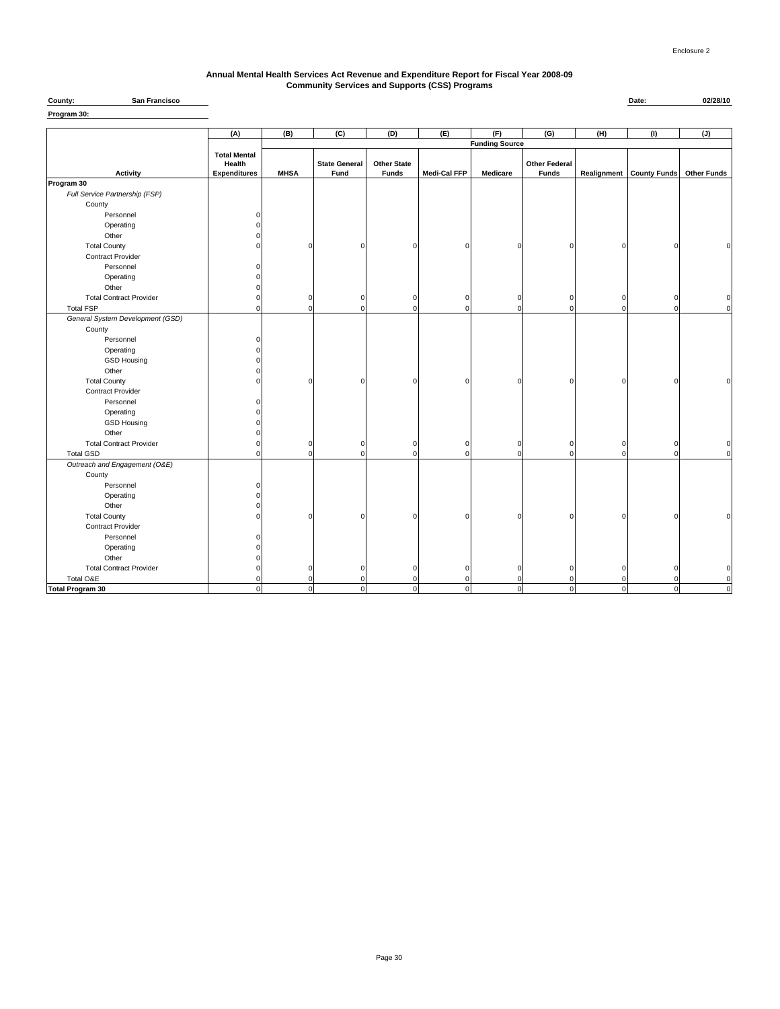**County: Date: 02/28/10 Program 30: San Francisco**

|                                                   | (A)                                                  | (B)                     | (C)                          | (D)                                | (E)                 | (F)                   | (G)                                  | (H)      | (1)                      | (J)                |
|---------------------------------------------------|------------------------------------------------------|-------------------------|------------------------------|------------------------------------|---------------------|-----------------------|--------------------------------------|----------|--------------------------|--------------------|
|                                                   |                                                      |                         |                              |                                    |                     | <b>Funding Source</b> |                                      |          |                          |                    |
| <b>Activity</b>                                   | <b>Total Mental</b><br>Health<br><b>Expenditures</b> | <b>MHSA</b>             | <b>State General</b><br>Fund | <b>Other State</b><br><b>Funds</b> | <b>Medi-Cal FFP</b> | Medicare              | <b>Other Federal</b><br><b>Funds</b> |          | Realignment County Funds | <b>Other Funds</b> |
| Program 30                                        |                                                      |                         |                              |                                    |                     |                       |                                      |          |                          |                    |
| Full Service Partnership (FSP)                    |                                                      |                         |                              |                                    |                     |                       |                                      |          |                          |                    |
| County                                            |                                                      |                         |                              |                                    |                     |                       |                                      |          |                          |                    |
| Personnel                                         | $\Omega$                                             |                         |                              |                                    |                     |                       |                                      |          |                          |                    |
| Operating                                         | C                                                    |                         |                              |                                    |                     |                       |                                      |          |                          |                    |
| Other                                             |                                                      |                         |                              |                                    |                     |                       |                                      |          |                          |                    |
| <b>Total County</b>                               |                                                      | $\Omega$                | 0                            | $\mathbf 0$                        |                     | $\Omega$              | n                                    |          | $\Omega$                 | $\Omega$           |
| <b>Contract Provider</b>                          |                                                      |                         |                              |                                    |                     |                       |                                      |          |                          |                    |
| Personnel                                         |                                                      |                         |                              |                                    |                     |                       |                                      |          |                          |                    |
| Operating                                         |                                                      |                         |                              |                                    |                     |                       |                                      |          |                          |                    |
| Other                                             |                                                      |                         |                              |                                    |                     |                       |                                      |          |                          |                    |
| <b>Total Contract Provider</b>                    | n                                                    | $\mathbf 0$             | $\Omega$                     | $\mathbf 0$                        | $\Omega$            | $\mathbf 0$           | $\mathbf 0$                          | n        | $\Omega$                 | $\mathbf 0$        |
| <b>Total FSP</b>                                  | $\mathbf 0$                                          | $\Omega$                | $\Omega$                     | $\mathbf 0$                        | $\Omega$            | $\Omega$              | $\Omega$                             | n        | $\Omega$                 | $\overline{0}$     |
| General System Development (GSD)                  |                                                      |                         |                              |                                    |                     |                       |                                      |          |                          |                    |
| County                                            |                                                      |                         |                              |                                    |                     |                       |                                      |          |                          |                    |
| Personnel                                         | n                                                    |                         |                              |                                    |                     |                       |                                      |          |                          |                    |
| Operating                                         | C                                                    |                         |                              |                                    |                     |                       |                                      |          |                          |                    |
| <b>GSD Housing</b>                                | n                                                    |                         |                              |                                    |                     |                       |                                      |          |                          |                    |
| Other                                             |                                                      |                         |                              |                                    |                     |                       |                                      |          |                          |                    |
| <b>Total County</b>                               | n                                                    | $\Omega$                | $\Omega$                     | $\Omega$                           | O                   | ŋ                     | $\Omega$                             |          | $\Omega$                 | $\mathbf 0$        |
| <b>Contract Provider</b>                          |                                                      |                         |                              |                                    |                     |                       |                                      |          |                          |                    |
| Personnel                                         |                                                      |                         |                              |                                    |                     |                       |                                      |          |                          |                    |
| Operating                                         |                                                      |                         |                              |                                    |                     |                       |                                      |          |                          |                    |
| <b>GSD Housing</b>                                |                                                      |                         |                              |                                    |                     |                       |                                      |          |                          |                    |
| Other                                             |                                                      |                         |                              |                                    |                     |                       |                                      |          |                          |                    |
| <b>Total Contract Provider</b>                    | $\Omega$                                             |                         | $\Omega$                     |                                    |                     |                       |                                      | $\Omega$ | $\Omega$                 |                    |
|                                                   | $\Omega$                                             | $\mathbf 0$<br>$\Omega$ | $\Omega$                     | 0<br>$\Omega$                      | $\Omega$<br>n       | 0                     | $^{\circ}$<br>$\Omega$               | n        | C                        | $\mathbf 0$        |
| <b>Total GSD</b><br>Outreach and Engagement (O&E) |                                                      |                         |                              |                                    |                     |                       |                                      |          |                          | $\overline{0}$     |
| County                                            |                                                      |                         |                              |                                    |                     |                       |                                      |          |                          |                    |
|                                                   |                                                      |                         |                              |                                    |                     |                       |                                      |          |                          |                    |
| Personnel                                         | $\Omega$                                             |                         |                              |                                    |                     |                       |                                      |          |                          |                    |
| Operating                                         | n                                                    |                         |                              |                                    |                     |                       |                                      |          |                          |                    |
| Other                                             | n                                                    |                         |                              |                                    |                     |                       |                                      |          |                          |                    |
| <b>Total County</b>                               | $\Omega$                                             | $\Omega$                | $\Omega$                     | $\mathbf 0$                        |                     | $\Omega$              | $\Omega$                             |          | $\Omega$                 | $\Omega$           |
| <b>Contract Provider</b>                          |                                                      |                         |                              |                                    |                     |                       |                                      |          |                          |                    |
| Personnel                                         |                                                      |                         |                              |                                    |                     |                       |                                      |          |                          |                    |
| Operating                                         |                                                      |                         |                              |                                    |                     |                       |                                      |          |                          |                    |
| Other                                             |                                                      |                         |                              |                                    |                     |                       |                                      |          |                          |                    |
| <b>Total Contract Provider</b>                    | n                                                    | $\mathbf 0$             | O                            | $\mathbf 0$                        | $\Omega$            | ŋ                     | $\Omega$                             |          | U                        | $\mathbf 0$        |
| Total O&E                                         | $\Omega$                                             | n                       | n                            | $\mathbf 0$                        | O                   |                       | $\Omega$                             |          |                          | $\overline{0}$     |
| Total Program 30                                  | $\mathbf 0$                                          | $\mathbf 0$             | 0                            | $\mathbf 0$                        | $\mathbf 0$         | $\Omega$              | $\mathbf 0$                          | n        | $\Omega$                 | $\mathbf{0}$       |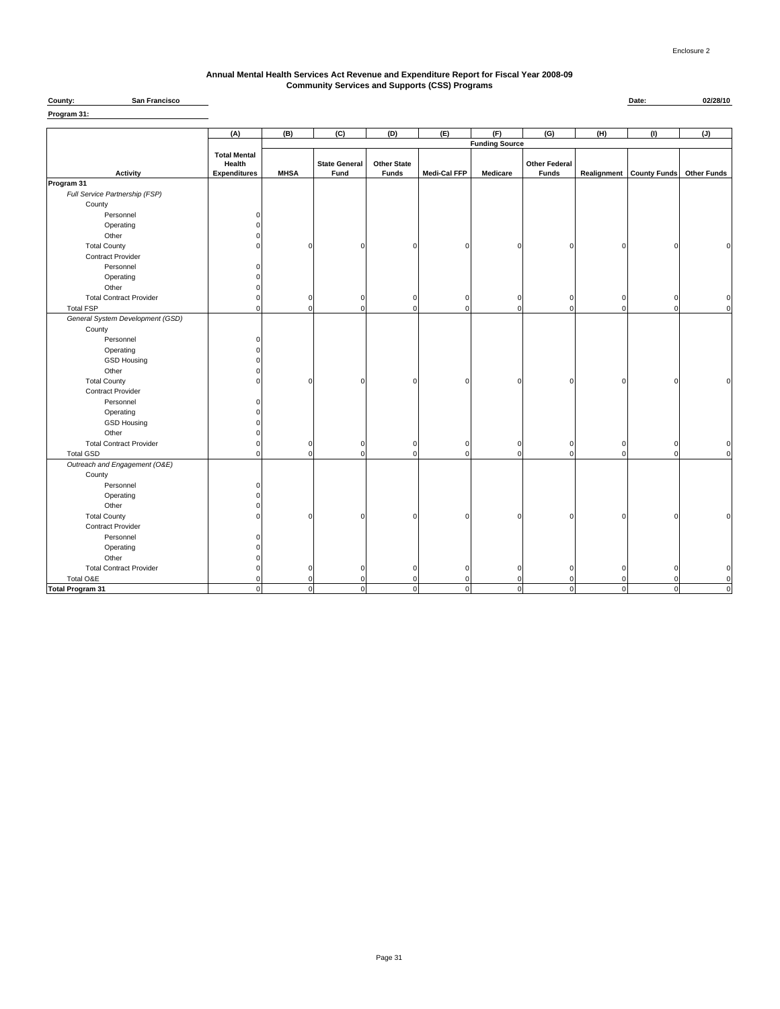| Program 31:                      |                               |             |                      |                    |                     |                       |                      |          |                          |                    |
|----------------------------------|-------------------------------|-------------|----------------------|--------------------|---------------------|-----------------------|----------------------|----------|--------------------------|--------------------|
|                                  | (A)                           | (B)         | (C)                  | (D)                | (E)                 | (F)                   | (G)                  | (H)      | (1)                      | (J)                |
|                                  |                               |             |                      |                    |                     | <b>Funding Source</b> |                      |          |                          |                    |
|                                  | <b>Total Mental</b><br>Health |             | <b>State General</b> | <b>Other State</b> |                     |                       | <b>Other Federal</b> |          |                          |                    |
| Activity                         | <b>Expenditures</b>           | <b>MHSA</b> | Fund                 | <b>Funds</b>       | <b>Medi-Cal FFP</b> | Medicare              | <b>Funds</b>         |          | Realignment County Funds | <b>Other Funds</b> |
| Program 31                       |                               |             |                      |                    |                     |                       |                      |          |                          |                    |
| Full Service Partnership (FSP)   |                               |             |                      |                    |                     |                       |                      |          |                          |                    |
| County                           | $\Omega$                      |             |                      |                    |                     |                       |                      |          |                          |                    |
| Personnel                        |                               |             |                      |                    |                     |                       |                      |          |                          |                    |
| Operating                        | $\Omega$                      |             |                      |                    |                     |                       |                      |          |                          |                    |
| Other                            | C<br>$\Omega$                 |             | $\Omega$             |                    | n                   | $\Omega$              | $\Omega$             |          |                          | $\Omega$           |
| <b>Total County</b>              |                               | $\Omega$    |                      | $\mathbf 0$        |                     |                       |                      | n        | $\mathbf 0$              |                    |
| <b>Contract Provider</b>         |                               |             |                      |                    |                     |                       |                      |          |                          |                    |
| Personnel                        | $\Omega$                      |             |                      |                    |                     |                       |                      |          |                          |                    |
| Operating<br>Other               | n                             |             |                      |                    |                     |                       |                      |          |                          |                    |
|                                  | C                             |             |                      |                    |                     |                       |                      |          |                          |                    |
| <b>Total Contract Provider</b>   | $\Omega$                      | $\mathbf 0$ | $\Omega$             | $\pmb{0}$          | $\Omega$            | $\Omega$              | 0                    | n        | 0                        | $\mathbf 0$        |
| <b>Total FSP</b>                 | $\mathbf 0$                   | $\mathbf 0$ | $\Omega$             | $\mathbf 0$        | $\Omega$            | $\Omega$              | $\mathbf 0$          | $\Omega$ | $\Omega$                 | $\circ$            |
| General System Development (GSD) |                               |             |                      |                    |                     |                       |                      |          |                          |                    |
| County                           |                               |             |                      |                    |                     |                       |                      |          |                          |                    |
| Personnel                        | 0<br>$\Omega$                 |             |                      |                    |                     |                       |                      |          |                          |                    |
| Operating                        |                               |             |                      |                    |                     |                       |                      |          |                          |                    |
| <b>GSD Housing</b>               | $\Omega$                      |             |                      |                    |                     |                       |                      |          |                          |                    |
| Other                            | $\Omega$                      |             |                      |                    |                     |                       |                      |          |                          |                    |
| <b>Total County</b>              | $\Omega$                      | $\mathbf 0$ | $\Omega$             | $\mathbf 0$        | <sup>0</sup>        | $\mathbf 0$           | $\Omega$             | $\Omega$ | $\Omega$                 | $\mathbf 0$        |
| <b>Contract Provider</b>         |                               |             |                      |                    |                     |                       |                      |          |                          |                    |
| Personnel                        | n                             |             |                      |                    |                     |                       |                      |          |                          |                    |
| Operating                        | $\cap$                        |             |                      |                    |                     |                       |                      |          |                          |                    |
| <b>GSD Housing</b>               |                               |             |                      |                    |                     |                       |                      |          |                          |                    |
| Other                            | $\Omega$                      |             |                      |                    |                     |                       |                      |          |                          |                    |
| <b>Total Contract Provider</b>   | $\mathbf 0$                   | $\mathbf 0$ | 0                    | $\mathbf 0$        | $\Omega$            | $\Omega$              | 0                    | $\Omega$ | 0                        | $\mathbf 0$        |
| <b>Total GSD</b>                 | $\Omega$                      | $\Omega$    | $\Omega$             | $\mathbf 0$        | $\Omega$            |                       | $\Omega$             |          | C                        | $\circ$            |
| Outreach and Engagement (O&E)    |                               |             |                      |                    |                     |                       |                      |          |                          |                    |
| County                           |                               |             |                      |                    |                     |                       |                      |          |                          |                    |
| Personnel                        | $\mathbf 0$                   |             |                      |                    |                     |                       |                      |          |                          |                    |
| Operating                        | n                             |             |                      |                    |                     |                       |                      |          |                          |                    |
| Other                            | $\Omega$                      |             |                      |                    |                     |                       |                      |          |                          |                    |
| <b>Total County</b>              | $\Omega$                      | $\Omega$    | $\Omega$             | $\Omega$           | $\Omega$            | $\Omega$              | $\Omega$             |          | $\Omega$                 | $\Omega$           |
| <b>Contract Provider</b>         |                               |             |                      |                    |                     |                       |                      |          |                          |                    |
| Personnel                        | n                             |             |                      |                    |                     |                       |                      |          |                          |                    |
| Operating                        |                               |             |                      |                    |                     |                       |                      |          |                          |                    |
| Other                            | n                             |             |                      |                    |                     |                       |                      |          |                          |                    |
| <b>Total Contract Provider</b>   | $\Omega$                      | $\mathbf 0$ | $\Omega$             | $\mathbf 0$        | $\Omega$            | 0                     | $\mathbf 0$          | n        | $\Omega$                 | $\mathbf 0$        |
| Total O&E                        | $\mathbf 0$                   |             | $\Omega$             | $\mathbf 0$        |                     |                       | $\mathbf 0$          |          |                          | $\mathbf 0$        |
| <b>Total Program 31</b>          | $\mathbf 0$                   | $\Omega$    | $\Omega$             | $\mathbf 0$        | $\Omega$            | $\Omega$              | $\Omega$             |          | $\Omega$                 | $\mathbf 0$        |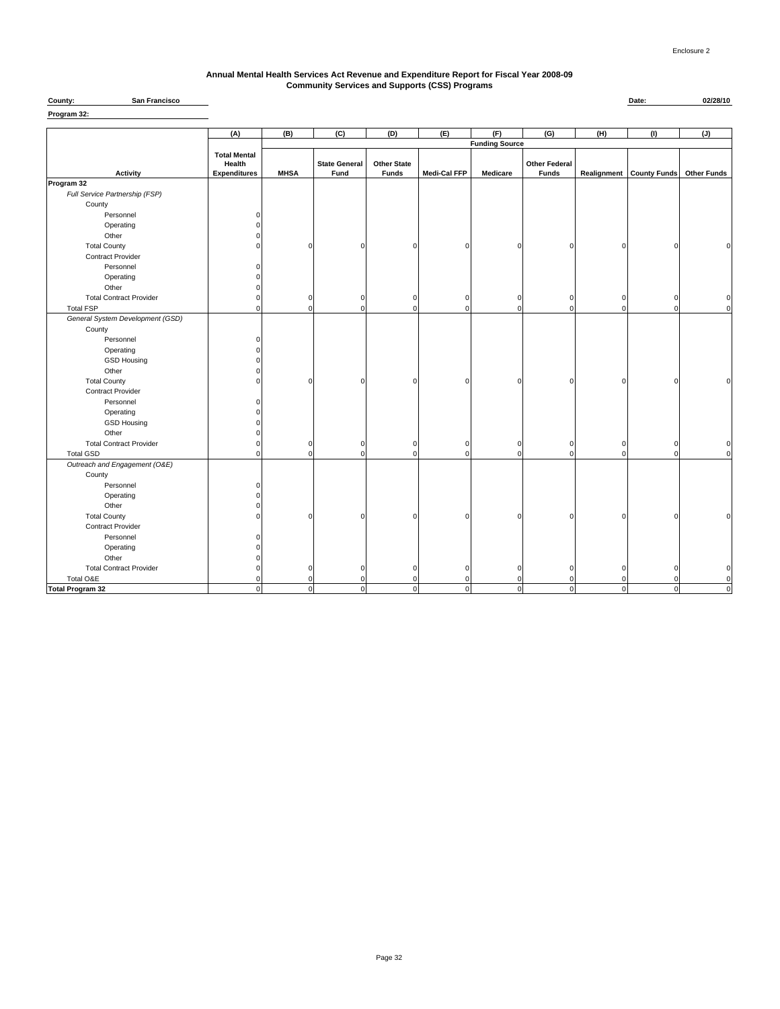| Program 32:                          |                                                      |             |                              |                                    |                     |                         |                                      |          |                          |                            |
|--------------------------------------|------------------------------------------------------|-------------|------------------------------|------------------------------------|---------------------|-------------------------|--------------------------------------|----------|--------------------------|----------------------------|
|                                      | (A)                                                  | (B)         | (C)                          | (D)                                | (E)                 | (F)                     | (G)                                  | (H)      | (1)                      | (J)                        |
|                                      |                                                      |             |                              |                                    |                     | <b>Funding Source</b>   |                                      |          |                          |                            |
| Activity                             | <b>Total Mental</b><br>Health<br><b>Expenditures</b> | <b>MHSA</b> | <b>State General</b><br>Fund | <b>Other State</b><br><b>Funds</b> | <b>Medi-Cal FFP</b> | Medicare                | <b>Other Federal</b><br><b>Funds</b> |          | Realignment County Funds | <b>Other Funds</b>         |
| Program 32                           |                                                      |             |                              |                                    |                     |                         |                                      |          |                          |                            |
| Full Service Partnership (FSP)       |                                                      |             |                              |                                    |                     |                         |                                      |          |                          |                            |
| County                               |                                                      |             |                              |                                    |                     |                         |                                      |          |                          |                            |
| Personnel                            | $\Omega$                                             |             |                              |                                    |                     |                         |                                      |          |                          |                            |
| Operating                            | $\Omega$                                             |             |                              |                                    |                     |                         |                                      |          |                          |                            |
| Other                                | $\Omega$                                             |             |                              |                                    |                     |                         |                                      |          |                          |                            |
| <b>Total County</b>                  | $\Omega$                                             | n           | $\mathbf 0$                  | $\Omega$                           | $\Omega$            | 0                       | n                                    | $\Omega$ | $\mathbf 0$              | $\Omega$                   |
| <b>Contract Provider</b>             |                                                      |             |                              |                                    |                     |                         |                                      |          |                          |                            |
| Personnel                            | $\Omega$                                             |             |                              |                                    |                     |                         |                                      |          |                          |                            |
| Operating                            | $\Omega$                                             |             |                              |                                    |                     |                         |                                      |          |                          |                            |
| Other                                | $\Omega$                                             |             |                              |                                    |                     |                         |                                      |          |                          |                            |
| <b>Total Contract Provider</b>       | $\mathbf 0$                                          | $\Omega$    | $\pmb{0}$                    | $\mathbf 0$                        | $\Omega$            | 0                       | $\Omega$                             | $\Omega$ | 0                        | $\mathsf 0$                |
| <b>Total FSP</b>                     | $\Omega$                                             | $\Omega$    | 0                            | $\mathbf 0$                        | $\Omega$            | $\Omega$                | $\Omega$                             | $\Omega$ | $\mathbf 0$              | $\mathbf 0$                |
| General System Development (GSD)     |                                                      |             |                              |                                    |                     |                         |                                      |          |                          |                            |
| County                               |                                                      |             |                              |                                    |                     |                         |                                      |          |                          |                            |
| Personnel                            | $\mathbf 0$                                          |             |                              |                                    |                     |                         |                                      |          |                          |                            |
| Operating                            | $\Omega$                                             |             |                              |                                    |                     |                         |                                      |          |                          |                            |
| <b>GSD Housing</b>                   | $\Omega$                                             |             |                              |                                    |                     |                         |                                      |          |                          |                            |
| Other                                | $\Omega$                                             |             |                              |                                    |                     |                         |                                      |          |                          |                            |
| <b>Total County</b>                  | $\mathbf 0$                                          | $\Omega$    | $\mathbf 0$                  | $\Omega$                           | $\Omega$            | $\mathbf 0$             | $\Omega$                             | $\Omega$ | $\Omega$                 | $\Omega$                   |
| <b>Contract Provider</b>             |                                                      |             |                              |                                    |                     |                         |                                      |          |                          |                            |
| Personnel                            | $\Omega$                                             |             |                              |                                    |                     |                         |                                      |          |                          |                            |
| Operating                            | $\Omega$                                             |             |                              |                                    |                     |                         |                                      |          |                          |                            |
| <b>GSD Housing</b>                   |                                                      |             |                              |                                    |                     |                         |                                      |          |                          |                            |
| Other                                | $\Omega$                                             |             |                              |                                    |                     |                         |                                      |          |                          |                            |
| <b>Total Contract Provider</b>       | $\mathbf 0$                                          | $\Omega$    | $\mathbf 0$                  | $\mathbf 0$                        | $\Omega$            | $\mathbf 0$             | $\Omega$                             | $\Omega$ | 0                        | $\mathbf 0$                |
| <b>Total GSD</b>                     | $\Omega$                                             | $\Omega$    | $\Omega$                     | $\Omega$                           | $\Omega$            | $\Omega$                | $\Omega$                             | $\Omega$ | $\Omega$                 | $\mathbf 0$                |
| Outreach and Engagement (O&E)        |                                                      |             |                              |                                    |                     |                         |                                      |          |                          |                            |
| County                               |                                                      |             |                              |                                    |                     |                         |                                      |          |                          |                            |
| Personnel                            | $\mathbf 0$                                          |             |                              |                                    |                     |                         |                                      |          |                          |                            |
| Operating                            | $\Omega$                                             |             |                              |                                    |                     |                         |                                      |          |                          |                            |
| Other                                | $\Omega$                                             |             |                              |                                    |                     |                         |                                      |          |                          |                            |
| <b>Total County</b>                  | $\Omega$                                             |             | 0                            | $\Omega$                           | $\Omega$            | $\mathbf 0$             | $\Omega$                             | $\Omega$ | $\Omega$                 | C                          |
| <b>Contract Provider</b>             |                                                      |             |                              |                                    |                     |                         |                                      |          |                          |                            |
| Personnel                            | $\Omega$                                             |             |                              |                                    |                     |                         |                                      |          |                          |                            |
| Operating                            | n                                                    |             |                              |                                    |                     |                         |                                      |          |                          |                            |
| Other                                | $\Omega$                                             |             |                              |                                    |                     |                         |                                      |          |                          |                            |
| <b>Total Contract Provider</b>       | $\mathbf 0$                                          | n           | 0                            | $\mathbf 0$<br>$\Omega$            | $\Omega$            | $\Omega$                | $\Omega$                             | $\Omega$ | $\mathbf 0$<br>$\Omega$  | $\mathbf 0$                |
| Total O&E<br><b>Total Program 32</b> | $\mathbf 0$<br>$\mathbf 0$                           | n           | 0<br>0                       | $\overline{0}$                     |                     | $\Omega$<br>$\mathbf 0$ | $\Omega$                             |          | $\Omega$                 | $\mathbf 0$<br>$\mathbf 0$ |
|                                      |                                                      |             |                              |                                    |                     |                         |                                      |          |                          |                            |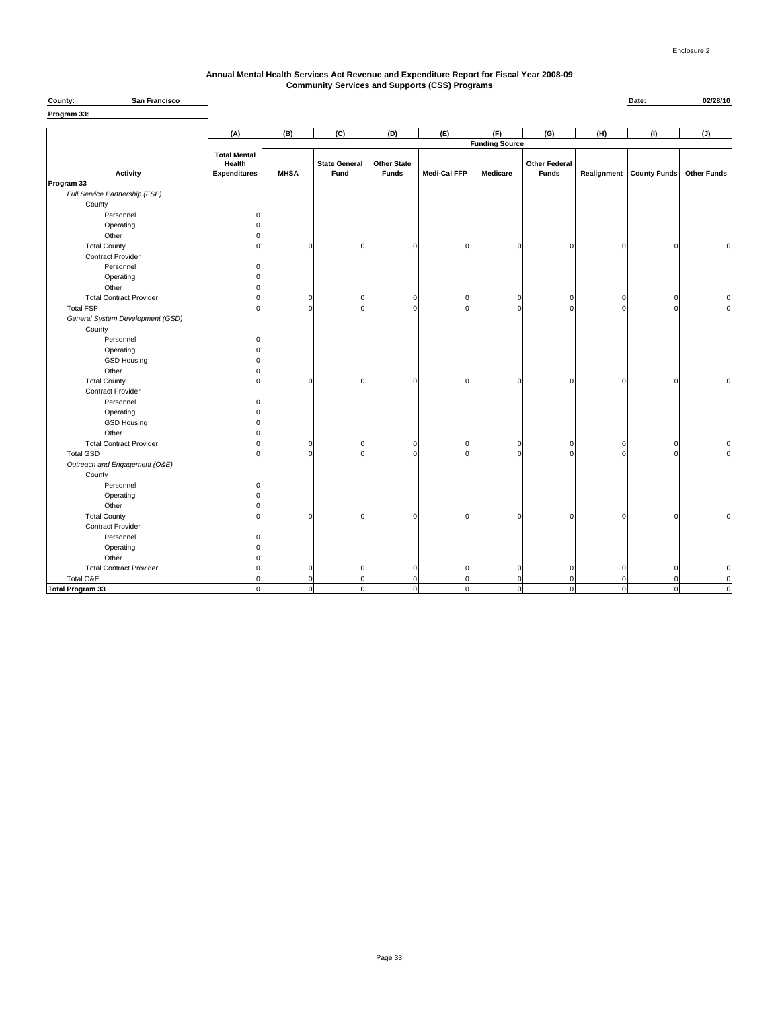**County: Date: 02/28/10 Program 33: San Francisco**

|                                  | (A)                                                  | (B)         | (C)                          | (D)                                | (E)                 | (F)                   | (G)                                  | (H)         | (1)                 | (J)                |
|----------------------------------|------------------------------------------------------|-------------|------------------------------|------------------------------------|---------------------|-----------------------|--------------------------------------|-------------|---------------------|--------------------|
|                                  |                                                      |             |                              |                                    |                     | <b>Funding Source</b> |                                      |             |                     |                    |
| <b>Activity</b>                  | <b>Total Mental</b><br>Health<br><b>Expenditures</b> | <b>MHSA</b> | <b>State General</b><br>Fund | <b>Other State</b><br><b>Funds</b> | <b>Medi-Cal FFP</b> | Medicare              | <b>Other Federal</b><br><b>Funds</b> | Realignment | <b>County Funds</b> | <b>Other Funds</b> |
| Program 33                       |                                                      |             |                              |                                    |                     |                       |                                      |             |                     |                    |
| Full Service Partnership (FSP)   |                                                      |             |                              |                                    |                     |                       |                                      |             |                     |                    |
| County                           |                                                      |             |                              |                                    |                     |                       |                                      |             |                     |                    |
| Personnel                        | $\Omega$                                             |             |                              |                                    |                     |                       |                                      |             |                     |                    |
| Operating                        | $\Omega$                                             |             |                              |                                    |                     |                       |                                      |             |                     |                    |
| Other                            |                                                      |             |                              |                                    |                     |                       |                                      |             |                     |                    |
| <b>Total County</b>              |                                                      | $\Omega$    | O                            | $\Omega$                           | $\mathbf 0$         | $\Omega$              |                                      | $\Omega$    | $\Omega$            | $\Omega$           |
| <b>Contract Provider</b>         |                                                      |             |                              |                                    |                     |                       |                                      |             |                     |                    |
| Personnel                        | n                                                    |             |                              |                                    |                     |                       |                                      |             |                     |                    |
| Operating                        |                                                      |             |                              |                                    |                     |                       |                                      |             |                     |                    |
| Other                            |                                                      |             |                              |                                    |                     |                       |                                      |             |                     |                    |
| <b>Total Contract Provider</b>   | $\Omega$                                             | $\Omega$    | $\Omega$                     | 0                                  | $\mathbf 0$         | $\mathbf{0}$          | $\Omega$                             | 0           | 0                   | $\Omega$           |
| <b>Total FSP</b>                 | $\mathbf 0$                                          | $\Omega$    | $\Omega$                     | $\mathbf 0$                        | $\Omega$            | $\Omega$              | $\Omega$                             | $\Omega$    | $\Omega$            | $\mathbf 0$        |
| General System Development (GSD) |                                                      |             |                              |                                    |                     |                       |                                      |             |                     |                    |
| County                           |                                                      |             |                              |                                    |                     |                       |                                      |             |                     |                    |
| Personnel                        | $\Omega$                                             |             |                              |                                    |                     |                       |                                      |             |                     |                    |
| Operating                        | $\Omega$                                             |             |                              |                                    |                     |                       |                                      |             |                     |                    |
| <b>GSD Housing</b>               | $\Omega$                                             |             |                              |                                    |                     |                       |                                      |             |                     |                    |
| Other                            |                                                      |             |                              |                                    |                     |                       |                                      |             |                     |                    |
| <b>Total County</b>              | $\Omega$                                             | $\Omega$    | $\Omega$                     | $\Omega$                           | $\mathbf 0$         | $\Omega$              | n                                    | $\Omega$    | O                   | $\Omega$           |
| <b>Contract Provider</b>         |                                                      |             |                              |                                    |                     |                       |                                      |             |                     |                    |
| Personnel                        | $\Omega$                                             |             |                              |                                    |                     |                       |                                      |             |                     |                    |
|                                  |                                                      |             |                              |                                    |                     |                       |                                      |             |                     |                    |
| Operating                        |                                                      |             |                              |                                    |                     |                       |                                      |             |                     |                    |
| <b>GSD Housing</b>               | O                                                    |             |                              |                                    |                     |                       |                                      |             |                     |                    |
| Other                            |                                                      |             |                              |                                    |                     |                       |                                      |             |                     |                    |
| <b>Total Contract Provider</b>   | 0                                                    | 0           | 0                            | $\mathbf 0$                        | $\mathbf 0$         | 0                     | $\Omega$                             | 0           | 0                   | 0                  |
| <b>Total GSD</b>                 | $\Omega$                                             | $\Omega$    | $\Omega$                     | $\mathbf 0$                        | $\Omega$            | $\Omega$              | $\Omega$                             | $\Omega$    | O                   | $\Omega$           |
| Outreach and Engagement (O&E)    |                                                      |             |                              |                                    |                     |                       |                                      |             |                     |                    |
| County                           |                                                      |             |                              |                                    |                     |                       |                                      |             |                     |                    |
| Personnel                        | $\Omega$                                             |             |                              |                                    |                     |                       |                                      |             |                     |                    |
| Operating                        | $\Omega$                                             |             |                              |                                    |                     |                       |                                      |             |                     |                    |
| Other                            | $\Omega$                                             |             |                              |                                    |                     |                       |                                      |             |                     |                    |
| <b>Total County</b>              | $\Omega$                                             | $\Omega$    | $\Omega$                     | $\Omega$                           | $\Omega$            | $\Omega$              | n                                    | $\Omega$    | $\Omega$            | $\Omega$           |
| <b>Contract Provider</b>         |                                                      |             |                              |                                    |                     |                       |                                      |             |                     |                    |
| Personnel                        |                                                      |             |                              |                                    |                     |                       |                                      |             |                     |                    |
| Operating                        |                                                      |             |                              |                                    |                     |                       |                                      |             |                     |                    |
| Other                            | $\Omega$                                             |             |                              |                                    |                     |                       |                                      |             |                     |                    |
| <b>Total Contract Provider</b>   | $\mathbf 0$                                          | $\Omega$    | $\mathbf 0$                  | 0                                  | $\mathbf 0$         | $\Omega$              | $\Omega$                             | $\Omega$    | $\Omega$            | $\Omega$           |
| Total O&E                        | $\mathbf 0$                                          | C           | $\Omega$                     | $\mathbf 0$                        | $\Omega$            | O                     | $\Omega$                             | r           | O                   | $\Omega$           |
| <b>Total Program 33</b>          | $\mathbf 0$                                          | $\sqrt{ }$  | 0                            | $\mathbf 0$                        | $\Omega$            | $\Omega$              | $\Omega$                             | $\Omega$    | O                   | $\Omega$           |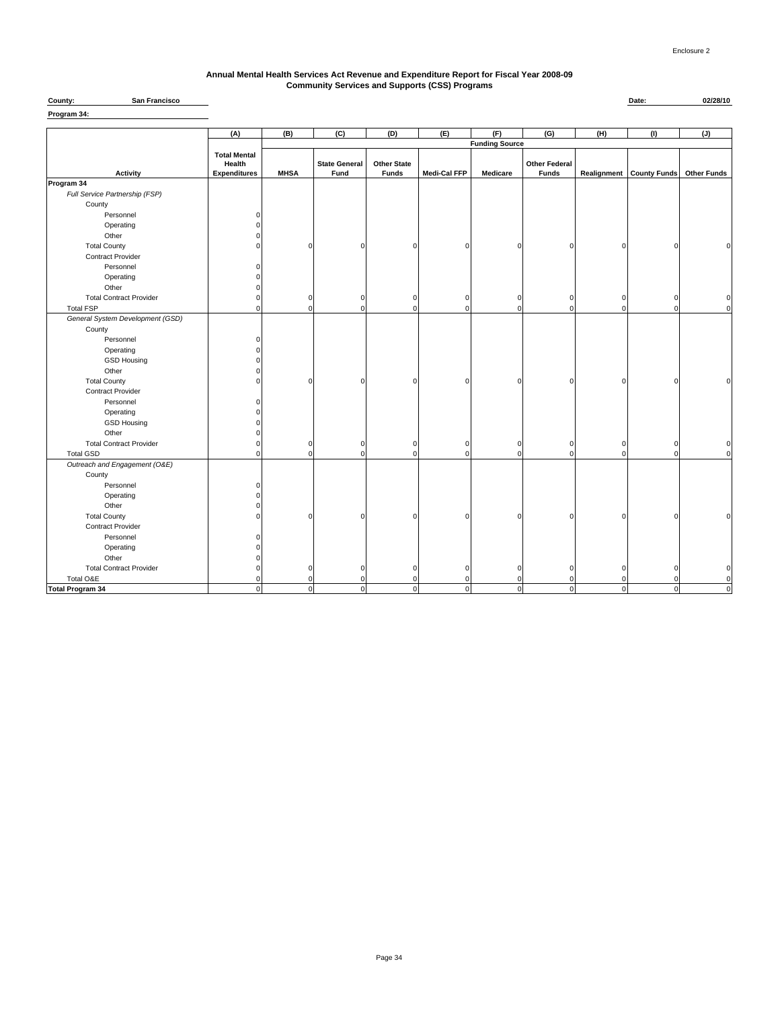**County: Date: 02/28/10 Program 34: San Francisco**

|                                  | (A)                                                  | (B)         | (C)                          | (D)                                | (E)                 | (F)                   | (G)                                  | (H)      | (1)                      | (J)                           |
|----------------------------------|------------------------------------------------------|-------------|------------------------------|------------------------------------|---------------------|-----------------------|--------------------------------------|----------|--------------------------|-------------------------------|
|                                  |                                                      |             |                              |                                    |                     | <b>Funding Source</b> |                                      |          |                          |                               |
| <b>Activity</b>                  | <b>Total Mental</b><br>Health<br><b>Expenditures</b> | <b>MHSA</b> | <b>State General</b><br>Fund | <b>Other State</b><br><b>Funds</b> | <b>Medi-Cal FFP</b> | Medicare              | <b>Other Federal</b><br><b>Funds</b> |          | Realignment County Funds | <b>Other Funds</b>            |
| Program 34                       |                                                      |             |                              |                                    |                     |                       |                                      |          |                          |                               |
| Full Service Partnership (FSP)   |                                                      |             |                              |                                    |                     |                       |                                      |          |                          |                               |
| County                           |                                                      |             |                              |                                    |                     |                       |                                      |          |                          |                               |
| Personnel                        | $\Omega$                                             |             |                              |                                    |                     |                       |                                      |          |                          |                               |
| Operating                        | C                                                    |             |                              |                                    |                     |                       |                                      |          |                          |                               |
| Other                            |                                                      |             |                              |                                    |                     |                       |                                      |          |                          |                               |
| <b>Total County</b>              |                                                      | $\Omega$    | 0                            | $\mathbf 0$                        |                     | $\Omega$              | $\Omega$                             |          | $\Omega$                 | $\Omega$                      |
| <b>Contract Provider</b>         |                                                      |             |                              |                                    |                     |                       |                                      |          |                          |                               |
| Personnel                        |                                                      |             |                              |                                    |                     |                       |                                      |          |                          |                               |
| Operating                        |                                                      |             |                              |                                    |                     |                       |                                      |          |                          |                               |
| Other                            |                                                      |             |                              |                                    |                     |                       |                                      |          |                          |                               |
| <b>Total Contract Provider</b>   | n                                                    | $\mathbf 0$ | $\Omega$                     | $\mathbf 0$                        | $\Omega$            | $\mathbf 0$           | $\mathbf 0$                          | n        | $\Omega$                 | $\mathbf 0$                   |
| <b>Total FSP</b>                 | $\mathbf 0$                                          | $\Omega$    | $\Omega$                     | $\mathbf 0$                        | $\Omega$            | $\Omega$              | $\Omega$                             | n        | $\Omega$                 | $\overline{0}$                |
| General System Development (GSD) |                                                      |             |                              |                                    |                     |                       |                                      |          |                          |                               |
| County                           |                                                      |             |                              |                                    |                     |                       |                                      |          |                          |                               |
| Personnel                        | n                                                    |             |                              |                                    |                     |                       |                                      |          |                          |                               |
| Operating                        | C                                                    |             |                              |                                    |                     |                       |                                      |          |                          |                               |
| <b>GSD Housing</b>               | n                                                    |             |                              |                                    |                     |                       |                                      |          |                          |                               |
| Other                            |                                                      |             |                              |                                    |                     |                       |                                      |          |                          |                               |
| <b>Total County</b>              | n                                                    | $\Omega$    | $\Omega$                     | $\Omega$                           | O                   | ŋ                     | $\Omega$                             |          | $\Omega$                 | $\mathbf 0$                   |
| <b>Contract Provider</b>         |                                                      |             |                              |                                    |                     |                       |                                      |          |                          |                               |
| Personnel                        |                                                      |             |                              |                                    |                     |                       |                                      |          |                          |                               |
| Operating                        |                                                      |             |                              |                                    |                     |                       |                                      |          |                          |                               |
| <b>GSD Housing</b>               |                                                      |             |                              |                                    |                     |                       |                                      |          |                          |                               |
| Other                            |                                                      |             |                              |                                    |                     |                       |                                      |          |                          |                               |
| <b>Total Contract Provider</b>   | $\Omega$                                             | $\mathbf 0$ | $\Omega$                     | 0                                  | $\Omega$            | 0                     | $^{\circ}$                           | $\Omega$ | $\Omega$                 |                               |
| <b>Total GSD</b>                 | $\Omega$                                             | $\Omega$    | $\Omega$                     | $\Omega$                           | n                   |                       | $\Omega$                             | n        | C                        | $\mathbf 0$<br>$\overline{0}$ |
| Outreach and Engagement (O&E)    |                                                      |             |                              |                                    |                     |                       |                                      |          |                          |                               |
| County                           |                                                      |             |                              |                                    |                     |                       |                                      |          |                          |                               |
|                                  | $\Omega$                                             |             |                              |                                    |                     |                       |                                      |          |                          |                               |
| Personnel                        |                                                      |             |                              |                                    |                     |                       |                                      |          |                          |                               |
| Operating                        | n                                                    |             |                              |                                    |                     |                       |                                      |          |                          |                               |
| Other                            | n                                                    |             |                              |                                    |                     |                       |                                      |          |                          |                               |
| <b>Total County</b>              | $\Omega$                                             | $\Omega$    | $\Omega$                     | $\mathbf 0$                        |                     | $\Omega$              | $\Omega$                             |          | $\Omega$                 | $\Omega$                      |
| <b>Contract Provider</b>         |                                                      |             |                              |                                    |                     |                       |                                      |          |                          |                               |
| Personnel                        |                                                      |             |                              |                                    |                     |                       |                                      |          |                          |                               |
| Operating                        |                                                      |             |                              |                                    |                     |                       |                                      |          |                          |                               |
| Other                            |                                                      |             |                              |                                    |                     |                       |                                      |          |                          |                               |
| <b>Total Contract Provider</b>   | n                                                    | $\mathbf 0$ | O                            | $\mathbf 0$                        | $\Omega$            | ŋ                     | $\Omega$                             |          | U                        | $\mathbf 0$                   |
| Total O&E                        | $\Omega$                                             | n           | n                            | $\mathbf 0$                        | O                   |                       | $\Omega$                             |          |                          | $\overline{0}$                |
| <b>Total Program 34</b>          | $\mathbf 0$                                          | $\mathbf 0$ | 0                            | $\mathbf 0$                        | $\mathbf 0$         | $\Omega$              | $\mathbf 0$                          | n        | $\Omega$                 | $\mathbf{0}$                  |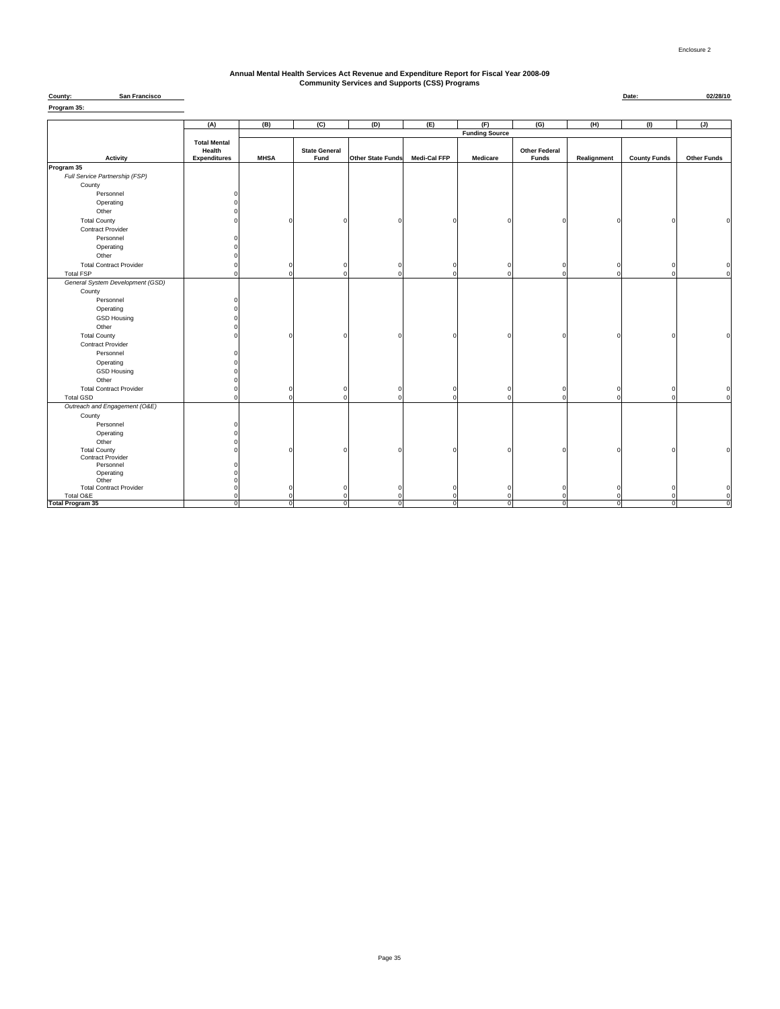**County: Date: 02/28/10 County:**<br>Program 35: **San Francisco**

|                                             | (A)                                                  | (B)                        | (C)                          | (D)                      | (E)                 | (F)                   | (G)                           | (H)         | (1)                  | (J)                |
|---------------------------------------------|------------------------------------------------------|----------------------------|------------------------------|--------------------------|---------------------|-----------------------|-------------------------------|-------------|----------------------|--------------------|
|                                             |                                                      |                            |                              |                          |                     | <b>Funding Source</b> |                               |             |                      |                    |
| <b>Activity</b>                             | <b>Total Mental</b><br>Health<br><b>Expenditures</b> | <b>MHSA</b>                | <b>State General</b><br>Fund | <b>Other State Funds</b> | <b>Medi-Cal FFP</b> | Medicare              | <b>Other Federal</b><br>Funds | Realignment | <b>County Funds</b>  | <b>Other Funds</b> |
| Program 35                                  |                                                      |                            |                              |                          |                     |                       |                               |             |                      |                    |
| Full Service Partnership (FSP)              |                                                      |                            |                              |                          |                     |                       |                               |             |                      |                    |
| County                                      |                                                      |                            |                              |                          |                     |                       |                               |             |                      |                    |
| Personnel                                   |                                                      |                            |                              |                          |                     |                       |                               |             |                      |                    |
| Operating                                   |                                                      |                            |                              |                          |                     |                       |                               |             |                      |                    |
| Other                                       |                                                      |                            |                              |                          |                     |                       |                               |             |                      |                    |
| <b>Total County</b>                         |                                                      | $\mathbf 0$                | $\Omega$                     | ſ                        |                     |                       |                               |             | $\Omega$             |                    |
| <b>Contract Provider</b>                    |                                                      |                            |                              |                          |                     |                       |                               |             |                      |                    |
| Personnel                                   |                                                      |                            |                              |                          |                     |                       |                               |             |                      |                    |
| Operating                                   |                                                      |                            |                              |                          |                     |                       |                               |             |                      |                    |
| Other                                       |                                                      |                            |                              |                          |                     |                       |                               |             |                      |                    |
| <b>Total Contract Provider</b>              |                                                      | $^{\circ}$                 | $\Omega$                     |                          |                     |                       |                               |             | $\mathbf 0$          |                    |
| <b>Total FSP</b>                            |                                                      | $\Omega$                   | C                            | C                        |                     |                       |                               |             | $\Omega$             | $\sqrt{2}$         |
| General System Development (GSD)            |                                                      |                            |                              |                          |                     |                       |                               |             |                      |                    |
| County                                      |                                                      |                            |                              |                          |                     |                       |                               |             |                      |                    |
| Personnel                                   |                                                      |                            |                              |                          |                     |                       |                               |             |                      |                    |
| Operating                                   |                                                      |                            |                              |                          |                     |                       |                               |             |                      |                    |
| GSD Housing                                 |                                                      |                            |                              |                          |                     |                       |                               |             |                      |                    |
| Other                                       |                                                      |                            |                              |                          |                     |                       |                               |             |                      |                    |
| <b>Total County</b>                         |                                                      | $\mathbf 0$                | $\Omega$                     |                          |                     |                       |                               |             | n                    |                    |
| <b>Contract Provider</b>                    |                                                      |                            |                              |                          |                     |                       |                               |             |                      |                    |
| Personnel                                   |                                                      |                            |                              |                          |                     |                       |                               |             |                      |                    |
| Operating                                   |                                                      |                            |                              |                          |                     |                       |                               |             |                      |                    |
| <b>GSD Housing</b>                          |                                                      |                            |                              |                          |                     |                       |                               |             |                      |                    |
| Other                                       |                                                      |                            |                              |                          |                     |                       |                               |             |                      |                    |
| <b>Total Contract Provider</b>              |                                                      | $\mathbf 0$                | $\Omega$                     | c                        |                     |                       |                               |             | $\Omega$             | O                  |
| <b>Total GSD</b>                            |                                                      | $\Omega$                   | $\Omega$                     |                          |                     |                       |                               |             | $\Omega$             | $\Omega$           |
| Outreach and Engagement (O&E)               |                                                      |                            |                              |                          |                     |                       |                               |             |                      |                    |
| County                                      |                                                      |                            |                              |                          |                     |                       |                               |             |                      |                    |
| Personnel                                   |                                                      |                            |                              |                          |                     |                       |                               |             |                      |                    |
| Operating                                   |                                                      |                            |                              |                          |                     |                       |                               |             |                      |                    |
| Other                                       |                                                      |                            |                              |                          |                     |                       |                               |             |                      |                    |
| <b>Total County</b>                         |                                                      | $\mathbf 0$                | $\Omega$                     |                          |                     |                       |                               |             |                      |                    |
| Contract Provider                           |                                                      |                            |                              |                          |                     |                       |                               |             |                      |                    |
| Personnel                                   |                                                      |                            |                              |                          |                     |                       |                               |             |                      |                    |
| Operating                                   |                                                      |                            |                              |                          |                     |                       |                               |             |                      |                    |
| Other                                       |                                                      |                            |                              |                          |                     |                       |                               |             |                      |                    |
| <b>Total Contract Provider</b><br>Total O&E |                                                      | $\mathbf 0$<br>$\mathbf 0$ | $\Omega$<br>$\Omega$         |                          |                     |                       |                               |             | $\Omega$<br>$\Omega$ |                    |
| <b>Total Program 35</b>                     | $^{\circ}$                                           | $\overline{0}$             | $\Omega$                     | $\mathbf 0$              | r                   | n                     | $\Omega$                      | $\Omega$    | $\mathbf 0$          | $\Omega$           |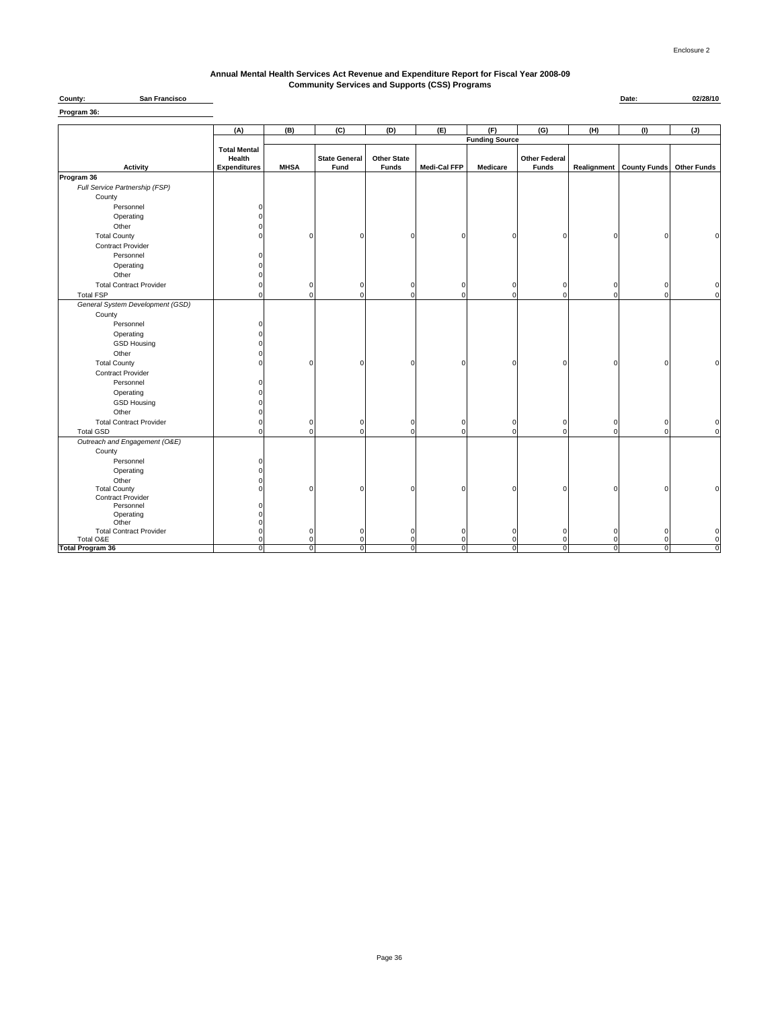| Program 36:                      |                                                      |                |                              |                                    |                     |                       |                                      |          |                                 |                    |
|----------------------------------|------------------------------------------------------|----------------|------------------------------|------------------------------------|---------------------|-----------------------|--------------------------------------|----------|---------------------------------|--------------------|
|                                  | (A)                                                  | (B)            | (C)                          | (D)                                | (E)                 | (F)                   | (G)                                  | (H)      | (1)                             | (J)                |
|                                  |                                                      |                |                              |                                    |                     | <b>Funding Source</b> |                                      |          |                                 |                    |
| <b>Activity</b>                  | <b>Total Mental</b><br>Health<br><b>Expenditures</b> | <b>MHSA</b>    | <b>State General</b><br>Fund | <b>Other State</b><br><b>Funds</b> | <b>Medi-Cal FFP</b> | Medicare              | <b>Other Federal</b><br><b>Funds</b> |          | <b>Realignment County Funds</b> | <b>Other Funds</b> |
| Program 36                       |                                                      |                |                              |                                    |                     |                       |                                      |          |                                 |                    |
| Full Service Partnership (FSP)   |                                                      |                |                              |                                    |                     |                       |                                      |          |                                 |                    |
| County                           |                                                      |                |                              |                                    |                     |                       |                                      |          |                                 |                    |
| Personnel                        | 0                                                    |                |                              |                                    |                     |                       |                                      |          |                                 |                    |
| Operating                        | $\Omega$                                             |                |                              |                                    |                     |                       |                                      |          |                                 |                    |
| Other                            | $\Omega$                                             |                |                              |                                    |                     |                       |                                      |          |                                 |                    |
| <b>Total County</b>              | n                                                    | 0              | $\Omega$                     | C                                  | $\Omega$            | O                     | $\Omega$                             |          | 0                               | n                  |
| <b>Contract Provider</b>         |                                                      |                |                              |                                    |                     |                       |                                      |          |                                 |                    |
| Personnel                        | $\Omega$                                             |                |                              |                                    |                     |                       |                                      |          |                                 |                    |
| Operating                        | O                                                    |                |                              |                                    |                     |                       |                                      |          |                                 |                    |
| Other                            | O                                                    |                |                              |                                    |                     |                       |                                      |          |                                 |                    |
| <b>Total Contract Provider</b>   | $\Omega$                                             | 0              | $\mathbf 0$                  | $\Omega$                           | $\Omega$            | $\mathbf{0}$          | 0                                    |          | 0                               | 0                  |
| <b>Total FSP</b>                 | $\mathbf 0$                                          | $\mathbf 0$    | $\mathbf 0$                  | $\Omega$                           | $\Omega$            | 0                     | $\mathbf 0$                          |          | $\mathbf 0$                     | $\circ$            |
| General System Development (GSD) |                                                      |                |                              |                                    |                     |                       |                                      |          |                                 |                    |
| County                           |                                                      |                |                              |                                    |                     |                       |                                      |          |                                 |                    |
| Personnel                        | $\Omega$                                             |                |                              |                                    |                     |                       |                                      |          |                                 |                    |
| Operating                        | $\Omega$                                             |                |                              |                                    |                     |                       |                                      |          |                                 |                    |
| <b>GSD Housing</b>               | $\Omega$                                             |                |                              |                                    |                     |                       |                                      |          |                                 |                    |
| Other                            | $\Omega$                                             |                |                              |                                    |                     |                       |                                      |          |                                 |                    |
| <b>Total County</b>              | $\Omega$                                             | $\mathbf 0$    | $\Omega$                     | $\Omega$                           | $\Omega$            | 0                     | $\Omega$                             |          | $\Omega$                        | $\Omega$           |
| <b>Contract Provider</b>         |                                                      |                |                              |                                    |                     |                       |                                      |          |                                 |                    |
| Personnel                        | O                                                    |                |                              |                                    |                     |                       |                                      |          |                                 |                    |
| Operating                        | O                                                    |                |                              |                                    |                     |                       |                                      |          |                                 |                    |
| <b>GSD Housing</b>               | O                                                    |                |                              |                                    |                     |                       |                                      |          |                                 |                    |
| Other                            | $\Omega$                                             |                |                              |                                    |                     |                       |                                      |          |                                 |                    |
| <b>Total Contract Provider</b>   | $\Omega$                                             | $\pmb{0}$      | $\mathbf 0$                  | 0                                  | $\mathbf 0$         | 0                     | 0                                    |          | 0                               | 0                  |
| <b>Total GSD</b>                 | $\Omega$                                             | $\mathbf 0$    | $\Omega$                     | $\Omega$                           | $\Omega$            | O                     | $\Omega$                             |          | $\Omega$                        | $\circ$            |
| Outreach and Engagement (O&E)    |                                                      |                |                              |                                    |                     |                       |                                      |          |                                 |                    |
| County                           |                                                      |                |                              |                                    |                     |                       |                                      |          |                                 |                    |
| Personnel                        | 0                                                    |                |                              |                                    |                     |                       |                                      |          |                                 |                    |
| Operating                        | $\Omega$                                             |                |                              |                                    |                     |                       |                                      |          |                                 |                    |
| Other                            | 0                                                    |                |                              |                                    |                     |                       |                                      |          |                                 |                    |
| <b>Total County</b>              | $\Omega$                                             | $\mathbf 0$    | $\Omega$                     | $\Omega$                           | $\Omega$            | $\mathbf{O}$          | $\Omega$                             |          | $\Omega$                        | O                  |
| <b>Contract Provider</b>         |                                                      |                |                              |                                    |                     |                       |                                      |          |                                 |                    |
| Personnel<br>Operating           | O<br>$\Omega$                                        |                |                              |                                    |                     |                       |                                      |          |                                 |                    |
| Other                            | $\Omega$                                             |                |                              |                                    |                     |                       |                                      |          |                                 |                    |
| <b>Total Contract Provider</b>   | $\Omega$                                             | $\mathbf 0$    | $\mathbf 0$                  | $\Omega$                           | $\Omega$            | 0                     | $\Omega$                             |          | 0                               | $\Omega$           |
| Total O&E                        | $\mathbf 0$                                          | $\mathbf 0$    | $\mathbf 0$                  | $\mathbf 0$                        | $\Omega$            | $\mathbf{O}$          | $\mathbf 0$                          |          | $\mathbf 0$                     | $\mathbf 0$        |
| <b>Total Program 36</b>          | $\overline{0}$                                       | $\overline{0}$ | $\overline{0}$               | $\overline{0}$                     | $\mathbf 0$         | $\overline{0}$        | $\overline{0}$                       | $\Omega$ | $\overline{0}$                  | $\overline{0}$     |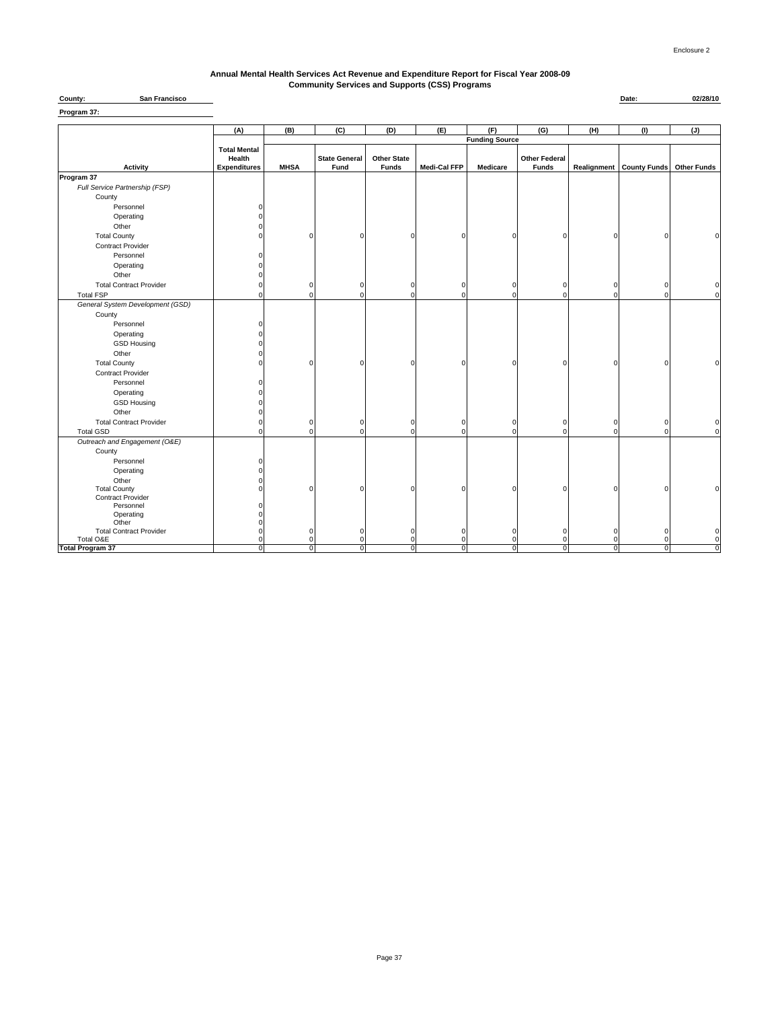| Program 37:                                 |                                                      |                          |                              |                                    |                         |                         |                                      |              |                                      |                  |
|---------------------------------------------|------------------------------------------------------|--------------------------|------------------------------|------------------------------------|-------------------------|-------------------------|--------------------------------------|--------------|--------------------------------------|------------------|
|                                             | (A)                                                  | (B)                      | (C)                          | (D)                                | (E)                     | (F)                     | (G)                                  | (H)          | (1)                                  | (J)              |
|                                             |                                                      |                          |                              |                                    |                         | <b>Funding Source</b>   |                                      |              |                                      |                  |
| <b>Activity</b>                             | <b>Total Mental</b><br>Health<br><b>Expenditures</b> | <b>MHSA</b>              | <b>State General</b><br>Fund | <b>Other State</b><br><b>Funds</b> | <b>Medi-Cal FFP</b>     | Medicare                | <b>Other Federal</b><br><b>Funds</b> |              | Realignment County Funds Other Funds |                  |
| Program 37                                  |                                                      |                          |                              |                                    |                         |                         |                                      |              |                                      |                  |
| Full Service Partnership (FSP)              |                                                      |                          |                              |                                    |                         |                         |                                      |              |                                      |                  |
| County                                      |                                                      |                          |                              |                                    |                         |                         |                                      |              |                                      |                  |
| Personnel                                   | n                                                    |                          |                              |                                    |                         |                         |                                      |              |                                      |                  |
| Operating                                   | n                                                    |                          |                              |                                    |                         |                         |                                      |              |                                      |                  |
| Other                                       |                                                      |                          |                              |                                    |                         |                         |                                      |              |                                      |                  |
| <b>Total County</b>                         | n                                                    | $\mathsf{O}\xspace$      | C                            |                                    | $\mathbf 0$             | $\Omega$                | $\Omega$                             | <sup>0</sup> | 0                                    | O                |
| <b>Contract Provider</b>                    |                                                      |                          |                              |                                    |                         |                         |                                      |              |                                      |                  |
| Personnel                                   |                                                      |                          |                              |                                    |                         |                         |                                      |              |                                      |                  |
| Operating                                   |                                                      |                          |                              |                                    |                         |                         |                                      |              |                                      |                  |
| Other                                       | $^{\prime}$                                          |                          |                              |                                    |                         |                         |                                      |              |                                      |                  |
| <b>Total Contract Provider</b>              |                                                      | 0                        | C                            | 0                                  | $\mathbf 0$             | 0                       | 0                                    | $\Omega$     | 0                                    | 0                |
| <b>Total FSP</b>                            | $\Omega$                                             | $\mathsf{O}\xspace$      | $\Omega$                     | $\Omega$                           | $\mathbf 0$             | $\Omega$                | $\mathbf 0$                          | $\Omega$     | $\mathbf 0$                          | $\mathbf 0$      |
| General System Development (GSD)            |                                                      |                          |                              |                                    |                         |                         |                                      |              |                                      |                  |
| County                                      |                                                      |                          |                              |                                    |                         |                         |                                      |              |                                      |                  |
| Personnel                                   | $\Omega$                                             |                          |                              |                                    |                         |                         |                                      |              |                                      |                  |
| Operating                                   |                                                      |                          |                              |                                    |                         |                         |                                      |              |                                      |                  |
| <b>GSD Housing</b>                          | n                                                    |                          |                              |                                    |                         |                         |                                      |              |                                      |                  |
| Other                                       | n                                                    |                          |                              |                                    |                         |                         |                                      |              |                                      |                  |
| <b>Total County</b>                         |                                                      | $\mathsf{O}\xspace$      | C                            |                                    | $\Omega$                | $\Omega$                | $\Omega$                             | n            | 0                                    | $\Omega$         |
| <b>Contract Provider</b>                    |                                                      |                          |                              |                                    |                         |                         |                                      |              |                                      |                  |
| Personnel                                   | n                                                    |                          |                              |                                    |                         |                         |                                      |              |                                      |                  |
| Operating                                   |                                                      |                          |                              |                                    |                         |                         |                                      |              |                                      |                  |
| <b>GSD Housing</b>                          |                                                      |                          |                              |                                    |                         |                         |                                      |              |                                      |                  |
| Other                                       |                                                      |                          |                              |                                    |                         |                         |                                      |              |                                      |                  |
| <b>Total Contract Provider</b>              | n                                                    | $\mathsf{O}\xspace$      | $\Omega$                     | $\Omega$                           | $\mathbf 0$             | 0                       | 0                                    | 0            | $\mathsf 0$                          | 0                |
| <b>Total GSD</b>                            | $\Omega$                                             | $\mathbf 0$              | $\Omega$                     | $\Omega$                           | $\Omega$                | $\Omega$                | $\Omega$                             | $\Omega$     | $\Omega$                             | $\mathbf{0}$     |
| Outreach and Engagement (O&E)               |                                                      |                          |                              |                                    |                         |                         |                                      |              |                                      |                  |
| County                                      |                                                      |                          |                              |                                    |                         |                         |                                      |              |                                      |                  |
| Personnel                                   | n<br>$\Omega$                                        |                          |                              |                                    |                         |                         |                                      |              |                                      |                  |
| Operating<br>Other                          |                                                      |                          |                              |                                    |                         |                         |                                      |              |                                      |                  |
| <b>Total County</b>                         |                                                      | $\mathsf{O}\xspace$      | C                            |                                    | $\Omega$                | $\Omega$                | $\Omega$                             | n            | 0                                    | O                |
| <b>Contract Provider</b>                    |                                                      |                          |                              |                                    |                         |                         |                                      |              |                                      |                  |
| Personnel                                   |                                                      |                          |                              |                                    |                         |                         |                                      |              |                                      |                  |
| Operating                                   | n                                                    |                          |                              |                                    |                         |                         |                                      |              |                                      |                  |
| Other                                       |                                                      |                          |                              |                                    |                         |                         |                                      |              |                                      |                  |
| <b>Total Contract Provider</b><br>Total O&E | $\Omega$<br>C                                        | 0<br>$\mathsf{O}\xspace$ | $\mathbf C$<br>$\Omega$      | 0<br>$\Omega$                      | $\mathbf 0$<br>$\Omega$ | $\Omega$<br>$\mathbf 0$ | $\Omega$<br>0                        | n            | 0<br>$\mathbf 0$                     | 0<br>$\mathbf 0$ |
| <b>Total Program 37</b>                     | $\Omega$                                             | $\overline{\mathbf{0}}$  | $\Omega$                     | $\mathbf 0$                        | $\mathbf 0$             | $\overline{0}$          | 0                                    | $\Omega$     | $\overline{0}$                       | $\overline{0}$   |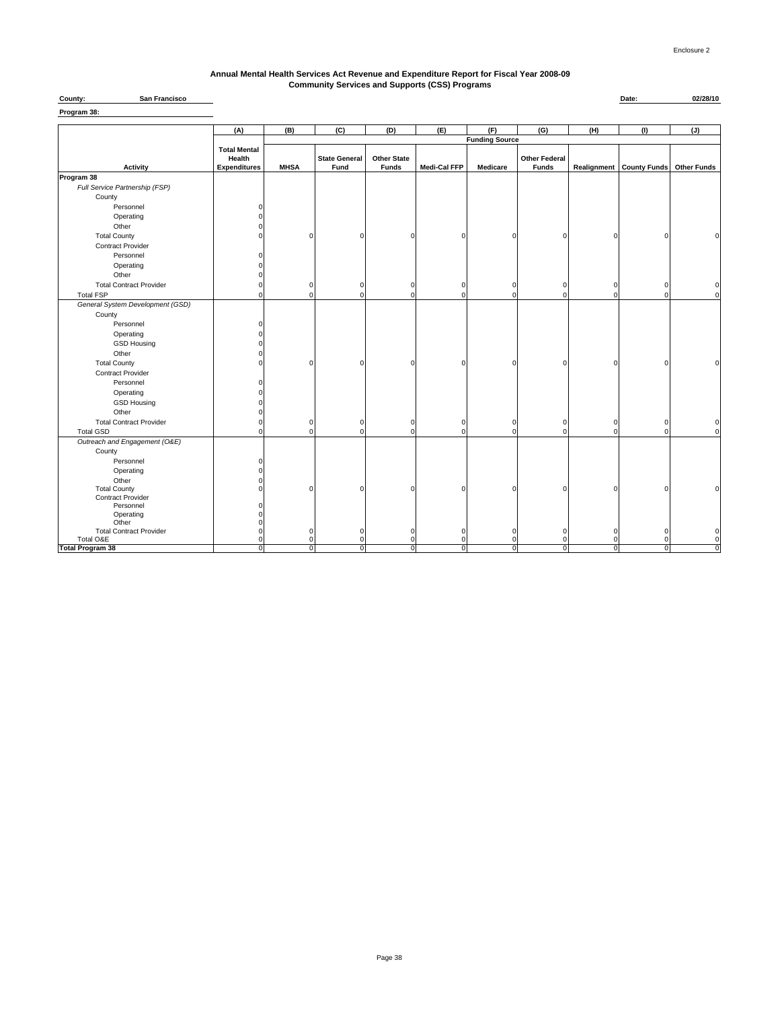| Program 38:                      |                                                      |                         |                              |                                    |                     |                       |                                      |              |                                 |                    |
|----------------------------------|------------------------------------------------------|-------------------------|------------------------------|------------------------------------|---------------------|-----------------------|--------------------------------------|--------------|---------------------------------|--------------------|
|                                  | (A)                                                  | (B)                     | (C)                          | (D)                                | (E)                 | (F)                   | (G)                                  | (H)          | (1)                             | (J)                |
|                                  |                                                      |                         |                              |                                    |                     | <b>Funding Source</b> |                                      |              |                                 |                    |
| <b>Activity</b>                  | <b>Total Mental</b><br>Health<br><b>Expenditures</b> | <b>MHSA</b>             | <b>State General</b><br>Fund | <b>Other State</b><br><b>Funds</b> | <b>Medi-Cal FFP</b> | Medicare              | <b>Other Federal</b><br><b>Funds</b> |              | <b>Realignment County Funds</b> | <b>Other Funds</b> |
| Program 38                       |                                                      |                         |                              |                                    |                     |                       |                                      |              |                                 |                    |
| Full Service Partnership (FSP)   |                                                      |                         |                              |                                    |                     |                       |                                      |              |                                 |                    |
| County                           |                                                      |                         |                              |                                    |                     |                       |                                      |              |                                 |                    |
| Personnel                        | n                                                    |                         |                              |                                    |                     |                       |                                      |              |                                 |                    |
| Operating                        | n                                                    |                         |                              |                                    |                     |                       |                                      |              |                                 |                    |
| Other                            |                                                      |                         |                              |                                    |                     |                       |                                      |              |                                 |                    |
| <b>Total County</b>              | n                                                    | $\mathsf{O}\xspace$     | C                            |                                    | $\mathbf 0$         | $\Omega$              | $\Omega$                             | <sup>0</sup> | 0                               | O                  |
| <b>Contract Provider</b>         |                                                      |                         |                              |                                    |                     |                       |                                      |              |                                 |                    |
| Personnel                        |                                                      |                         |                              |                                    |                     |                       |                                      |              |                                 |                    |
| Operating                        |                                                      |                         |                              |                                    |                     |                       |                                      |              |                                 |                    |
| Other                            | n                                                    |                         |                              |                                    |                     |                       |                                      |              |                                 |                    |
| <b>Total Contract Provider</b>   |                                                      | 0                       | C                            | 0                                  | $\mathbf 0$         | 0                     | 0                                    | $\Omega$     | 0                               | 0                  |
| <b>Total FSP</b>                 | $\Omega$                                             | $\mathsf{O}\xspace$     | $\Omega$                     | $\Omega$                           | $\mathbf 0$         | $\Omega$              | $\mathbf 0$                          | $\Omega$     | $\mathbf 0$                     | $\mathbf 0$        |
| General System Development (GSD) |                                                      |                         |                              |                                    |                     |                       |                                      |              |                                 |                    |
| County                           |                                                      |                         |                              |                                    |                     |                       |                                      |              |                                 |                    |
| Personnel                        | $\Omega$                                             |                         |                              |                                    |                     |                       |                                      |              |                                 |                    |
| Operating                        | n                                                    |                         |                              |                                    |                     |                       |                                      |              |                                 |                    |
| <b>GSD Housing</b>               | n                                                    |                         |                              |                                    |                     |                       |                                      |              |                                 |                    |
| Other                            | n                                                    |                         |                              |                                    |                     |                       |                                      |              |                                 |                    |
| <b>Total County</b>              |                                                      | $\mathsf{O}\xspace$     | C                            |                                    | $\Omega$            | $\Omega$              | $\Omega$                             | n            | 0                               | $\Omega$           |
| <b>Contract Provider</b>         |                                                      |                         |                              |                                    |                     |                       |                                      |              |                                 |                    |
| Personnel                        | n                                                    |                         |                              |                                    |                     |                       |                                      |              |                                 |                    |
| Operating                        |                                                      |                         |                              |                                    |                     |                       |                                      |              |                                 |                    |
| <b>GSD Housing</b>               |                                                      |                         |                              |                                    |                     |                       |                                      |              |                                 |                    |
| Other                            |                                                      |                         |                              |                                    |                     |                       |                                      |              |                                 |                    |
| <b>Total Contract Provider</b>   | n                                                    | $\mathsf{O}\xspace$     | $\Omega$                     | $\Omega$                           | $\mathbf 0$         | 0                     | 0                                    | 0            | $\mathsf 0$                     | $\mathbf 0$        |
| <b>Total GSD</b>                 | $\Omega$                                             | $\mathbf 0$             | $\Omega$                     | $\Omega$                           | $\Omega$            | $\Omega$              | $\Omega$                             | $\Omega$     | $\Omega$                        | $\mathbf{0}$       |
| Outreach and Engagement (O&E)    |                                                      |                         |                              |                                    |                     |                       |                                      |              |                                 |                    |
| County                           |                                                      |                         |                              |                                    |                     |                       |                                      |              |                                 |                    |
| Personnel                        | $\Omega$                                             |                         |                              |                                    |                     |                       |                                      |              |                                 |                    |
| Operating                        | $\Omega$                                             |                         |                              |                                    |                     |                       |                                      |              |                                 |                    |
| Other                            |                                                      |                         |                              |                                    |                     |                       |                                      |              |                                 |                    |
| <b>Total County</b>              |                                                      | $\mathsf{O}\xspace$     | C                            |                                    | $\Omega$            | $\Omega$              | $\Omega$                             | n            | 0                               | O                  |
| <b>Contract Provider</b>         |                                                      |                         |                              |                                    |                     |                       |                                      |              |                                 |                    |
| Personnel                        |                                                      |                         |                              |                                    |                     |                       |                                      |              |                                 |                    |
| Operating<br>Other               | n                                                    |                         |                              |                                    |                     |                       |                                      |              |                                 |                    |
| <b>Total Contract Provider</b>   | $\Omega$                                             | 0                       | $\mathbf C$                  | 0                                  | $\mathbf 0$         | $\Omega$              | $\Omega$                             | n            | 0                               | 0                  |
| Total O&E                        | C                                                    | $\mathsf{O}\xspace$     | $\Omega$                     | $\Omega$                           | $\Omega$            | $\mathbf 0$           | 0                                    |              | $\mathbf 0$                     | $\mathbf 0$        |
| <b>Total Program 38</b>          | $\Omega$                                             | $\overline{\mathbf{0}}$ | $\Omega$                     | $\mathbf 0$                        | $\mathbf 0$         | $\overline{0}$        | 0                                    | $\Omega$     | $\overline{0}$                  | $\overline{0}$     |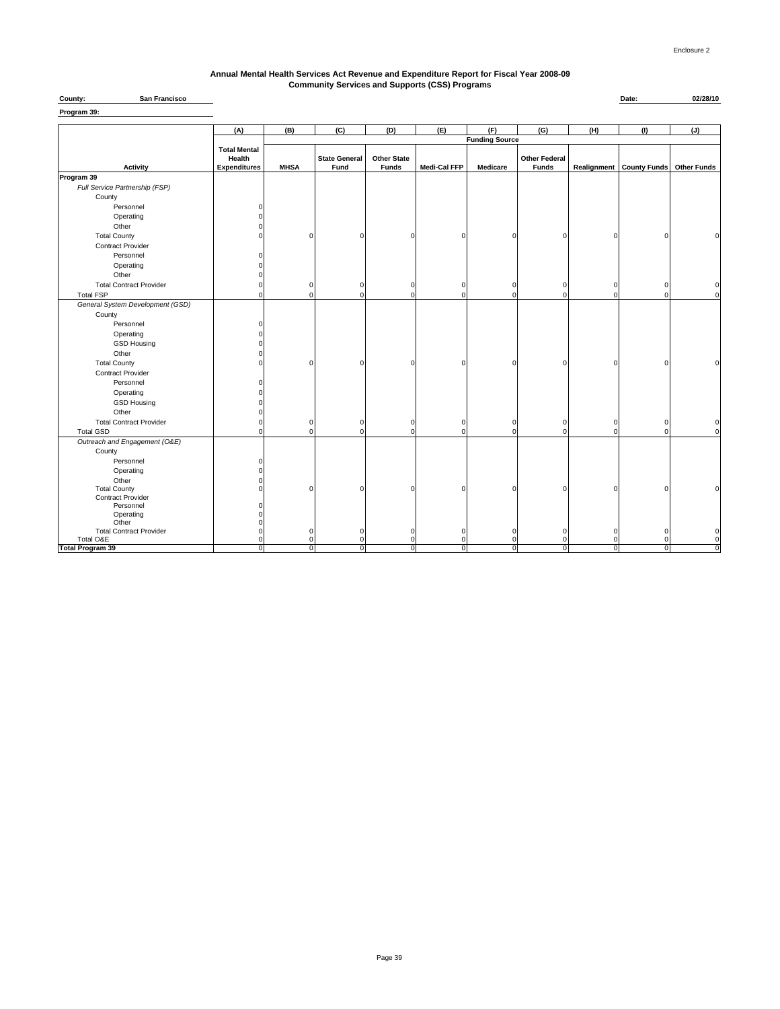| Program 39:                                     |                                                      |                         |                              |                                    |                     |                       |                                      |          |                                      |                |
|-------------------------------------------------|------------------------------------------------------|-------------------------|------------------------------|------------------------------------|---------------------|-----------------------|--------------------------------------|----------|--------------------------------------|----------------|
|                                                 | (A)                                                  | (B)                     | (C)                          | (D)                                | (E)                 | (F)                   | (G)                                  | (H)      | (1)                                  | (J)            |
|                                                 |                                                      |                         |                              |                                    |                     | <b>Funding Source</b> |                                      |          |                                      |                |
| <b>Activity</b>                                 | <b>Total Mental</b><br>Health<br><b>Expenditures</b> | <b>MHSA</b>             | <b>State General</b><br>Fund | <b>Other State</b><br><b>Funds</b> | <b>Medi-Cal FFP</b> | Medicare              | <b>Other Federal</b><br><b>Funds</b> |          | Realignment County Funds Other Funds |                |
| Program 39                                      |                                                      |                         |                              |                                    |                     |                       |                                      |          |                                      |                |
| Full Service Partnership (FSP)                  |                                                      |                         |                              |                                    |                     |                       |                                      |          |                                      |                |
| County                                          |                                                      |                         |                              |                                    |                     |                       |                                      |          |                                      |                |
| Personnel                                       | n                                                    |                         |                              |                                    |                     |                       |                                      |          |                                      |                |
| Operating                                       | n                                                    |                         |                              |                                    |                     |                       |                                      |          |                                      |                |
| Other                                           |                                                      |                         |                              |                                    |                     |                       |                                      |          |                                      |                |
| <b>Total County</b>                             | n                                                    | $\mathsf{O}\xspace$     | C                            |                                    | $\mathbf 0$         | $\Omega$              | $\Omega$                             | $\Omega$ | 0                                    | O              |
| <b>Contract Provider</b>                        |                                                      |                         |                              |                                    |                     |                       |                                      |          |                                      |                |
| Personnel                                       |                                                      |                         |                              |                                    |                     |                       |                                      |          |                                      |                |
| Operating                                       |                                                      |                         |                              |                                    |                     |                       |                                      |          |                                      |                |
| Other                                           | n                                                    |                         |                              |                                    |                     |                       |                                      |          |                                      |                |
| <b>Total Contract Provider</b>                  |                                                      | 0                       | C                            | 0                                  | $\mathbf 0$         | 0                     | 0                                    | $\Omega$ | 0                                    | 0              |
| <b>Total FSP</b>                                | $\Omega$                                             | $\mathsf{O}\xspace$     | $\Omega$                     | $\Omega$                           | $\mathbf 0$         | $\Omega$              | $\mathbf 0$                          | $\Omega$ | $\mathbf 0$                          | $\mathbf 0$    |
| General System Development (GSD)                |                                                      |                         |                              |                                    |                     |                       |                                      |          |                                      |                |
| County                                          |                                                      |                         |                              |                                    |                     |                       |                                      |          |                                      |                |
| Personnel                                       | $\Omega$                                             |                         |                              |                                    |                     |                       |                                      |          |                                      |                |
| Operating                                       | n                                                    |                         |                              |                                    |                     |                       |                                      |          |                                      |                |
| <b>GSD Housing</b>                              | n                                                    |                         |                              |                                    |                     |                       |                                      |          |                                      |                |
| Other                                           | n                                                    |                         |                              |                                    |                     |                       |                                      |          |                                      |                |
| <b>Total County</b>                             |                                                      | $\mathsf{O}\xspace$     | C                            |                                    | $\Omega$            | $\Omega$              | $\Omega$                             | n        | 0                                    | $\Omega$       |
| <b>Contract Provider</b>                        |                                                      |                         |                              |                                    |                     |                       |                                      |          |                                      |                |
| Personnel                                       | n                                                    |                         |                              |                                    |                     |                       |                                      |          |                                      |                |
| Operating                                       |                                                      |                         |                              |                                    |                     |                       |                                      |          |                                      |                |
| <b>GSD Housing</b>                              |                                                      |                         |                              |                                    |                     |                       |                                      |          |                                      |                |
| Other                                           |                                                      |                         |                              |                                    |                     |                       |                                      |          |                                      |                |
| <b>Total Contract Provider</b>                  | n                                                    | $\mathsf{O}\xspace$     | $\Omega$                     | $\Omega$                           | $\mathbf 0$         | 0                     | 0                                    | 0        | $\mathsf 0$                          | $\mathbf 0$    |
| <b>Total GSD</b>                                | $\Omega$                                             | $\mathbf 0$             | $\Omega$                     | $\Omega$                           | $\Omega$            | $\Omega$              | $\Omega$                             | $\Omega$ | $\Omega$                             | $\mathbf{0}$   |
| Outreach and Engagement (O&E)                   |                                                      |                         |                              |                                    |                     |                       |                                      |          |                                      |                |
| County                                          |                                                      |                         |                              |                                    |                     |                       |                                      |          |                                      |                |
| Personnel                                       | $\Omega$                                             |                         |                              |                                    |                     |                       |                                      |          |                                      |                |
| Operating                                       | $\Omega$                                             |                         |                              |                                    |                     |                       |                                      |          |                                      |                |
| Other                                           |                                                      |                         |                              |                                    |                     |                       |                                      |          |                                      |                |
| <b>Total County</b><br><b>Contract Provider</b> |                                                      | $\mathsf{O}\xspace$     | C                            |                                    | $\Omega$            | $\Omega$              | $\Omega$                             | n        | 0                                    | O              |
| Personnel                                       |                                                      |                         |                              |                                    |                     |                       |                                      |          |                                      |                |
| Operating                                       | n                                                    |                         |                              |                                    |                     |                       |                                      |          |                                      |                |
| Other                                           |                                                      |                         |                              |                                    |                     |                       |                                      |          |                                      |                |
| <b>Total Contract Provider</b>                  | $\Omega$                                             | 0                       | $\mathbf C$                  | 0                                  | $\mathbf 0$         | $\Omega$              | $\Omega$                             | n        | 0                                    | 0              |
| Total O&E                                       | C                                                    | $\mathsf{O}\xspace$     | $\Omega$                     | $\Omega$                           | $\Omega$            | $\mathbf 0$           | 0                                    |          | $\mathbf 0$                          | $\mathbf 0$    |
| <b>Total Program 39</b>                         | $\Omega$                                             | $\overline{\mathbf{0}}$ | $\Omega$                     | $\mathbf 0$                        | $\mathbf 0$         | $\overline{0}$        | 0                                    | $\Omega$ | $\overline{0}$                       | $\overline{0}$ |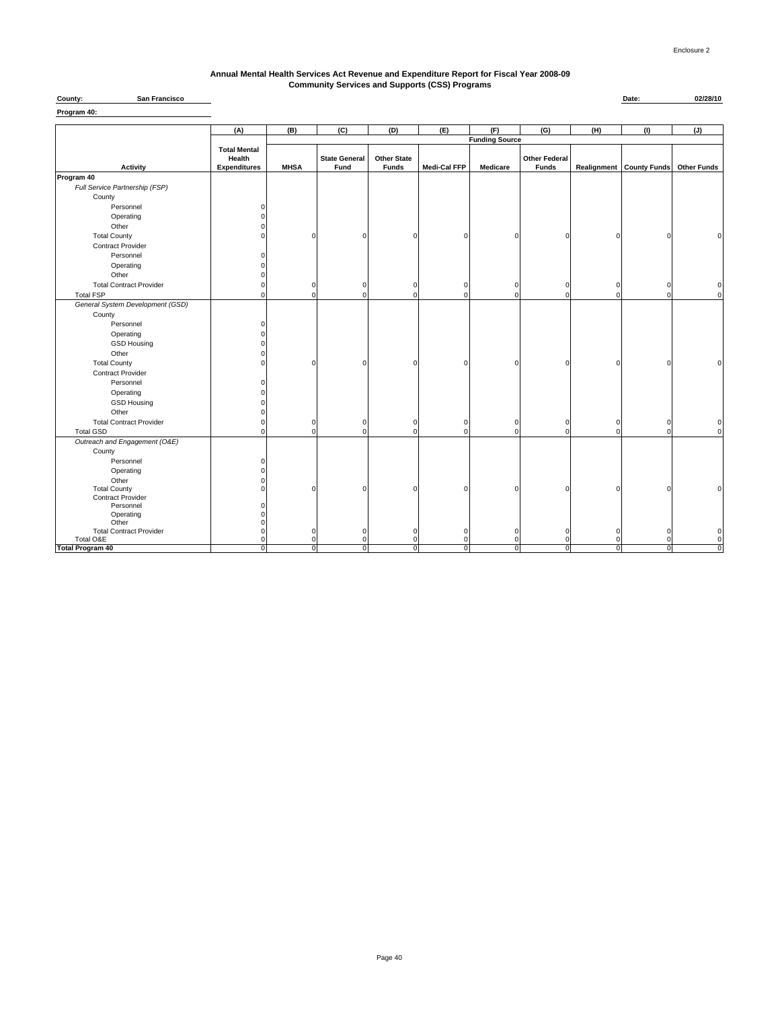#### **County: Date: 02/28/10 Program 40: San Francisco**

|                                  | (A)                           | (B)         | (C)                          | (D)                                | (E)                 | (F)                   | (G)                                  | (H)         | (1)                             | (J)                |
|----------------------------------|-------------------------------|-------------|------------------------------|------------------------------------|---------------------|-----------------------|--------------------------------------|-------------|---------------------------------|--------------------|
|                                  |                               |             |                              |                                    |                     | <b>Funding Source</b> |                                      |             |                                 |                    |
|                                  | <b>Total Mental</b>           |             |                              |                                    |                     |                       |                                      |             |                                 |                    |
| <b>Activity</b>                  | Health<br><b>Expenditures</b> | <b>MHSA</b> | <b>State General</b><br>Fund | <b>Other State</b><br><b>Funds</b> | <b>Medi-Cal FFP</b> | Medicare              | <b>Other Federal</b><br><b>Funds</b> |             | <b>Realignment</b> County Funds | <b>Other Funds</b> |
| Program 40                       |                               |             |                              |                                    |                     |                       |                                      |             |                                 |                    |
| Full Service Partnership (FSP)   |                               |             |                              |                                    |                     |                       |                                      |             |                                 |                    |
| County                           |                               |             |                              |                                    |                     |                       |                                      |             |                                 |                    |
| Personnel                        | n                             |             |                              |                                    |                     |                       |                                      |             |                                 |                    |
| Operating                        | n                             |             |                              |                                    |                     |                       |                                      |             |                                 |                    |
| Other                            |                               |             |                              |                                    |                     |                       |                                      |             |                                 |                    |
| <b>Total County</b>              |                               | $\Omega$    | ŋ                            | $\Omega$                           | n                   | $\mathbf 0$           | $\sqrt{2}$                           | n           | $\mathbf 0$                     | n                  |
| <b>Contract Provider</b>         |                               |             |                              |                                    |                     |                       |                                      |             |                                 |                    |
| Personnel                        |                               |             |                              |                                    |                     |                       |                                      |             |                                 |                    |
| Operating                        |                               |             |                              |                                    |                     |                       |                                      |             |                                 |                    |
| Other                            |                               |             |                              |                                    |                     |                       |                                      |             |                                 |                    |
| <b>Total Contract Provider</b>   | O                             | $\circ$     | 0                            | 0                                  | $\Omega$            | 0                     | C                                    | $\mathbf 0$ | $\mathbf 0$                     | 0                  |
| <b>Total FSP</b>                 | $\Omega$                      | $\mathbf 0$ | $\mathbf 0$                  | $\mathbf 0$                        | $\Omega$            | $\mathbf 0$           | $\Omega$                             | $\Omega$    | $\mathbf 0$                     | $\mathbf 0$        |
| General System Development (GSD) |                               |             |                              |                                    |                     |                       |                                      |             |                                 |                    |
| County                           |                               |             |                              |                                    |                     |                       |                                      |             |                                 |                    |
| Personnel                        | $\Omega$                      |             |                              |                                    |                     |                       |                                      |             |                                 |                    |
| Operating                        | $\Omega$                      |             |                              |                                    |                     |                       |                                      |             |                                 |                    |
| <b>GSD Housing</b>               |                               |             |                              |                                    |                     |                       |                                      |             |                                 |                    |
| Other                            |                               |             |                              |                                    |                     |                       |                                      |             |                                 |                    |
| <b>Total County</b>              |                               | $\Omega$    | ŋ                            | $\Omega$                           | n                   | $\mathbf 0$           | $\sqrt{2}$                           | O           | $\Omega$                        |                    |
| <b>Contract Provider</b>         |                               |             |                              |                                    |                     |                       |                                      |             |                                 |                    |
| Personnel                        |                               |             |                              |                                    |                     |                       |                                      |             |                                 |                    |
| Operating                        |                               |             |                              |                                    |                     |                       |                                      |             |                                 |                    |
| GSD Housing                      |                               |             |                              |                                    |                     |                       |                                      |             |                                 |                    |
| Other                            |                               |             |                              |                                    |                     |                       |                                      |             |                                 |                    |
| <b>Total Contract Provider</b>   | O                             | $\mathbf 0$ | 0                            | $\mathbf 0$                        | $\Omega$            | $\mathbf 0$           | $\sqrt{2}$                           | $\Omega$    | $\mathbf 0$                     | 0                  |
| <b>Total GSD</b>                 | $\mathbf 0$                   | $\mathbf 0$ | $\Omega$                     | $\mathbf 0$                        | $\Omega$            | $\Omega$              | $\Omega$                             | $\Omega$    | $\Omega$                        | $\mathbf 0$        |
| Outreach and Engagement (O&E)    |                               |             |                              |                                    |                     |                       |                                      |             |                                 |                    |
| County                           |                               |             |                              |                                    |                     |                       |                                      |             |                                 |                    |
| Personnel                        | O                             |             |                              |                                    |                     |                       |                                      |             |                                 |                    |
| Operating                        |                               |             |                              |                                    |                     |                       |                                      |             |                                 |                    |
| Other                            |                               |             |                              |                                    |                     |                       |                                      |             |                                 |                    |
| <b>Total County</b>              |                               | $\Omega$    | O                            | $\Omega$                           | n                   | $\mathbf 0$           | C                                    |             | $\Omega$                        |                    |
| <b>Contract Provider</b>         |                               |             |                              |                                    |                     |                       |                                      |             |                                 |                    |
| Personnel                        |                               |             |                              |                                    |                     |                       |                                      |             |                                 |                    |
| Operating<br>Other               |                               |             |                              |                                    |                     |                       |                                      |             |                                 |                    |
| <b>Total Contract Provider</b>   | O                             | $\mathbf 0$ | $\Omega$                     | $\Omega$                           | $\Omega$            | $\Omega$              | C                                    | 0           | $\mathbf 0$                     | $\mathbf 0$        |
| Total O&E                        | $\Omega$                      | $\mathbf 0$ | $\mathbf 0$                  | $\mathbf 0$                        | n                   | $\mathbf 0$           | $\Omega$                             | O           | $\mathbf 0$                     | $\mathbf 0$        |
| <b>Total Program 40</b>          | 0                             | $\mathbf 0$ | $\mathbf 0$                  | $\overline{0}$                     | O                   | $\mathbf 0$           | $\Omega$                             | $\Omega$    | $\mathbf 0$                     | ō                  |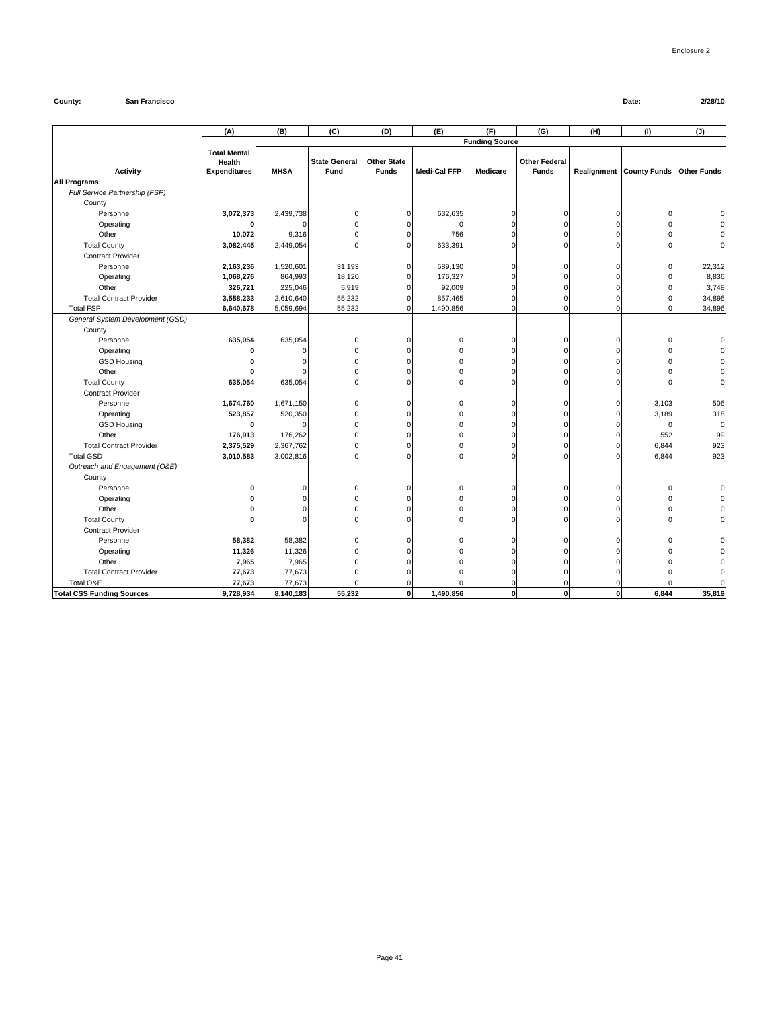|                                                   | (A)                           | (B)         | (C)                          | (D)                                | (E)                 | (F)                   | (G)                                  | (H)          | (1)                             | (J)                |
|---------------------------------------------------|-------------------------------|-------------|------------------------------|------------------------------------|---------------------|-----------------------|--------------------------------------|--------------|---------------------------------|--------------------|
|                                                   |                               |             |                              |                                    |                     | <b>Funding Source</b> |                                      |              |                                 |                    |
|                                                   | <b>Total Mental</b>           |             |                              |                                    |                     |                       |                                      |              |                                 |                    |
| <b>Activity</b>                                   | Health<br><b>Expenditures</b> | <b>MHSA</b> | <b>State General</b><br>Fund | <b>Other State</b><br><b>Funds</b> | <b>Medi-Cal FFP</b> | Medicare              | <b>Other Federal</b><br><b>Funds</b> |              | <b>Realignment County Funds</b> | <b>Other Funds</b> |
| <b>All Programs</b>                               |                               |             |                              |                                    |                     |                       |                                      |              |                                 |                    |
| Full Service Partnership (FSP)                    |                               |             |                              |                                    |                     |                       |                                      |              |                                 |                    |
|                                                   |                               |             |                              |                                    |                     |                       |                                      |              |                                 |                    |
| County<br>Personnel                               | 3,072,373                     | 2,439,738   |                              |                                    | 632,635             | $\Omega$              |                                      |              |                                 |                    |
| Operating                                         |                               |             |                              |                                    | $\sqrt{ }$          | 0                     |                                      |              |                                 |                    |
| Other                                             | 10,072                        | 9,316       |                              |                                    | 756                 | $\Omega$              |                                      |              |                                 |                    |
| <b>Total County</b>                               | 3,082,445                     | 2,449,054   |                              |                                    | 633,391             | $\Omega$              |                                      |              |                                 |                    |
| <b>Contract Provider</b>                          |                               |             |                              |                                    |                     |                       |                                      |              |                                 |                    |
| Personnel                                         | 2,163,236                     | 1,520,601   | 31,193                       |                                    | 589,130             | $\Omega$              |                                      |              |                                 | 22,312             |
| Operating                                         | 1,068,276                     | 864,993     | 18,120                       |                                    | 176,327             | $\Omega$              |                                      |              |                                 | 8,836              |
| Other                                             | 326,721                       | 225,046     | 5,919                        |                                    | 92,009              | $\Omega$              |                                      |              |                                 | 3,748              |
| <b>Total Contract Provider</b>                    | 3,558,233                     | 2,610,640   | 55,232                       |                                    | 857,465             | $\Omega$              |                                      |              |                                 | 34,896             |
| <b>Total FSP</b>                                  |                               |             | 55,232                       |                                    |                     | $\Omega$              |                                      |              | n                               | 34,896             |
| General System Development (GSD)                  | 6,640,678                     | 5,059,694   |                              |                                    | 1,490,856           |                       |                                      |              |                                 |                    |
| County                                            |                               |             |                              |                                    |                     |                       |                                      |              |                                 |                    |
| Personnel                                         | 635,054                       | 635,054     |                              | $\Omega$                           |                     | $\Omega$              |                                      |              |                                 |                    |
| Operating                                         |                               |             |                              |                                    |                     | $\Omega$              |                                      |              |                                 |                    |
| <b>GSD Housing</b>                                |                               |             |                              |                                    |                     | $\Omega$              |                                      |              |                                 |                    |
| Other                                             |                               |             |                              |                                    |                     | $\Omega$              |                                      |              |                                 |                    |
| <b>Total County</b>                               | 635,054                       | 635,054     |                              |                                    |                     | U                     |                                      |              |                                 |                    |
| <b>Contract Provider</b>                          |                               |             |                              |                                    |                     |                       |                                      |              |                                 |                    |
| Personnel                                         | 1,674,760                     | 1,671,150   |                              |                                    |                     | $\Omega$              |                                      |              | 3,103                           | 506                |
| Operating                                         | 523,857                       | 520,350     |                              |                                    |                     | U                     |                                      |              | 3,189                           | 318                |
| <b>GSD Housing</b>                                | O                             |             |                              |                                    |                     | $\Omega$              |                                      |              | $\Omega$                        | $\Omega$           |
| Other                                             | 176,913                       | 176,262     |                              |                                    |                     | $\Omega$              |                                      |              | 552                             | 99                 |
|                                                   |                               |             |                              |                                    |                     |                       |                                      |              |                                 |                    |
| <b>Total Contract Provider</b>                    | 2,375,529                     | 2,367,762   | O                            |                                    | C                   | $\Omega$<br>$\Omega$  |                                      | $\Omega$     | 6,844                           | 923                |
| <b>Total GSD</b><br>Outreach and Engagement (O&E) | 3,010,583                     | 3,002,816   |                              |                                    |                     |                       |                                      |              | 6,844                           | 923                |
|                                                   |                               |             |                              |                                    |                     |                       |                                      |              |                                 |                    |
| County<br>Personnel                               |                               |             |                              | ი                                  |                     | $\Omega$              |                                      |              |                                 |                    |
| Operating                                         |                               |             |                              |                                    |                     | $\Omega$              |                                      |              |                                 |                    |
| Other                                             |                               |             |                              |                                    |                     | $\Omega$              |                                      |              |                                 |                    |
| <b>Total County</b>                               |                               |             |                              |                                    |                     | U                     |                                      |              |                                 |                    |
| <b>Contract Provider</b>                          |                               |             |                              |                                    |                     |                       |                                      |              |                                 |                    |
| Personnel                                         | 58,382                        | 58,382      |                              |                                    |                     |                       |                                      |              |                                 |                    |
| Operating                                         | 11,326                        | 11,326      |                              |                                    |                     | $\Omega$              |                                      |              |                                 |                    |
| Other                                             | 7,965                         | 7,965       |                              |                                    |                     |                       |                                      |              |                                 |                    |
| <b>Total Contract Provider</b>                    | 77,673                        | 77,673      |                              |                                    |                     | O                     |                                      |              |                                 |                    |
| Total O&E                                         | 77,673                        | 77,673      |                              |                                    |                     | U                     |                                      |              |                                 |                    |
| <b>Total CSS Funding Sources</b>                  | 9,728,934                     | 8,140,183   | 55,232                       | $\mathbf 0$                        | 1,490,856           | O                     |                                      | $\mathbf{0}$ | 6,844                           | 35,819             |
|                                                   |                               |             |                              |                                    |                     |                       |                                      |              |                                 |                    |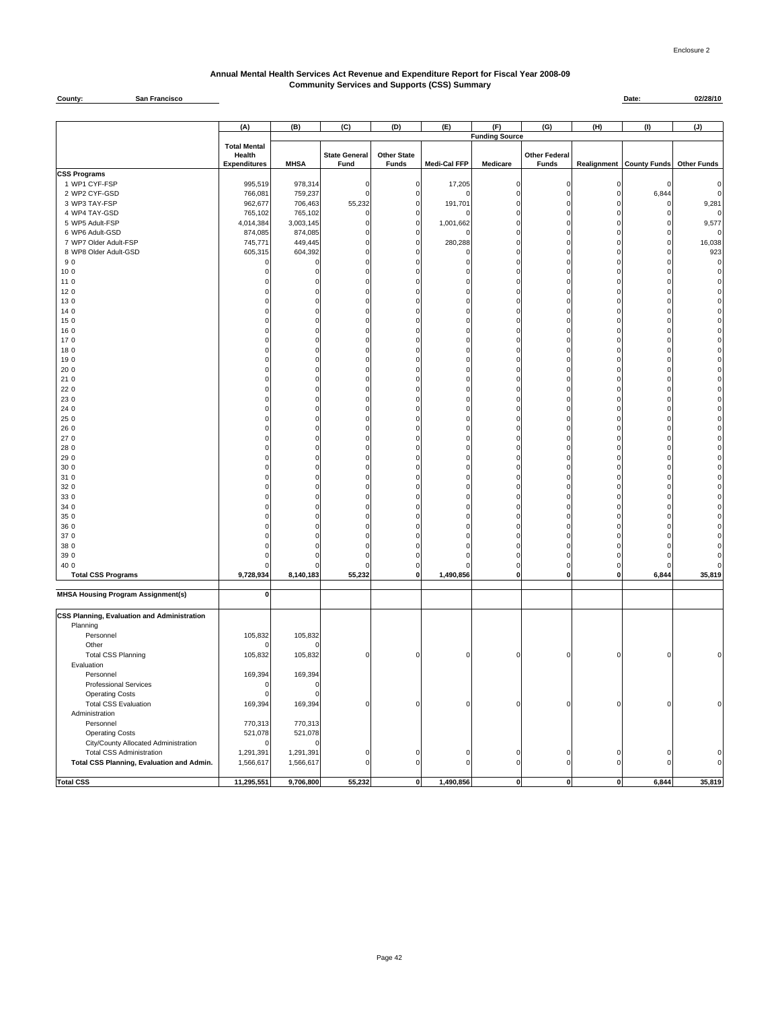|                                             | (A)                           | (B)         | (C)                          | (D)                                | (E)                 | (F)                   | (G)                                  | (H)          | (1)                             | (J)                |
|---------------------------------------------|-------------------------------|-------------|------------------------------|------------------------------------|---------------------|-----------------------|--------------------------------------|--------------|---------------------------------|--------------------|
|                                             |                               |             |                              |                                    |                     | <b>Funding Source</b> |                                      |              |                                 |                    |
|                                             | <b>Total Mental</b>           |             |                              |                                    |                     |                       |                                      |              |                                 |                    |
|                                             | Health<br><b>Expenditures</b> | <b>MHSA</b> | <b>State General</b><br>Fund | <b>Other State</b><br><b>Funds</b> | <b>Medi-Cal FFP</b> | Medicare              | <b>Other Federal</b><br><b>Funds</b> |              | <b>Realignment County Funds</b> | <b>Other Funds</b> |
| <b>CSS Programs</b>                         |                               |             |                              |                                    |                     |                       |                                      |              |                                 |                    |
| 1 WP1 CYF-FSP                               | 995,519                       | 978,314     | $\mathbf 0$                  | $\mathbf 0$                        | 17,205              | $\Omega$              | 0                                    | 0            | $\Omega$                        | $\Omega$           |
| 2 WP2 CYF-GSD                               | 766,081                       | 759,237     | $\Omega$                     | $\mathbf 0$                        | C                   | C                     |                                      | 0            | 6,844                           |                    |
| 3 WP3 TAY-FSP                               | 962,677                       | 706,463     | 55,232                       | $\mathbf 0$                        | 191,701             | C                     |                                      | ŋ            | $\Omega$                        | 9,281              |
| 4 WP4 TAY-GSD                               | 765,102                       | 765,102     | 0                            | 0                                  |                     | ſ                     |                                      | 0            | 0                               | 0                  |
| 5 WP5 Adult-FSP                             | 4,014,384                     | 3,003,145   | 0                            | $\mathbf 0$                        | 1,001,662           | C                     |                                      | C            | $\Omega$                        | 9,577              |
| 6 WP6 Adult-GSD                             | 874,085                       | 874,085     | 0                            | $\mathbf 0$                        | C                   | C                     |                                      | 0            | 0                               | C                  |
| 7 WP7 Older Adult-FSP                       | 745,771                       | 449,445     | 0                            | $\mathbf 0$                        | 280,288             |                       |                                      |              | 0                               | 16,038             |
| 8 WP8 Older Adult-GSD                       | 605,315                       | 604,392     | 0                            | 0                                  | $\mathbf{C}$        |                       |                                      | 0            | $\mathbf 0$                     | 923                |
| 90                                          | C                             |             | 0                            | 0                                  | $^{\circ}$          | C                     |                                      | 0            | $\Omega$                        | $^{\circ}$         |
| 10 0                                        | C                             |             | 0                            | $\mathbf 0$                        | $\Omega$            | C                     |                                      | $\Omega$     | $\Omega$                        |                    |
| 11 0                                        | C                             |             | $\Omega$                     | $\mathbf 0$                        | $\Omega$            | C                     |                                      | n            | $\Omega$                        |                    |
| 12 0                                        | r                             |             | $\Omega$                     | $\mathbf 0$                        | $\mathbf 0$         | ſ                     |                                      | ŋ            | $\Omega$                        |                    |
| 130                                         | ſ                             |             | 0                            | 0                                  | $\mathbf 0$         | C<br>C                |                                      | 0<br>C       | $\Omega$                        |                    |
| 14 0                                        |                               |             | 0<br>$\Omega$                | 0                                  | $\mathbf 0$         |                       |                                      |              | 0                               |                    |
| 15 0<br>16 0                                |                               |             | 0                            | 0<br>0                             | 0<br>C              |                       |                                      |              | $\Omega$<br>$\Omega$            |                    |
| 170                                         | C                             |             | $\Omega$                     | $\mathbf 0$                        | $\mathbf 0$         | C                     |                                      | $\Omega$     | $\Omega$                        |                    |
| 18 0                                        | C                             |             | $\Omega$                     | $\Omega$                           | $^{\circ}$          | ſ                     |                                      | C            | $\Omega$                        |                    |
| 190                                         | C                             |             | $\Omega$                     | 0                                  | $\mathbf 0$         | ſ                     |                                      | ŋ            | $\Omega$                        |                    |
| 20 0                                        | C                             |             | $\Omega$                     | $\mathbf 0$                        | $\mathbf 0$         | C                     |                                      | ŋ            | $\Omega$                        |                    |
| 210                                         |                               |             | 0                            | $\mathbf 0$                        | $\mathbf 0$         | ſ                     |                                      | C            | 0                               |                    |
| 22 0                                        | C                             |             | 0                            | 0                                  | 0                   | C                     |                                      | C            | $\Omega$                        |                    |
| 23 0                                        |                               |             | 0                            | $\mathbf 0$                        | 0                   |                       |                                      |              | $\Omega$                        |                    |
| 24 0                                        | C                             |             | 0                            | 0                                  | 0                   | C                     |                                      | 0            | $\Omega$                        |                    |
| 25 0                                        | C                             |             | $\Omega$                     | $\mathbf 0$                        | $^{\circ}$          | C                     |                                      | 0            | $\Omega$                        |                    |
| 26 0                                        | C                             |             | $\Omega$                     | $\mathbf 0$                        | $^{\circ}$          | C                     |                                      | 0            | $\Omega$                        |                    |
| 27 0                                        | C                             |             | $\Omega$                     | $\mathbf 0$                        | $\mathbf 0$         | C                     |                                      | $\Omega$     | $\Omega$                        |                    |
| 28 0                                        | $\sqrt{2}$                    |             | $\Omega$                     | $\mathbf 0$                        | $\mathbf 0$         | C                     |                                      | $\Omega$     | $\Omega$                        |                    |
| 29 0                                        | C                             |             | 0                            | 0                                  | $\mathbf 0$         | C                     |                                      | 0            | $\Omega$                        |                    |
| 30 0                                        |                               |             | 0                            | $\mathbf 0$                        | $\mathbf 0$         | C                     |                                      |              | $\mathbf 0$                     |                    |
| 31 0                                        | C                             |             | 0                            | $\mathbf 0$                        | $\mathbf 0$         | C                     |                                      | 0            | $\mathbf 0$                     |                    |
| 32 0                                        |                               |             | 0                            | $\mathbf 0$                        | 0                   |                       |                                      |              | $\mathbf 0$                     |                    |
| 33 0                                        |                               |             | $\Omega$                     | 0                                  | $\Omega$            |                       |                                      | C            | $\Omega$                        |                    |
| 34 0                                        | C                             |             | $\Omega$                     | 0                                  | $^{\circ}$          | C                     |                                      | 0            | $\Omega$                        |                    |
| 35 0                                        | C                             |             | $\Omega$                     | $\Omega$                           | $^{\circ}$          | C                     |                                      | $\Omega$     | $\Omega$                        |                    |
| 36 0                                        | r                             |             | $\Omega$                     | $\Omega$                           | $\Omega$            | r                     |                                      | ŋ            | $\Omega$                        |                    |
| 370                                         |                               |             | $\Omega$                     | $\Omega$                           | $\Omega$            |                       |                                      | C            | $\Omega$                        |                    |
| 38 0                                        |                               |             | 0                            | 0                                  | 0                   | C                     |                                      | C            | $\Omega$                        |                    |
| 39 0                                        |                               |             | Ω                            | 0                                  | 0                   |                       |                                      |              |                                 |                    |
| 40 0                                        |                               |             | Ω                            | 0<br>$\mathbf 0$                   | $\mathbf{C}$        | 0                     | 0                                    | 0            | $\Omega$                        |                    |
| <b>Total CSS Programs</b>                   | 9,728,934                     | 8,140,183   | 55,232                       |                                    | 1,490,856           |                       |                                      | 0            | 6,844                           | 35,819             |
| <b>MHSA Housing Program Assignment(s)</b>   | $\mathbf 0$                   |             |                              |                                    |                     |                       |                                      |              |                                 |                    |
|                                             |                               |             |                              |                                    |                     |                       |                                      |              |                                 |                    |
| CSS Planning, Evaluation and Administration |                               |             |                              |                                    |                     |                       |                                      |              |                                 |                    |
| Planning                                    |                               |             |                              |                                    |                     |                       |                                      |              |                                 |                    |
| Personnel                                   | 105,832                       | 105,832     |                              |                                    |                     |                       |                                      |              |                                 |                    |
| Other                                       |                               |             |                              |                                    |                     |                       |                                      |              |                                 |                    |
| <b>Total CSS Planning</b>                   | 105,832                       | 105,832     |                              | 0                                  | C                   | C                     | $\Omega$                             |              |                                 |                    |
| Evaluation                                  |                               |             |                              |                                    |                     |                       |                                      |              |                                 |                    |
| Personnel                                   | 169,394                       | 169,394     |                              |                                    |                     |                       |                                      |              |                                 |                    |
| <b>Professional Services</b>                | $\mathbf{C}$                  | $\Omega$    |                              |                                    |                     |                       |                                      |              |                                 |                    |
| <b>Operating Costs</b>                      | 0                             | 0           |                              |                                    |                     |                       |                                      |              |                                 |                    |
| <b>Total CSS Evaluation</b>                 | 169,394                       | 169,394     | $\mathsf{O}\xspace$          | $\mathbf 0$                        | $\mathbf 0$         | $\Omega$              | $\overline{0}$                       | $\mathbf 0$  | $\mathbf 0$                     | $\mathbf 0$        |
| Administration                              |                               |             |                              |                                    |                     |                       |                                      |              |                                 |                    |
| Personnel                                   | 770,313                       | 770,313     |                              |                                    |                     |                       |                                      |              |                                 |                    |
| <b>Operating Costs</b>                      | 521,078                       | 521,078     |                              |                                    |                     |                       |                                      |              |                                 |                    |
| City/County Allocated Administration        | C                             |             |                              |                                    |                     |                       |                                      |              |                                 |                    |
| <b>Total CSS Administration</b>             | 1,291,391                     | 1,291,391   | $\mathbf 0$                  | $\mathbf 0$                        | 0                   | 0                     | $\Omega$                             | 0            | 0                               | O                  |
| Total CSS Planning, Evaluation and Admin.   | 1,566,617                     | 1,566,617   | $\mathsf{O}\xspace$          | $\mathbf 0$                        | $\mathbf 0$         | $\Omega$              | $\Omega$                             | $\mathbf 0$  | 0                               | $\pmb{0}$          |
| <b>Total CSS</b>                            | 11,295,551                    |             |                              |                                    |                     | 0                     | $\mathbf{0}$                         |              |                                 |                    |
|                                             |                               | 9,706,800   | 55,232                       | $\mathbf{0}$                       | 1,490,856           |                       |                                      | $\mathbf{0}$ | 6,844                           | 35,819             |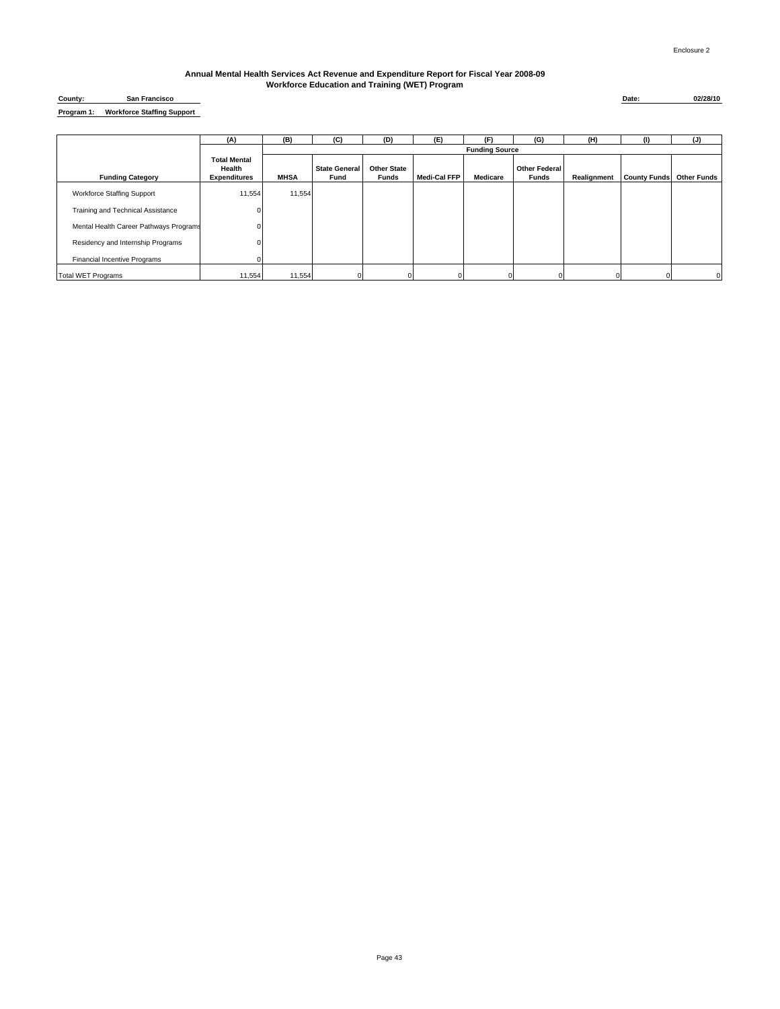#### **Annual Mental Health Services Act Revenue and Expenditure Report for Fiscal Year 2008-09 Workforce Education and Training (WET) Program**

| County:    | San Francisco                     |
|------------|-----------------------------------|
| Program 1: | <b>Workforce Staffing Support</b> |

**San Francisco Date: 02/28/10**

|                                        | (A)                           | (B)         | (C)                  | (D)                | (E)          | (F)                   | (G)                  | (H)         | (1)                             | (J)          |
|----------------------------------------|-------------------------------|-------------|----------------------|--------------------|--------------|-----------------------|----------------------|-------------|---------------------------------|--------------|
|                                        |                               |             |                      |                    |              | <b>Funding Source</b> |                      |             |                                 |              |
|                                        | <b>Total Mental</b><br>Health |             | <b>State General</b> | <b>Other State</b> |              |                       | <b>Other Federal</b> |             |                                 |              |
| <b>Funding Category</b>                | <b>Expenditures</b>           | <b>MHSA</b> | Fund                 | Funds              | Medi-Cal FFP | Medicare              | <b>Funds</b>         | Realignment | <b>County Funds</b> Other Funds |              |
| <b>Workforce Staffing Support</b>      | 11,554                        | 11,554      |                      |                    |              |                       |                      |             |                                 |              |
| Training and Technical Assistance      |                               |             |                      |                    |              |                       |                      |             |                                 |              |
| Mental Health Career Pathways Programs |                               |             |                      |                    |              |                       |                      |             |                                 |              |
| Residency and Internship Programs      |                               |             |                      |                    |              |                       |                      |             |                                 |              |
| Financial Incentive Programs           |                               |             |                      |                    |              |                       |                      |             |                                 |              |
| <b>Total WET Programs</b>              | 11,554                        | 11,554      |                      |                    |              |                       |                      |             |                                 | $\mathbf{0}$ |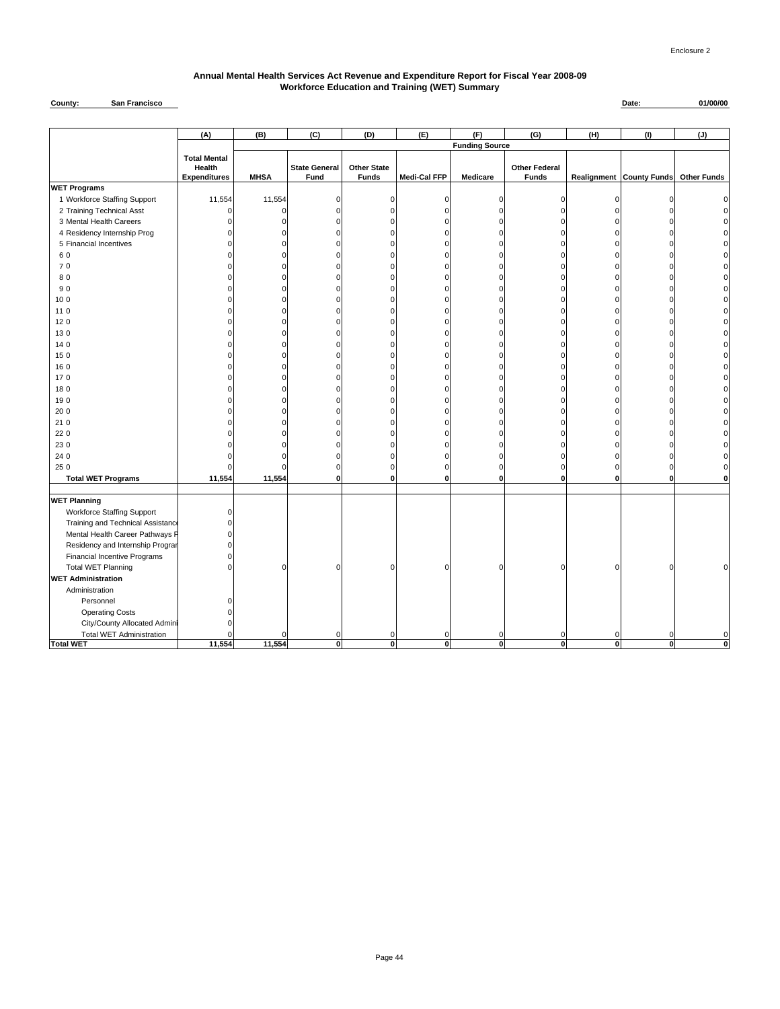## **Annual Mental Health Services Act Revenue and Expenditure Report for Fiscal Year 2008-09 Workforce Education and Training (WET) Summary**

#### **County: Date: 01/00/00 San Francisco**

|                                   | (A)                           | (B)         | (C)                  | (D)          | (E)                 | (F)<br><b>Funding Source</b> | (G)                  | (H)          | (1)                             | (J)                |
|-----------------------------------|-------------------------------|-------------|----------------------|--------------|---------------------|------------------------------|----------------------|--------------|---------------------------------|--------------------|
|                                   |                               |             |                      |              |                     |                              |                      |              |                                 |                    |
|                                   | <b>Total Mental</b><br>Health |             | <b>State General</b> | Other State  |                     |                              | <b>Other Federal</b> |              |                                 |                    |
|                                   | <b>Expenditures</b>           | <b>MHSA</b> | Fund                 | <b>Funds</b> | <b>Medi-Cal FFP</b> | Medicare                     | <b>Funds</b>         |              | <b>Realignment County Funds</b> | <b>Other Funds</b> |
| <b>WET Programs</b>               |                               |             |                      |              |                     |                              |                      |              |                                 |                    |
| 1 Workforce Staffing Support      | 11,554                        | 11,554      | 0                    | $\sqrt{ }$   | $\mathbf 0$         | $\mathbf 0$                  |                      | 0            |                                 | $\Omega$           |
| 2 Training Technical Asst         |                               | $\Omega$    | O                    | r            | r                   | $\Omega$                     |                      |              |                                 |                    |
| 3 Mental Health Careers           |                               | n           | U                    | r            | C                   | $\Omega$                     |                      |              |                                 |                    |
| 4 Residency Internship Prog       |                               |             | $\Omega$             | C            | C                   | $\mathbf 0$                  |                      |              |                                 |                    |
| 5 Financial Incentives            |                               |             | 0                    |              | C                   | $\mathbf 0$                  |                      |              |                                 |                    |
| 60                                |                               |             | U                    |              | r                   | $\mathbf 0$                  |                      |              |                                 |                    |
| 70                                |                               |             | O                    |              |                     | $\Omega$                     |                      |              |                                 |                    |
| 80                                |                               | n           | O                    |              | r                   | $\Omega$                     |                      | ∩            |                                 |                    |
| 90                                |                               | O           | $\Omega$             | C            | C                   | $\mathbf 0$                  |                      | n            |                                 |                    |
| 100                               |                               | O           | $\Omega$             | r            | C                   | $\mathbf 0$                  |                      | n            |                                 |                    |
| 11 0                              |                               |             | $\Omega$             | r            | C                   | $\Omega$                     |                      |              |                                 |                    |
| 12 0                              |                               |             | U                    |              | r                   | $\Omega$                     |                      |              |                                 |                    |
| 130                               |                               | n           | U                    |              | C                   | $\mathbf 0$                  |                      |              |                                 |                    |
| 14 0                              |                               | n           | O                    |              | C                   | $\Omega$                     |                      |              |                                 |                    |
| 150                               |                               | n           | $\Omega$             | r            | C                   | $\Omega$                     |                      | n            |                                 |                    |
| 160                               |                               | $\Omega$    | $\Omega$             | U            | C                   | $\mathbf 0$                  |                      | n            |                                 |                    |
| 170                               |                               |             | O                    |              |                     | $\Omega$                     |                      |              |                                 |                    |
| 180                               |                               |             | $\Omega$             |              | r                   | $\mathbf 0$                  |                      |              |                                 |                    |
| 190                               |                               |             | 0                    |              | ſ                   | $\Omega$                     |                      |              |                                 |                    |
| 20 0                              |                               |             | O                    |              |                     | $\Omega$                     |                      |              |                                 |                    |
| 210                               |                               |             | O                    |              | C                   | $\Omega$                     |                      |              |                                 |                    |
| 220                               |                               |             | n                    |              | C                   | $\Omega$                     |                      | ∩            |                                 |                    |
| 230                               |                               |             | O                    |              | C                   | $\mathbf 0$                  |                      |              |                                 |                    |
| 24 0                              |                               |             |                      |              |                     | $\Omega$                     |                      | U            |                                 | $\Omega$           |
| 25 0                              |                               |             | U                    |              | ſ                   | $\Omega$                     |                      | 0            |                                 | 0                  |
| <b>Total WET Programs</b>         | 11,554                        | 11,554      | $\bf{0}$             | O            | $\Omega$            | $\Omega$                     | O                    | 0            |                                 | $\mathbf 0$        |
|                                   |                               |             |                      |              |                     |                              |                      |              |                                 |                    |
| <b>WET Planning</b>               |                               |             |                      |              |                     |                              |                      |              |                                 |                    |
| Workforce Staffing Support        |                               |             |                      |              |                     |                              |                      |              |                                 |                    |
| Training and Technical Assistance |                               |             |                      |              |                     |                              |                      |              |                                 |                    |
| Mental Health Career Pathways F   |                               |             |                      |              |                     |                              |                      |              |                                 |                    |
| Residency and Internship Prograr  |                               |             |                      |              |                     |                              |                      |              |                                 |                    |
| Financial Incentive Programs      |                               |             |                      |              |                     |                              |                      |              |                                 |                    |
| <b>Total WET Planning</b>         |                               | $\Omega$    | $\Omega$             | C            | $\Omega$            | $\Omega$                     | U                    | U            |                                 | $\Omega$           |
| <b>WET Administration</b>         |                               |             |                      |              |                     |                              |                      |              |                                 |                    |
| Administration                    |                               |             |                      |              |                     |                              |                      |              |                                 |                    |
| Personnel                         |                               |             |                      |              |                     |                              |                      |              |                                 |                    |
| <b>Operating Costs</b>            |                               |             |                      |              |                     |                              |                      |              |                                 |                    |
| City/County Allocated Admini      |                               |             |                      |              |                     |                              |                      |              |                                 |                    |
| <b>Total WET Administration</b>   |                               |             | $\Omega$             | C            | $\Omega$            | $\Omega$                     | U                    | $\Omega$     |                                 | $\Omega$           |
| <b>Total WET</b>                  | 11,554                        | 11,554      | $\mathbf{0}$         | $\mathbf{0}$ | $\mathbf{0}$        | $\mathbf 0$                  | $\mathbf{0}$         | $\mathbf{0}$ | $\mathbf{0}$                    | $\mathbf 0$        |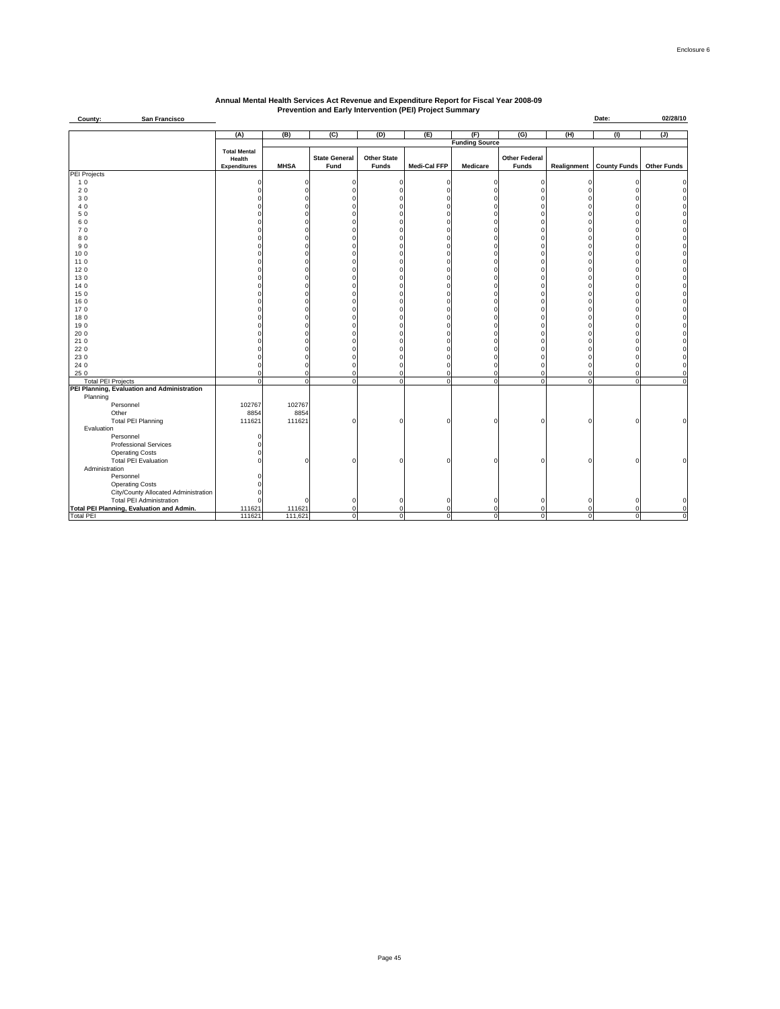|                                                        |                     |                            | Prevention and Early Intervention (PEI) Project Summary |              |                     |                       |                      |             |                     |                    |
|--------------------------------------------------------|---------------------|----------------------------|---------------------------------------------------------|--------------|---------------------|-----------------------|----------------------|-------------|---------------------|--------------------|
| San Francisco<br>County:                               |                     |                            |                                                         |              |                     |                       |                      |             | Date:               | 02/28/10           |
|                                                        | (A)                 | (B)                        | (C)                                                     | (D)          | (E)                 | (F)                   | (G)                  | (H)         | (1)                 | (J)                |
|                                                        |                     |                            |                                                         |              |                     | <b>Funding Source</b> |                      |             |                     |                    |
|                                                        | <b>Total Mental</b> |                            |                                                         |              |                     |                       |                      |             |                     |                    |
|                                                        | Health              |                            | <b>State General</b>                                    | Other State  |                     |                       | <b>Other Federal</b> |             |                     |                    |
|                                                        | <b>Expenditures</b> | <b>MHSA</b>                | Fund                                                    | <b>Funds</b> | <b>Medi-Cal FFP</b> | Medicare              | <b>Funds</b>         | Realignment | <b>County Funds</b> | <b>Other Funds</b> |
| <b>PEI Projects</b>                                    |                     |                            |                                                         |              |                     |                       |                      |             |                     |                    |
| 10                                                     | Ω                   | $\mathbf 0$                |                                                         | C            | $\Omega$            |                       | $\Omega$             |             | n                   |                    |
| 20                                                     |                     | $\Omega$<br>$\Omega$       |                                                         |              |                     |                       | O                    |             |                     |                    |
| 30<br>40                                               |                     | $\Omega$                   |                                                         |              |                     |                       |                      |             |                     |                    |
| 50                                                     |                     | $\Omega$                   |                                                         |              |                     |                       |                      |             |                     |                    |
| 60                                                     |                     | $\Omega$                   |                                                         |              |                     |                       |                      |             |                     |                    |
| 70                                                     |                     | $\mathbf 0$                |                                                         | ŋ            | n                   |                       |                      | n           |                     |                    |
| 80                                                     |                     | $\mathbf 0$                |                                                         | $\Omega$     | n                   |                       |                      | n           |                     |                    |
| 90                                                     |                     | $\Omega$                   |                                                         | ŋ            | n                   |                       |                      | n           |                     |                    |
| 100                                                    |                     | $\Omega$                   |                                                         | $\Omega$     | $\Omega$            |                       |                      |             |                     |                    |
| 110                                                    |                     | $\Omega$                   |                                                         |              | n                   |                       |                      |             |                     |                    |
| 120                                                    |                     | $\Omega$                   |                                                         |              | $\Omega$            |                       |                      |             |                     |                    |
| 130                                                    |                     | $\Omega$                   |                                                         |              | C                   |                       |                      |             |                     |                    |
| 14 0                                                   |                     | $\Omega$                   |                                                         | ŋ            | n                   |                       |                      |             |                     |                    |
| 15 0                                                   |                     | $\Omega$                   |                                                         |              | C                   |                       |                      |             |                     |                    |
| 160                                                    |                     | $\mathbf 0$                |                                                         | O            | $\Omega$            |                       |                      | n           |                     |                    |
| 170                                                    |                     | $\Omega$                   |                                                         |              | C                   |                       |                      | n           |                     |                    |
| 180                                                    | በ                   | $\Omega$                   |                                                         | O            | n                   |                       |                      | n           |                     |                    |
| 190                                                    | n                   | $\Omega$                   |                                                         | n            | n                   |                       |                      | n           |                     |                    |
| 20 0                                                   |                     | $\Omega$                   |                                                         | n            | n                   |                       |                      |             |                     |                    |
| 210                                                    |                     | $\Omega$                   |                                                         |              |                     |                       |                      |             |                     |                    |
| 22 0                                                   |                     | $\Omega$                   |                                                         |              |                     |                       |                      |             |                     |                    |
| 23 0<br>24 0                                           |                     | $\Omega$                   |                                                         | n            | C                   |                       |                      |             |                     |                    |
| 25 0                                                   | n<br>Ò              | $\mathbf 0$<br>$\mathbf 0$ | $\Omega$                                                | $\Omega$     | $\Omega$            |                       | $\Omega$             | $\Omega$    | O                   | $\mathbf 0$        |
| <b>Total PEI Projects</b>                              | $\Omega$            | $\Omega$                   | $\Omega$                                                | $\mathbf 0$  | $\Omega$            | $\Omega$              | $\Omega$             | $\Omega$    | $\Omega$            | $\Omega$           |
| PEI Planning, Evaluation and Administration            |                     |                            |                                                         |              |                     |                       |                      |             |                     |                    |
| Planning                                               |                     |                            |                                                         |              |                     |                       |                      |             |                     |                    |
| Personnel                                              | 102767              | 102767                     |                                                         |              |                     |                       |                      |             |                     |                    |
| Other                                                  | 8854                | 8854                       |                                                         |              |                     |                       |                      |             |                     |                    |
| <b>Total PEI Planning</b>                              | 111621              | 111621                     | $\Omega$                                                | $\Omega$     | $\Omega$            |                       |                      | $\Omega$    |                     |                    |
| Evaluation                                             |                     |                            |                                                         |              |                     |                       |                      |             |                     |                    |
| Personnel                                              |                     |                            |                                                         |              |                     |                       |                      |             |                     |                    |
| Professional Services                                  |                     |                            |                                                         |              |                     |                       |                      |             |                     |                    |
| <b>Operating Costs</b>                                 |                     |                            |                                                         |              |                     |                       |                      |             |                     |                    |
| <b>Total PEI Evaluation</b>                            |                     | $\Omega$                   |                                                         |              | $\Omega$            |                       |                      |             |                     |                    |
| Administration                                         |                     |                            |                                                         |              |                     |                       |                      |             |                     |                    |
| Personnel                                              |                     |                            |                                                         |              |                     |                       |                      |             |                     |                    |
| <b>Operating Costs</b>                                 | n                   |                            |                                                         |              |                     |                       |                      |             |                     |                    |
| City/County Allocated Administration                   | O                   |                            |                                                         |              |                     |                       |                      |             |                     |                    |
| Total PEI Administration                               |                     |                            |                                                         | O            | $\Omega$            |                       |                      |             | ŋ                   |                    |
| Total PEI Planning, Evaluation and Admin.<br>Total PEI | 111621<br>111621    | 111621<br>111,621          | $\Omega$                                                | $\Omega$     | $\Omega$            | $\Omega$              | $\Omega$             | ſ           | O<br>$\overline{0}$ | O<br>$\Omega$      |
|                                                        |                     |                            | $\circ$                                                 | $\mathbf 0$  | $\mathbf 0$         |                       | $\mathbf 0$          | $\mathbf 0$ |                     |                    |

## **Annual Mental Health Services Act Revenue and Expenditure Report for Fiscal Year 2008-09 Prevention and Early Intervention (PEI) Project Summary**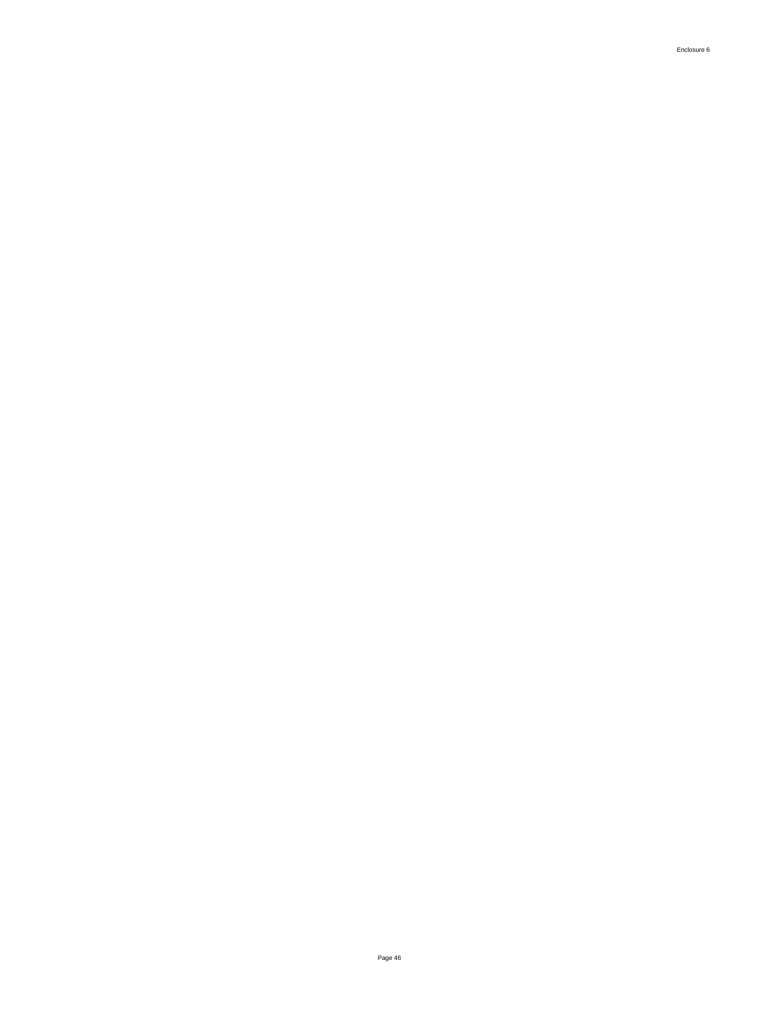Enclosure 6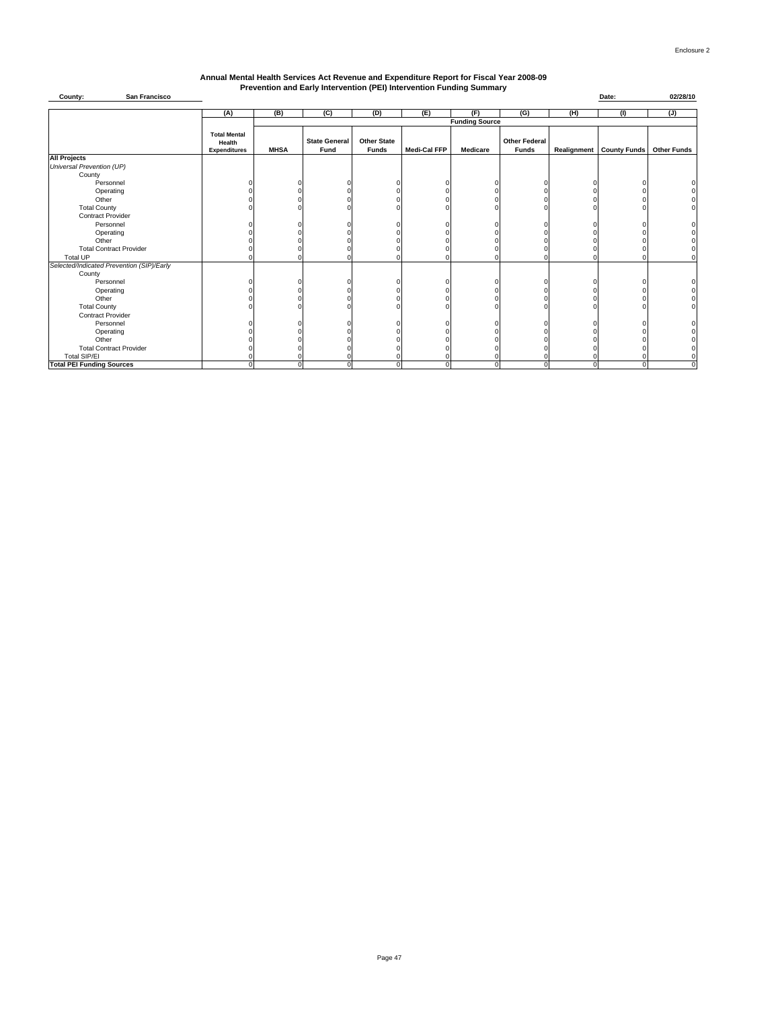#### **Annual Mental Health Services Act Revenue and Expenditure Report for Fiscal Year 2008-09 Prevention and Early Intervention (PEI) Intervention Funding Summary**

### **County: San Francisco**

| San Francisco<br>County:                  |                                                      |             |                              |                                    |                     |                                   |                               |     | Date:                                | 02/28/10       |
|-------------------------------------------|------------------------------------------------------|-------------|------------------------------|------------------------------------|---------------------|-----------------------------------|-------------------------------|-----|--------------------------------------|----------------|
|                                           | (A)                                                  | (B)         | $\overline{C}$               | (D)                                | (E)                 | (F)                               | (G)                           | (H) | (1)                                  | $\overline{u}$ |
|                                           |                                                      |             |                              |                                    |                     |                                   |                               |     |                                      |                |
|                                           | <b>Total Mental</b><br>Health<br><b>Expenditures</b> | <b>MHSA</b> | <b>State General</b><br>Fund | <b>Other State</b><br><b>Funds</b> | <b>Medi-Cal FFP</b> | <b>Funding Source</b><br>Medicare | <b>Other Federal</b><br>Funds |     | Realignment County Funds Other Funds |                |
| <b>All Projects</b>                       |                                                      |             |                              |                                    |                     |                                   |                               |     |                                      |                |
| Universal Prevention (UP)                 |                                                      |             |                              |                                    |                     |                                   |                               |     |                                      |                |
| County                                    |                                                      |             |                              |                                    |                     |                                   |                               |     |                                      |                |
| Personnel                                 |                                                      |             |                              |                                    |                     |                                   |                               |     |                                      |                |
| Operating                                 |                                                      |             |                              |                                    |                     |                                   |                               |     |                                      |                |
| Other                                     |                                                      |             |                              |                                    |                     |                                   |                               |     |                                      |                |
| <b>Total County</b>                       |                                                      |             |                              |                                    |                     |                                   |                               |     |                                      |                |
| <b>Contract Provider</b>                  |                                                      |             |                              |                                    |                     |                                   |                               |     |                                      |                |
| Personnel                                 |                                                      |             |                              |                                    |                     |                                   |                               |     |                                      |                |
| Operating                                 |                                                      |             |                              |                                    |                     |                                   |                               |     |                                      |                |
| Other                                     |                                                      |             |                              |                                    |                     |                                   |                               |     |                                      |                |
| <b>Total Contract Provider</b>            |                                                      |             |                              |                                    |                     |                                   |                               |     |                                      |                |
| <b>Total UP</b>                           |                                                      |             |                              |                                    |                     |                                   |                               |     |                                      |                |
| Selected/Indicated Prevention (SIP)/Early |                                                      |             |                              |                                    |                     |                                   |                               |     |                                      |                |
| County                                    |                                                      |             |                              |                                    |                     |                                   |                               |     |                                      |                |
| Personnel                                 |                                                      |             |                              |                                    |                     |                                   |                               |     |                                      |                |
| Operating                                 |                                                      |             |                              |                                    |                     |                                   |                               |     |                                      |                |
| Other                                     |                                                      |             |                              |                                    |                     |                                   |                               |     |                                      |                |
| <b>Total County</b>                       |                                                      |             |                              |                                    |                     |                                   |                               |     |                                      |                |
| <b>Contract Provider</b>                  |                                                      |             |                              |                                    |                     |                                   |                               |     |                                      |                |
| Personnel                                 |                                                      |             |                              |                                    |                     |                                   |                               |     |                                      |                |
| Operating                                 |                                                      |             |                              |                                    |                     |                                   |                               |     |                                      |                |
| Other                                     |                                                      |             |                              |                                    |                     |                                   |                               |     |                                      |                |
| <b>Total Contract Provider</b>            |                                                      |             |                              |                                    |                     |                                   |                               |     |                                      |                |
| <b>Total SIP/EI</b>                       |                                                      |             |                              |                                    |                     |                                   |                               |     |                                      |                |
| <b>Total PEI Funding Sources</b>          |                                                      |             |                              |                                    |                     |                                   |                               |     |                                      |                |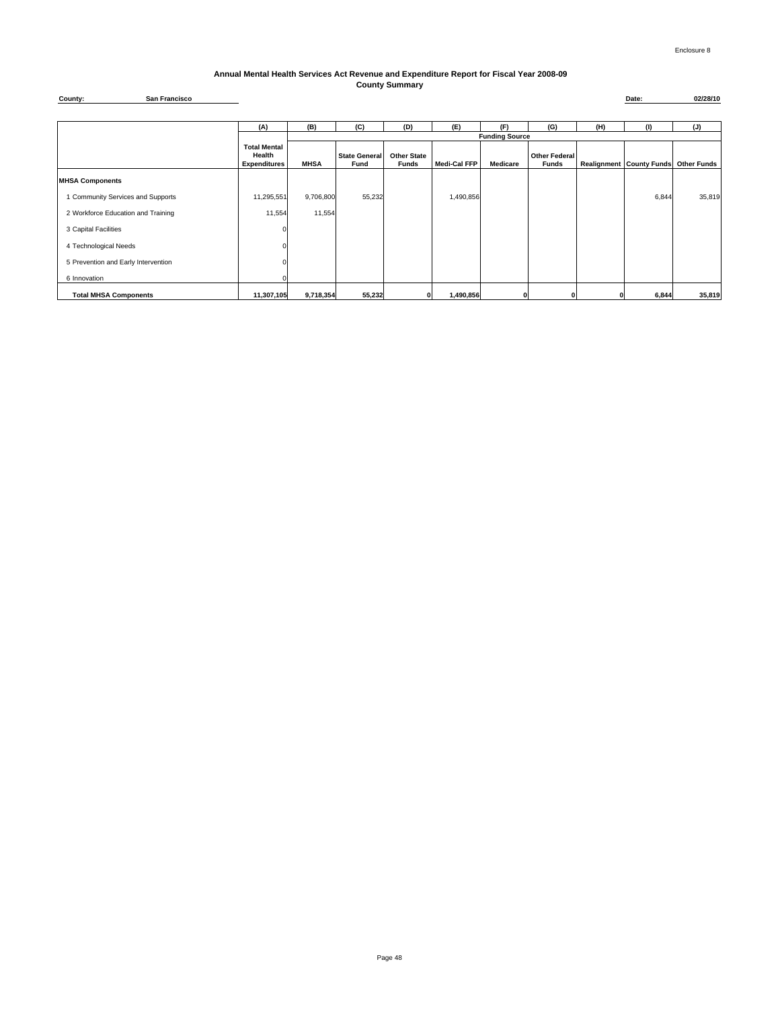#### **Annual Mental Health Services Act Revenue and Expenditure Report for Fiscal Year 2008-09 County Summary**

|                                     | (A)                                                  | (B)                   | (C)                          | (D)                                | (E)                 | (F)             | (G)                           | (H) | (1)                             | (J)                |  |  |
|-------------------------------------|------------------------------------------------------|-----------------------|------------------------------|------------------------------------|---------------------|-----------------|-------------------------------|-----|---------------------------------|--------------------|--|--|
|                                     |                                                      | <b>Funding Source</b> |                              |                                    |                     |                 |                               |     |                                 |                    |  |  |
|                                     | <b>Total Mental</b><br>Health<br><b>Expenditures</b> | <b>MHSA</b>           | <b>State General</b><br>Fund | <b>Other State</b><br><b>Funds</b> | <b>Medi-Cal FFP</b> | <b>Medicare</b> | <b>Other Federal</b><br>Funds |     | <b>Realignment County Funds</b> | <b>Other Funds</b> |  |  |
| <b>MHSA Components</b>              |                                                      |                       |                              |                                    |                     |                 |                               |     |                                 |                    |  |  |
| 1 Community Services and Supports   | 11,295,551                                           | 9,706,800             | 55,232                       |                                    | 1,490,856           |                 |                               |     | 6,844                           | 35,819             |  |  |
| 2 Workforce Education and Training  | 11,554                                               | 11,554                |                              |                                    |                     |                 |                               |     |                                 |                    |  |  |
| 3 Capital Facilities                | $\mathbf 0$                                          |                       |                              |                                    |                     |                 |                               |     |                                 |                    |  |  |
| 4 Technological Needs               | $\Omega$                                             |                       |                              |                                    |                     |                 |                               |     |                                 |                    |  |  |
| 5 Prevention and Early Intervention | $\Omega$                                             |                       |                              |                                    |                     |                 |                               |     |                                 |                    |  |  |
| 6 Innovation                        |                                                      |                       |                              |                                    |                     |                 |                               |     |                                 |                    |  |  |
| <b>Total MHSA Components</b>        | 11,307,105                                           | 9,718,354             | 55,232                       |                                    | 1,490,856           | 0               | 0                             |     | 6,844                           | 35,819             |  |  |